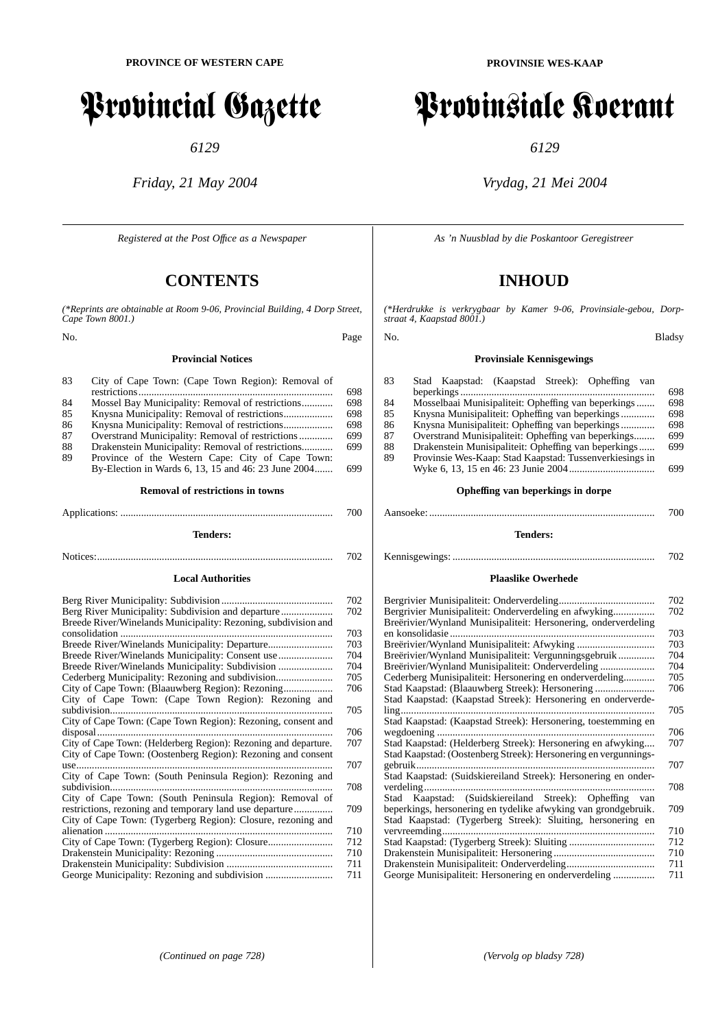# Provincial Gazette

*6129*

*Friday, 21 May 2004*

*Registered at the Post Offıce as a Newspaper*

# **CONTENTS**

*(\*Reprints are obtainable at Room 9-06, Provincial Building, 4 Dorp Street, Cape Town 8001.)*

No. Page

#### **Provincial Notices**

| 83 | City of Cape Town: (Cape Town Region): Removal of   |
|----|-----------------------------------------------------|
|    |                                                     |
| 84 | Mossel Bay Municipality: Removal of restrictions    |
| 85 |                                                     |
| 86 |                                                     |
| 87 | Overstrand Municipality: Removal of restrictions    |
| 88 | Drakenstein Municipality: Removal of restrictions   |
| 89 | Province of the Western Cape: City of Cape Town:    |
|    | By-Election in Wards 6, 13, 15 and 46: 23 June 2004 |
|    |                                                     |

#### **Removal of restrictions in towns**

Applications: .................................................................................. 700 **Tenders:**

Notices:........................................................................................... 702

#### **Local Authorities**

| Breede River/Winelands Municipality: Rezoning, subdivision and  |
|-----------------------------------------------------------------|
| consolidation.                                                  |
|                                                                 |
| Breede River/Winelands Municipality: Consent use                |
| Breede River/Winelands Municipality: Subdivision                |
| Cederberg Municipality: Rezoning and subdivision                |
|                                                                 |
| City of Cape Town: (Cape Town Region): Rezoning and             |
| subdivision                                                     |
| City of Cape Town: (Cape Town Region): Rezoning, consent and    |
| disposal.                                                       |
| City of Cape Town: (Helderberg Region): Rezoning and departure. |
| City of Cape Town: (Oostenberg Region): Rezoning and consent    |
| use.                                                            |
| City of Cape Town: (South Peninsula Region): Rezoning and       |
| subdivision                                                     |
| City of Cape Town: (South Peninsula Region): Removal of         |
| restrictions, rezoning and temporary land use departure         |
| City of Cape Town: (Tygerberg Region): Closure, rezoning and    |
| alienation                                                      |
|                                                                 |
|                                                                 |
|                                                                 |
|                                                                 |
|                                                                 |

# Provinsiale Koerant

*6129*

## *Vrydag, 21 Mei 2004*

*As 'n Nuusblad by die Poskantoor Geregistreer*

# **INHOUD**

*(\*Herdrukke is verkrygbaar by Kamer 9-06, Provinsiale-gebou, Dorpstraat 4, Kaapstad 8001.)*

#### No. Bladsy

#### **Provinsiale Kennisgewings**

| 83 | Stad Kaapstad: (Kaapstad Streek): Opheffing<br>van      |     |
|----|---------------------------------------------------------|-----|
|    |                                                         | 698 |
| 84 | Mosselbaai Munisipaliteit: Opheffing van beperkings     | 698 |
| 85 |                                                         | 698 |
| 86 |                                                         | 698 |
| 87 | Overstrand Munisipaliteit: Opheffing van beperkings     | 699 |
| 88 | Drakenstein Munisipaliteit: Opheffing van beperkings    | 699 |
| 89 | Provinsie Wes-Kaap: Stad Kaapstad: Tussenverkiesings in |     |
|    |                                                         | 699 |

#### **Opheffing van beperkings in dorpe**

# Aansoeke: ....................................................................................... 700

**Tenders:**

## Kennisgewings: .............................................................................. 702

#### **Plaaslike Owerhede**

| 702                                                                   |  |
|-----------------------------------------------------------------------|--|
| Bergrivier Munisipaliteit: Onderverdeling en afwyking<br>702          |  |
| Breërivier/Wynland Munisipaliteit: Hersonering, onderverdeling        |  |
| en konsolidasie.<br>703                                               |  |
| 703                                                                   |  |
| Breërivier/Wynland Munisipaliteit: Vergunningsgebruik<br>704          |  |
| Breërivier/Wynland Munisipaliteit: Onderverdeling<br>704              |  |
| Cederberg Munisipaliteit: Hersonering en onderverdeling<br>705        |  |
| 706                                                                   |  |
| Stad Kaapstad: (Kaapstad Streek): Hersonering en onderverde-          |  |
| 705<br>$\lim_{\alpha}$                                                |  |
| Stad Kaapstad: (Kaapstad Streek): Hersonering, toestemming en         |  |
| 706                                                                   |  |
| Stad Kaapstad: (Helderberg Streek): Hersonering en afwyking<br>707    |  |
| Stad Kaapstad: (Oostenberg Streek): Hersonering en vergunnings-       |  |
| gebruik<br>707                                                        |  |
| Stad Kaapstad: (Suidskiereiland Streek): Hersonering en onder-        |  |
|                                                                       |  |
| verdeling<br>708                                                      |  |
| Stad Kaapstad: (Suidskiereiland Streek): Opheffing<br>van             |  |
| beperkings, hersonering en tydelike afwyking van grondgebruik.<br>709 |  |
| Stad Kaapstad: (Tygerberg Streek): Sluiting, hersonering en           |  |
| vervreemding<br>710                                                   |  |
| 712                                                                   |  |
| 710                                                                   |  |
| 711                                                                   |  |
| 711                                                                   |  |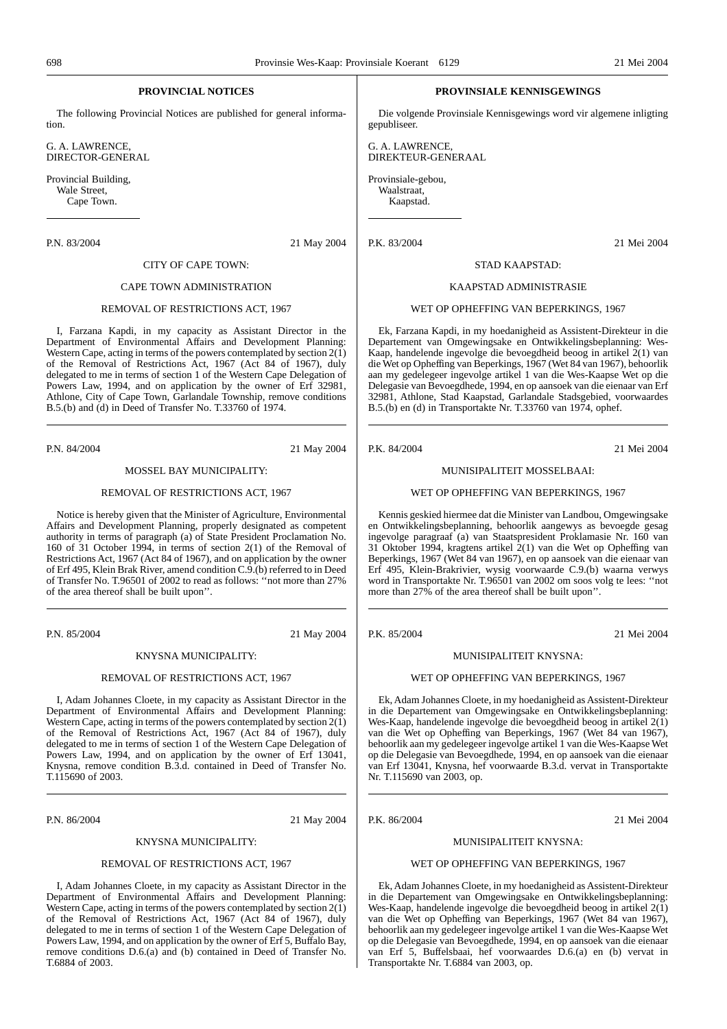### **PROVINCIAL NOTICES**

The following Provincial Notices are published for general information.

G. A. LAWRENCE, DIRECTOR-GENERAL

Provincial Building, Wale Street, Cape Town.

P.N. 83/2004 21 May 2004

#### CITY OF CAPE TOWN:

#### CAPE TOWN ADMINISTRATION

#### REMOVAL OF RESTRICTIONS ACT, 1967

I, Farzana Kapdi, in my capacity as Assistant Director in the Department of Environmental Affairs and Development Planning: Western Cape, acting in terms of the powers contemplated by section  $2(\tilde{1})$ of the Removal of Restrictions Act, 1967 (Act 84 of 1967), duly delegated to me in terms of section 1 of the Western Cape Delegation of Powers Law, 1994, and on application by the owner of Erf 32981, Athlone, City of Cape Town, Garlandale Township, remove conditions B.5.(b) and (d) in Deed of Transfer No. T.33760 of 1974.

P.N. 84/2004 21 May 2004

#### MOSSEL BAY MUNICIPALITY:

#### REMOVAL OF RESTRICTIONS ACT, 1967

Notice is hereby given that the Minister of Agriculture, Environmental Affairs and Development Planning, properly designated as competent authority in terms of paragraph (a) of State President Proclamation No. 160 of 31 October 1994, in terms of section 2(1) of the Removal of Restrictions Act, 1967 (Act 84 of 1967), and on application by the owner of Erf 495, Klein Brak River, amend condition C.9.(b) referred to in Deed of Transfer No. T.96501 of 2002 to read as follows: ''not more than 27% of the area thereof shall be built upon''.

P.N. 85/2004 21 May 2004

#### KNYSNA MUNICIPALITY:

#### REMOVAL OF RESTRICTIONS ACT, 1967

I, Adam Johannes Cloete, in my capacity as Assistant Director in the Department of Environmental Affairs and Development Planning: Western Cape, acting in terms of the powers contemplated by section  $2(1)$ of the Removal of Restrictions Act, 1967 (Act 84 of 1967), duly delegated to me in terms of section 1 of the Western Cape Delegation of Powers Law, 1994, and on application by the owner of Erf 13041, Knysna, remove condition B.3.d. contained in Deed of Transfer No. T.115690 of 2003.

P.N. 86/2004 21 May 2004

#### KNYSNA MUNICIPALITY:

#### REMOVAL OF RESTRICTIONS ACT, 1967

I, Adam Johannes Cloete, in my capacity as Assistant Director in the Department of Environmental Affairs and Development Planning: Western Cape, acting in terms of the powers contemplated by section  $2(\tilde{1})$ of the Removal of Restrictions Act, 1967 (Act 84 of 1967), duly delegated to me in terms of section 1 of the Western Cape Delegation of Powers Law, 1994, and on application by the owner of Erf 5, Buffalo Bay, remove conditions D.6.(a) and (b) contained in Deed of Transfer No. T.6884 of 2003.

#### **PROVINSIALE KENNISGEWINGS**

Die volgende Provinsiale Kennisgewings word vir algemene inligting gepubliseer.

G. A. LAWRENCE, DIREKTEUR-GENERAAL

Provinsiale-gebou, Waalstraat, Kaapstad.

P.K. 83/2004 21 Mei 2004

### STAD KAAPSTAD:

#### KAAPSTAD ADMINISTRASIE

#### WET OP OPHEFFING VAN BEPERKINGS, 1967

Ek, Farzana Kapdi, in my hoedanigheid as Assistent-Direkteur in die Departement van Omgewingsake en Ontwikkelingsbeplanning: Wes-Kaap, handelende ingevolge die bevoegdheid beoog in artikel  $\tilde{2}(1)$  van die Wet op Opheffing van Beperkings, 1967 (Wet 84 van 1967), behoorlik aan my gedelegeer ingevolge artikel 1 van die Wes-Kaapse Wet op die Delegasie van Bevoegdhede, 1994, en op aansoek van die eienaar van Erf 32981, Athlone, Stad Kaapstad, Garlandale Stadsgebied, voorwaardes B.5.(b) en (d) in Transportakte Nr. T.33760 van 1974, ophef.

P.K. 84/2004 21 Mei 2004

#### MUNISIPALITEIT MOSSELBAAI:

#### WET OP OPHEFFING VAN BEPERKINGS, 1967

Kennis geskied hiermee dat die Minister van Landbou, Omgewingsake en Ontwikkelingsbeplanning, behoorlik aangewys as bevoegde gesag ingevolge paragraaf (a) van Staatspresident Proklamasie Nr. 160 van 31 Oktober 1994, kragtens artikel 2(1) van die Wet op Opheffing van Beperkings, 1967 (Wet 84 van 1967), en op aansoek van die eienaar van Erf 495, Klein-Brakrivier, wysig voorwaarde C.9.(b) waarna verwys word in Transportakte Nr. T.96501 van 2002 om soos volg te lees: ''not more than 27% of the area thereof shall be built upon''.

P.K. 85/2004 21 Mei 2004

#### MUNISIPALITEIT KNYSNA:

#### WET OP OPHEFFING VAN BEPERKINGS, 1967

Ek, Adam Johannes Cloete, in my hoedanigheid as Assistent-Direkteur in die Departement van Omgewingsake en Ontwikkelingsbeplanning: Wes-Kaap, handelende ingevolge die bevoegdheid beoog in artikel 2(1) van die Wet op Opheffing van Beperkings, 1967 (Wet 84 van 1967), behoorlik aan my gedelegeer ingevolge artikel 1 van die Wes-Kaapse Wet op die Delegasie van Bevoegdhede, 1994, en op aansoek van die eienaar van Erf 13041, Knysna, hef voorwaarde B.3.d. vervat in Transportakte Nr. T.115690 van 2003, op.

P.K. 86/2004 21 Mei 2004

#### MUNISIPALITEIT KNYSNA:

#### WET OP OPHEFFING VAN BEPERKINGS, 1967

Ek, Adam Johannes Cloete, in my hoedanigheid as Assistent-Direkteur in die Departement van Omgewingsake en Ontwikkelingsbeplanning: Wes-Kaap, handelende ingevolge die bevoegdheid beoog in artikel 2(1) van die Wet op Opheffing van Beperkings, 1967 (Wet 84 van 1967), behoorlik aan my gedelegeer ingevolge artikel 1 van die Wes-Kaapse Wet op die Delegasie van Bevoegdhede, 1994, en op aansoek van die eienaar van Erf 5, Buffelsbaai, hef voorwaardes D.6.(a) en (b) vervat in Transportakte Nr. T.6884 van 2003, op.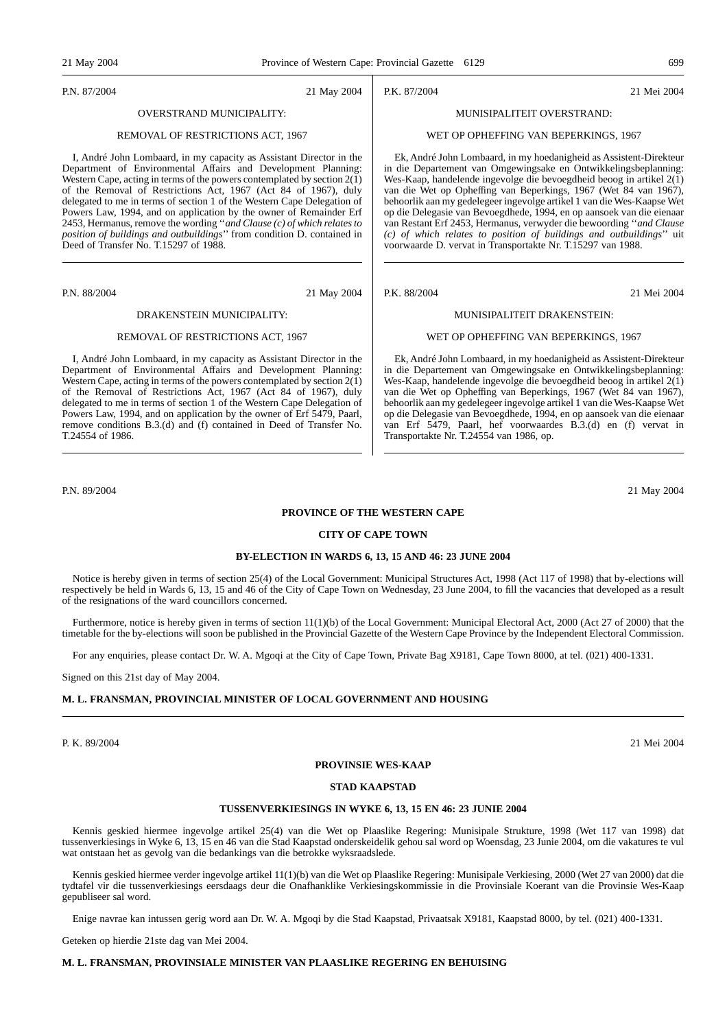P.N. 87/2004 21 May 2004

## OVERSTRAND MUNICIPALITY:

#### REMOVAL OF RESTRICTIONS ACT, 1967

I, André John Lombaard, in my capacity as Assistant Director in the Department of Environmental Affairs and Development Planning: Western Cape, acting in terms of the powers contemplated by section  $2(1)$ of the Removal of Restrictions Act, 1967 (Act 84 of 1967), duly delegated to me in terms of section 1 of the Western Cape Delegation of Powers Law, 1994, and on application by the owner of Remainder Erf 2453, Hermanus, remove the wording ''*and Clause (c) of which relates to position of buildings and outbuildings*'' from condition D. contained in Deed of Transfer No. T.15297 of 1988.

P.N. 88/2004 21 May 2004

### DRAKENSTEIN MUNICIPALITY:

#### REMOVAL OF RESTRICTIONS ACT, 1967

I, André John Lombaard, in my capacity as Assistant Director in the Department of Environmental Affairs and Development Planning: Western Cape, acting in terms of the powers contemplated by section  $2(1)$ of the Removal of Restrictions Act, 1967 (Act 84 of 1967), duly delegated to me in terms of section 1 of the Western Cape Delegation of Powers Law, 1994, and on application by the owner of Erf 5479, Paarl, remove conditions B.3.(d) and (f) contained in Deed of Transfer No. T.24554 of 1986.

## Ek, André John Lombaard, in my hoedanigheid as Assistent-Direkteur

in die Departement van Omgewingsake en Ontwikkelingsbeplanning: Wes-Kaap, handelende ingevolge die bevoegdheid beoog in artikel 2(1) van die Wet op Opheffing van Beperkings, 1967 (Wet 84 van 1967), behoorlik aan my gedelegeer ingevolge artikel 1 van die Wes-Kaapse Wet op die Delegasie van Bevoegdhede, 1994, en op aansoek van die eienaar van Erf 5479, Paarl, hef voorwaardes B.3.(d) en (f) vervat in Transportakte Nr. T.24554 van 1986, op.

WET OP OPHEFFING VAN BEPERKINGS, 1967

P.N. 89/2004 21 May 2004

#### **PROVINCE OF THE WESTERN CAPE**

#### **CITY OF CAPE TOWN**

#### **BY-ELECTION IN WARDS 6, 13, 15 AND 46: 23 JUNE 2004**

Notice is hereby given in terms of section 25(4) of the Local Government: Municipal Structures Act, 1998 (Act 117 of 1998) that by-elections will respectively be held in Wards 6, 13, 15 and 46 of the City of Cape Town on Wednesday, 23 June 2004, to fill the vacancies that developed as a result of the resignations of the ward councillors concerned.

Furthermore, notice is hereby given in terms of section 11(1)(b) of the Local Government: Municipal Electoral Act, 2000 (Act 27 of 2000) that the timetable for the by-elections will soon be published in the Provincial Gazette of the Western Cape Province by the Independent Electoral Commission.

For any enquiries, please contact Dr. W. A. Mgoqi at the City of Cape Town, Private Bag X9181, Cape Town 8000, at tel. (021) 400-1331.

Signed on this 21st day of May 2004.

#### **M. L. FRANSMAN, PROVINCIAL MINISTER OF LOCAL GOVERNMENT AND HOUSING**

P. K. 89/2004 21 Mei 2004

#### **PROVINSIE WES-KAAP**

#### **STAD KAAPSTAD**

#### **TUSSENVERKIESINGS IN WYKE 6, 13, 15 EN 46: 23 JUNIE 2004**

Kennis geskied hiermee ingevolge artikel 25(4) van die Wet op Plaaslike Regering: Munisipale Strukture, 1998 (Wet 117 van 1998) dat tussenverkiesings in Wyke 6, 13, 15 en 46 van die Stad Kaapstad onderskeidelik gehou sal word op Woensdag, 23 Junie 2004, om die vakatures te vul wat ontstaan het as gevolg van die bedankings van die betrokke wyksraadslede.

Kennis geskied hiermee verder ingevolge artikel 11(1)(b) van die Wet op Plaaslike Regering: Munisipale Verkiesing, 2000 (Wet 27 van 2000) dat die tydtafel vir die tussenverkiesings eersdaags deur die Onafhanklike Verkiesingskommissie in die Provinsiale Koerant van die Provinsie Wes-Kaap gepubliseer sal word.

Enige navrae kan intussen gerig word aan Dr. W. A. Mgoqi by die Stad Kaapstad, Privaatsak X9181, Kaapstad 8000, by tel. (021) 400-1331.

Geteken op hierdie 21ste dag van Mei 2004.

## **M. L. FRANSMAN, PROVINSIALE MINISTER VAN PLAASLIKE REGERING EN BEHUISING**

# MUNISIPALITEIT OVERSTRAND: WET OP OPHEFFING VAN BEPERKINGS, 1967

P.K. 87/2004 21 Mei 2004

Ek, André John Lombaard, in my hoedanigheid as Assistent-Direkteur in die Departement van Omgewingsake en Ontwikkelingsbeplanning: Wes-Kaap, handelende ingevolge die bevoegdheid beoog in artikel 2(1) van die Wet op Opheffing van Beperkings, 1967 (Wet 84 van 1967), behoorlik aan my gedelegeer ingevolge artikel 1 van die Wes-Kaapse Wet op die Delegasie van Bevoegdhede, 1994, en op aansoek van die eienaar van Restant Erf 2453, Hermanus, verwyder die bewoording ''*and Clause (c) of which relates to position of buildings and outbuildings*'' uit voorwaarde D. vervat in Transportakte Nr. T.15297 van 1988.

P.K. 88/2004 21 Mei 2004

## MUNISIPALITEIT DRAKENSTEIN: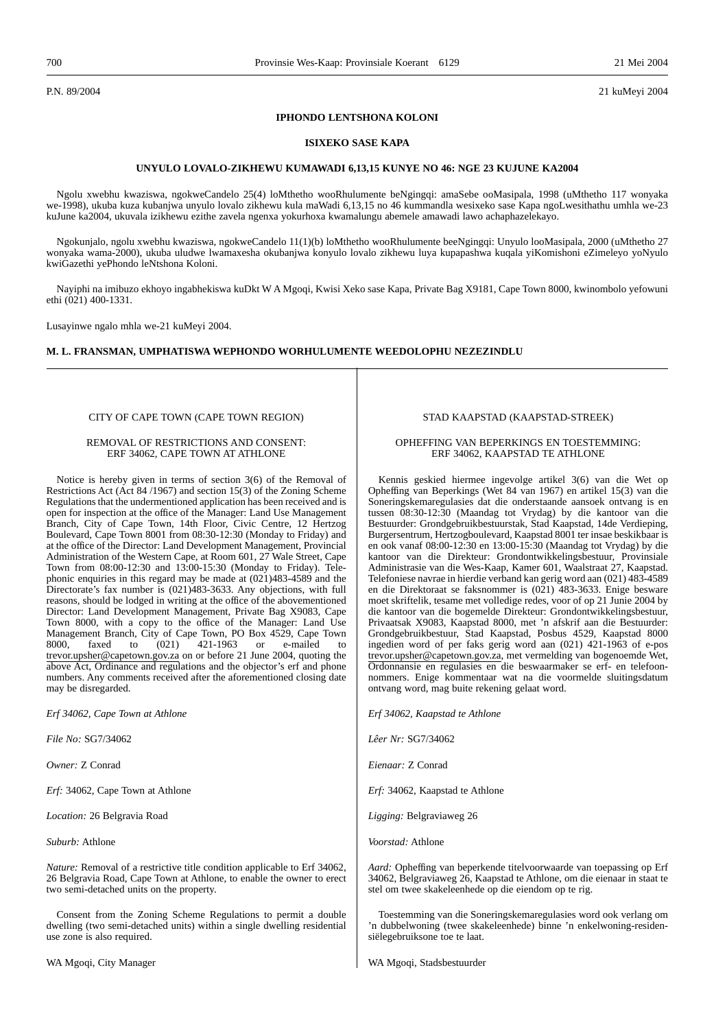P.N. 89/2004 21 kuMeyi 2004

#### **IPHONDO LENTSHONA KOLONI**

#### **ISIXEKO SASE KAPA**

#### **UNYULO LOVALO-ZIKHEWU KUMAWADI 6,13,15 KUNYE NO 46: NGE 23 KUJUNE KA2004**

Ngolu xwebhu kwaziswa, ngokweCandelo 25(4) loMthetho wooRhulumente beNgingqi: amaSebe ooMasipala, 1998 (uMthetho 117 wonyaka we-1998), ukuba kuza kubanjwa unyulo lovalo zikhewu kula maWadi 6,13,15 no 46 kummandla wesixeko sase Kapa ngoLwesithathu umhla we-23 kuJune ka2004, ukuvala izikhewu ezithe zavela ngenxa yokurhoxa kwamalungu abemele amawadi lawo achaphazelekayo.

Ngokunjalo, ngolu xwebhu kwaziswa, ngokweCandelo 11(1)(b) loMthetho wooRhulumente beeNgingqi: Unyulo looMasipala, 2000 (uMthetho 27 wonyaka wama-2000), ukuba uludwe lwamaxesha okubanjwa konyulo lovalo zikhewu luya kupapashwa kuqala yiKomishoni eZimeleyo yoNyulo kwiGazethi yePhondo leNtshona Koloni.

Nayiphi na imibuzo ekhoyo ingabhekiswa kuDkt W A Mgoqi, Kwisi Xeko sase Kapa, Private Bag X9181, Cape Town 8000, kwinombolo yefowuni ethi (021) 400-1331.

Lusayinwe ngalo mhla we-21 kuMeyi 2004.

#### **M. L. FRANSMAN, UMPHATISWA WEPHONDO WORHULUMENTE WEEDOLOPHU NEZEZINDLU**

#### CITY OF CAPE TOWN (CAPE TOWN REGION)

#### REMOVAL OF RESTRICTIONS AND CONSENT: ERF 34062, CAPE TOWN AT ATHLONE

Notice is hereby given in terms of section 3(6) of the Removal of Restrictions Act (Act 84 /1967) and section 15(3) of the Zoning Scheme Regulations that the undermentioned application has been received and is open for inspection at the office of the Manager: Land Use Management Branch, City of Cape Town, 14th Floor, Civic Centre, 12 Hertzog Boulevard, Cape Town 8001 from 08:30-12:30 (Monday to Friday) and at the office of the Director: Land Development Management, Provincial Administration of the Western Cape, at Room 601, 27 Wale Street, Cape Town from 08:00-12:30 and 13:00-15:30 (Monday to Friday). Telephonic enquiries in this regard may be made at (021)483-4589 and the Directorate's fax number is (021)483-3633. Any objections, with full reasons, should be lodged in writing at the office of the abovementioned Director: Land Development Management, Private Bag X9083, Cape Town 8000, with a copy to the office of the Manager: Land Use Management Branch, City of Cape Town, PO Box 4529, Cape Town 8000, faxed to (021) 421-1963 or e-mailed to 8000, faxed to (021) 421-1963 or e-mailed to trevor.upsher@capetown.gov.za on or before 21 June 2004, quoting the above Act, Ordinance and regulations and the objector's erf and phone numbers. Any comments received after the aforementioned closing date may be disregarded.

*Erf 34062, Cape Town at Athlone*

*File No:* SG7/34062

*Owner:* Z Conrad

*Erf:* 34062, Cape Town at Athlone

*Location:* 26 Belgravia Road

*Suburb:* Athlone

*Nature:* Removal of a restrictive title condition applicable to Erf 34062, 26 Belgravia Road, Cape Town at Athlone, to enable the owner to erect two semi-detached units on the property.

Consent from the Zoning Scheme Regulations to permit a double dwelling (two semi-detached units) within a single dwelling residential use zone is also required.

#### STAD KAAPSTAD (KAAPSTAD-STREEK)

#### OPHEFFING VAN BEPERKINGS EN TOESTEMMING: ERF 34062, KAAPSTAD TE ATHLONE

Kennis geskied hiermee ingevolge artikel 3(6) van die Wet op Opheffing van Beperkings (Wet 84 van 1967) en artikel 15(3) van die Soneringskemaregulasies dat die onderstaande aansoek ontvang is en tussen 08:30-12:30 (Maandag tot Vrydag) by die kantoor van die Bestuurder: Grondgebruikbestuurstak, Stad Kaapstad, 14de Verdieping, Burgersentrum, Hertzogboulevard, Kaapstad 8001 ter insae beskikbaar is en ook vanaf 08:00-12:30 en 13:00-15:30 (Maandag tot Vrydag) by die kantoor van die Direkteur: Grondontwikkelingsbestuur, Provinsiale Administrasie van die Wes-Kaap, Kamer 601, Waalstraat 27, Kaapstad. Telefoniese navrae in hierdie verband kan gerig word aan (021) 483-4589 en die Direktoraat se faksnommer is (021) 483-3633. Enige besware moet skriftelik, tesame met volledige redes, voor of op 21 Junie 2004 by die kantoor van die bogemelde Direkteur: Grondontwikkelingsbestuur, Privaatsak X9083, Kaapstad 8000, met 'n afskrif aan die Bestuurder: Grondgebruikbestuur, Stad Kaapstad, Posbus 4529, Kaapstad 8000 ingedien word of per faks gerig word aan (021) 421-1963 of e-pos trevor.upsher@capetown.gov.za, met vermelding van bogenoemde Wet, Ordonnansie en regulasies en die beswaarmaker se erf- en telefoonnommers. Enige kommentaar wat na die voormelde sluitingsdatum ontvang word, mag buite rekening gelaat word.

*Erf 34062, Kaapstad te Athlone*

*Lêer Nr:* SG7/34062

*Eienaar:* Z Conrad

*Erf:* 34062, Kaapstad te Athlone

*Ligging:* Belgraviaweg 26

*Voorstad:* Athlone

*Aard:* Opheffing van beperkende titelvoorwaarde van toepassing op Erf 34062, Belgraviaweg 26, Kaapstad te Athlone, om die eienaar in staat te stel om twee skakeleenhede op die eiendom op te rig.

Toestemming van die Soneringskemaregulasies word ook verlang om 'n dubbelwoning (twee skakeleenhede) binne 'n enkelwoning-residensiëlegebruiksone toe te laat.

WA Mgoqi, Stadsbestuurder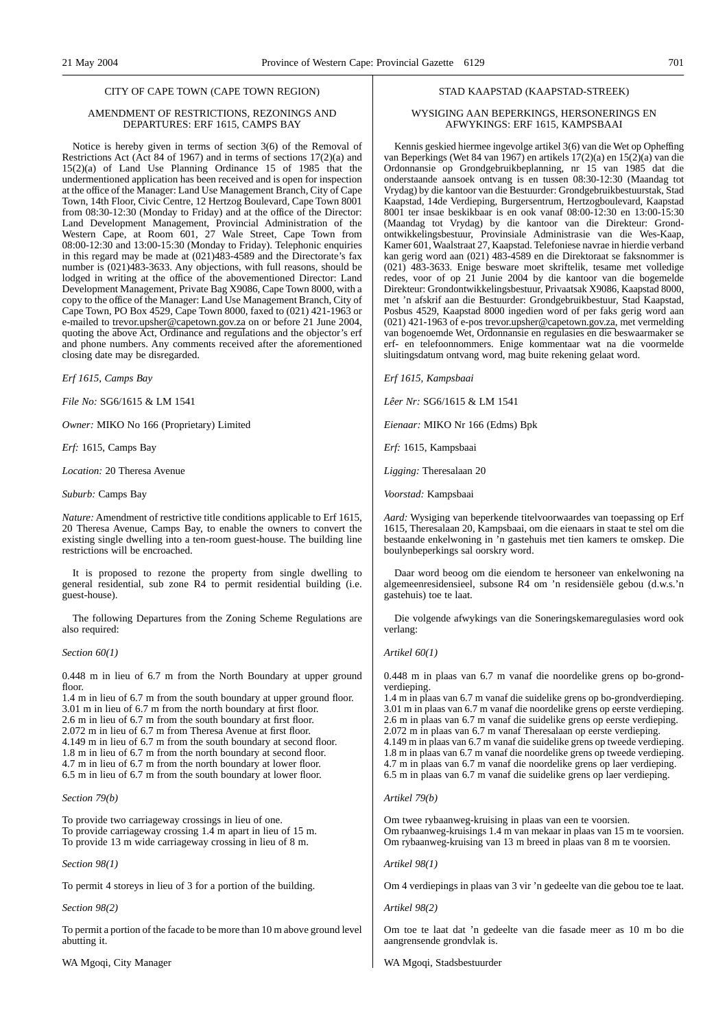#### CITY OF CAPE TOWN (CAPE TOWN REGION)

#### AMENDMENT OF RESTRICTIONS, REZONINGS AND DEPARTURES: ERF 1615, CAMPS BAY

Notice is hereby given in terms of section 3(6) of the Removal of Restrictions Act (Act 84 of 1967) and in terms of sections 17(2)(a) and 15(2)(a) of Land Use Planning Ordinance 15 of 1985 that the undermentioned application has been received and is open for inspection at the office of the Manager: Land Use Management Branch, City of Cape Town, 14th Floor, Civic Centre, 12 Hertzog Boulevard, Cape Town 8001 from 08:30-12:30 (Monday to Friday) and at the office of the Director: Land Development Management, Provincial Administration of the Western Cape, at Room 601, 27 Wale Street, Cape Town from 08:00-12:30 and 13:00-15:30 (Monday to Friday). Telephonic enquiries in this regard may be made at (021)483-4589 and the Directorate's fax number is (021)483-3633. Any objections, with full reasons, should be lodged in writing at the office of the abovementioned Director: Land Development Management, Private Bag X9086, Cape Town 8000, with a copy to the office of the Manager: Land Use Management Branch, City of Cape Town, PO Box 4529, Cape Town 8000, faxed to (021) 421-1963 or e-mailed to trevor.upsher@capetown.gov.za on or before 21 June 2004, quoting the above Act, Ordinance and regulations and the objector's erf and phone numbers. Any comments received after the aforementioned closing date may be disregarded.

*Erf 1615, Camps Bay*

*File No:* SG6/1615 & LM 1541

*Owner:* MIKO No 166 (Proprietary) Limited

*Erf:* 1615, Camps Bay

*Location:* 20 Theresa Avenue

*Suburb:* Camps Bay

*Nature:* Amendment of restrictive title conditions applicable to Erf 1615, 20 Theresa Avenue, Camps Bay, to enable the owners to convert the existing single dwelling into a ten-room guest-house. The building line restrictions will be encroached.

It is proposed to rezone the property from single dwelling to general residential, sub zone R4 to permit residential building (i.e. guest-house).

The following Departures from the Zoning Scheme Regulations are also required:

#### *Section 60(1)*

0.448 m in lieu of 6.7 m from the North Boundary at upper ground floor.

1.4 m in lieu of 6.7 m from the south boundary at upper ground floor. 3.01 m in lieu of 6.7 m from the north boundary at first floor. 2.6 m in lieu of 6.7 m from the south boundary at first floor. 2.072 m in lieu of 6.7 m from Theresa Avenue at first floor. 4.149 m in lieu of 6.7 m from the south boundary at second floor. 1.8 m in lieu of 6.7 m from the north boundary at second floor. 4.7 m in lieu of 6.7 m from the north boundary at lower floor. 6.5 m in lieu of 6.7 m from the south boundary at lower floor.

#### *Section 79(b)*

To provide two carriageway crossings in lieu of one. To provide carriageway crossing 1.4 m apart in lieu of 15 m. To provide 13 m wide carriageway crossing in lieu of 8 m.

*Section 98(1)*

To permit 4 storeys in lieu of 3 for a portion of the building.

*Section 98(2)*

To permit a portion of the facade to be more than 10 m above ground level abutting it.

WA Mgoqi, City Manager

#### STAD KAAPSTAD (KAAPSTAD-STREEK)

#### WYSIGING AAN BEPERKINGS, HERSONERINGS EN AFWYKINGS: ERF 1615, KAMPSBAAI

Kennis geskied hiermee ingevolge artikel 3(6) van die Wet op Opheffing van Beperkings (Wet 84 van 1967) en artikels 17(2)(a) en 15(2)(a) van die Ordonnansie op Grondgebruikbeplanning, nr 15 van 1985 dat die onderstaande aansoek ontvang is en tussen 08:30-12:30 (Maandag tot Vrydag) by die kantoor van die Bestuurder: Grondgebruikbestuurstak, Stad Kaapstad, 14de Verdieping, Burgersentrum, Hertzogboulevard, Kaapstad 8001 ter insae beskikbaar is en ook vanaf 08:00-12:30 en 13:00-15:30 (Maandag tot Vrydag) by die kantoor van die Direkteur: Grondontwikkelingsbestuur, Provinsiale Administrasie van die Wes-Kaap, Kamer 601, Waalstraat 27, Kaapstad. Telefoniese navrae in hierdie verband kan gerig word aan (021) 483-4589 en die Direktoraat se faksnommer is (021) 483-3633. Enige besware moet skriftelik, tesame met volledige redes, voor of op 21 Junie 2004 by die kantoor van die bogemelde Direkteur: Grondontwikkelingsbestuur, Privaatsak X9086, Kaapstad 8000, met 'n afskrif aan die Bestuurder: Grondgebruikbestuur, Stad Kaapstad, Posbus 4529, Kaapstad 8000 ingedien word of per faks gerig word aan (021) 421-1963 of e-pos trevor.upsher@capetown.gov.za, met vermelding van bogenoemde Wet, Ordonnansie en regulasies en die beswaarmaker se erf- en telefoonnommers. Enige kommentaar wat na die voormelde sluitingsdatum ontvang word, mag buite rekening gelaat word.

*Erf 1615, Kampsbaai*

*Lêer Nr:* SG6/1615 & LM 1541

*Eienaar:* MIKO Nr 166 (Edms) Bpk

*Erf:* 1615, Kampsbaai

*Ligging:* Theresalaan 20

*Voorstad:* Kampsbaai

*Aard:* Wysiging van beperkende titelvoorwaardes van toepassing op Erf 1615, Theresalaan 20, Kampsbaai, om die eienaars in staat te stel om die bestaande enkelwoning in 'n gastehuis met tien kamers te omskep. Die boulynbeperkings sal oorskry word.

Daar word beoog om die eiendom te hersoneer van enkelwoning na algemeenresidensieel, subsone R4 om 'n residensiële gebou (d.w.s.'n gastehuis) toe te laat.

Die volgende afwykings van die Soneringskemaregulasies word ook verlang:

#### *Artikel 60(1)*

0.448 m in plaas van 6.7 m vanaf die noordelike grens op bo-grondverdieping.

1.4 m in plaas van 6.7 m vanaf die suidelike grens op bo-grondverdieping. 3.01 m in plaas van 6.7 m vanaf die noordelike grens op eerste verdieping. 2.6 m in plaas van 6.7 m vanaf die suidelike grens op eerste verdieping. 2.072 m in plaas van 6.7 m vanaf Theresalaan op eerste verdieping. 4.149 m in plaas van 6.7 m vanaf die suidelike grens op tweede verdieping. 1.8 m in plaas van 6.7 m vanaf die noordelike grens op tweede verdieping. 4.7 m in plaas van 6.7 m vanaf die noordelike grens op laer verdieping. 6.5 m in plaas van 6.7 m vanaf die suidelike grens op laer verdieping.

#### *Artikel 79(b)*

Om twee rybaanweg-kruising in plaas van een te voorsien. Om rybaanweg-kruisings 1.4 m van mekaar in plaas van 15 m te voorsien. Om rybaanweg-kruising van 13 m breed in plaas van 8 m te voorsien.

*Artikel 98(1)*

Om 4 verdiepings in plaas van 3 vir 'n gedeelte van die gebou toe te laat.

*Artikel 98(2)*

Om toe te laat dat 'n gedeelte van die fasade meer as 10 m bo die aangrensende grondvlak is.

WA Mgoqi, Stadsbestuurder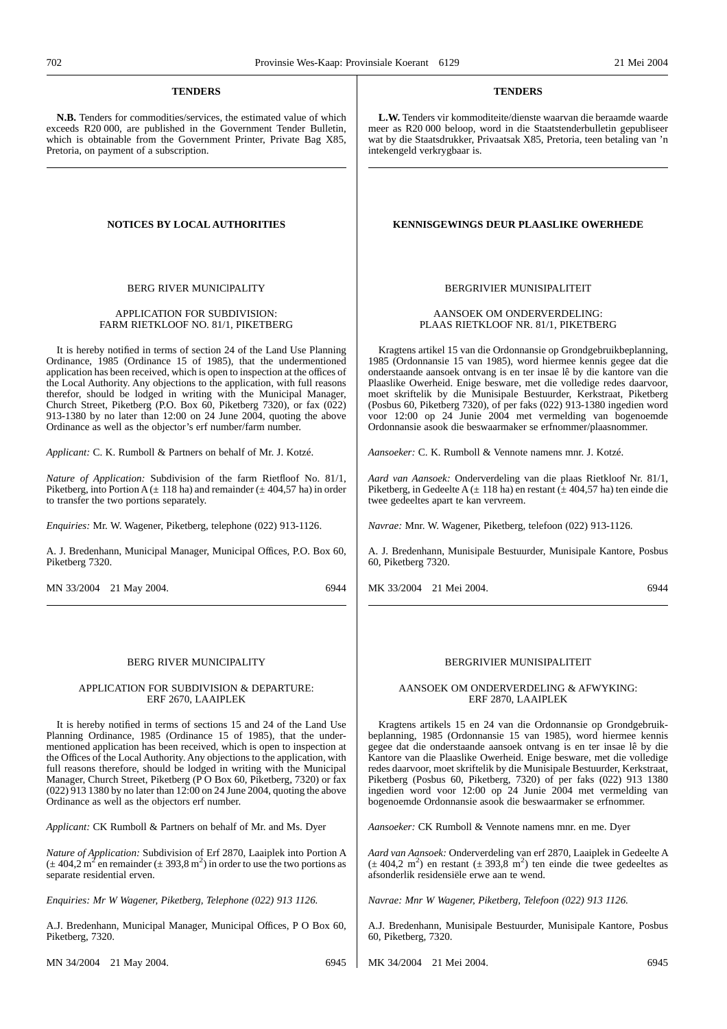#### **TENDERS**

**N.B.** Tenders for commodities/services, the estimated value of which exceeds R20 000, are published in the Government Tender Bulletin, which is obtainable from the Government Printer, Private Bag X85, Pretoria, on payment of a subscription.

#### BERG RIVER MUNIClPALITY

#### APPLICATION FOR SUBDIVISION: FARM RIETKLOOF NO. 81/1, PIKETBERG

It is hereby notified in terms of section 24 of the Land Use Planning Ordinance, 1985 (Ordinance 15 of 1985), that the undermentioned application has been received, which is open to inspection at the offices of the Local Authority. Any objections to the application, with full reasons therefor, should be lodged in writing with the Municipal Manager, Church Street, Piketberg (P.O. Box 60, Piketberg 7320), or fax  $(022)$ 913-1380 by no later than 12:00 on 24 June 2004, quoting the above Ordinance as well as the objector's erf number/farm number.

*Applicant:* C. K. Rumboll & Partners on behalf of Mr. J. Kotzé.

*Nature of Application:* Subdivision of the farm Rietfloof No. 81/1, Piketberg, into Portion A ( $\pm$  118 ha) and remainder ( $\pm$  404,57 ha) in order to transfer the two portions separately.

*Enquiries:* Mr. W. Wagener, Piketberg, telephone (022) 913-1126.

A. J. Bredenhann, Municipal Manager, Municipal Offices, P.O. Box 60, Piketberg 7320.

MN 33/2004 21 May 2004. 6944

#### BERG RIVER MUNICIPALITY

#### APPLICATION FOR SUBDIVISION & DEPARTURE: ERF 2670, LAAIPLEK

It is hereby notified in terms of sections 15 and 24 of the Land Use Planning Ordinance, 1985 (Ordinance 15 of 1985), that the undermentioned application has been received, which is open to inspection at the Offices of the Local Authority. Any objections to the application, with full reasons therefore, should be lodged in writing with the Municipal Manager, Church Street, Piketberg (P O Box 60, Piketberg, 7320) or fax (022) 913 1380 by no later than 12:00 on 24 June 2004, quoting the above Ordinance as well as the objectors erf number.

*Applicant:* CK Rumboll & Partners on behalf of Mr. and Ms. Dyer

*Nature of Application:* Subdivision of Erf 2870, Laaiplek into Portion A  $(\pm 404.2 \text{ m}^2 \text{ en remainder } (\pm 393.8 \text{ m}^2) \text{ in order to use the two portions as }$ separate residential erven.

*Enquiries: Mr W Wagener, Piketberg, Telephone (022) 913 1126.*

A.J. Bredenhann, Municipal Manager, Municipal Offices, P O Box 60, Piketberg, 7320.

MN 34/2004 21 May 2004. 6945

#### **TENDERS**

**L.W.** Tenders vir kommoditeite/dienste waarvan die beraamde waarde meer as R20 000 beloop, word in die Staatstenderbulletin gepubliseer wat by die Staatsdrukker, Privaatsak X85, Pretoria, teen betaling van 'n intekengeld verkrygbaar is.

#### **NOTICES BY LOCAL AUTHORITIES KENNISGEWINGS DEUR PLAASLIKE OWERHEDE**

#### BERGRIVIER MUNISIPALITEIT

#### AANSOEK OM ONDERVERDELING: PLAAS RIETKLOOF NR. 81/1, PIKETBERG

Kragtens artikel 15 van die Ordonnansie op Grondgebruikbeplanning, 1985 (Ordonnansie 15 van 1985), word hiermee kennis gegee dat die onderstaande aansoek ontvang is en ter insae lê by die kantore van die Plaaslike Owerheid. Enige besware, met die volledige redes daarvoor, moet skriftelik by die Munisipale Bestuurder, Kerkstraat, Piketberg (Posbus 60, Piketberg 7320), of per faks (022) 913-1380 ingedien word voor 12:00 op 24 Junie 2004 met vermelding van bogenoemde Ordonnansie asook die beswaarmaker se erfnommer/plaasnommer.

*Aansoeker:* C. K. Rumboll & Vennote namens mnr. J. Kotzé.

*Aard van Aansoek:* Onderverdeling van die plaas Rietkloof Nr. 81/1, Piketberg, in Gedeelte A ( $\pm$  118 ha) en restant ( $\pm$  404,57 ha) ten einde die twee gedeeltes apart te kan vervreem.

*Navrae:* Mnr. W. Wagener, Piketberg, telefoon (022) 913-1126.

A. J. Bredenhann, Munisipale Bestuurder, Munisipale Kantore, Posbus 60, Piketberg 7320.

MK 33/2004 21 Mei 2004. 6944

#### BERGRIVIER MUNISIPALITEIT

#### AANSOEK OM ONDERVERDELING & AFWYKING: ERF 2870, LAAIPLEK

Kragtens artikels 15 en 24 van die Ordonnansie op Grondgebruikbeplanning, 1985 (Ordonnansie 15 van 1985), word hiermee kennis gegee dat die onderstaande aansoek ontvang is en ter insae lê by die Kantore van die Plaaslike Owerheid. Enige besware, met die volledige redes daarvoor, moet skriftelik by die Munisipale Bestuurder, Kerkstraat, Piketberg (Posbus 60, Piketberg, 7320) of per faks (022) 913 1380 ingedien word voor 12:00 op 24 Junie 2004 met vermelding van bogenoemde Ordonnansie asook die beswaarmaker se erfnommer.

*Aansoeker:* CK Rumboll & Vennote namens mnr. en me. Dyer

*Aard van Aansoek:* Onderverdeling van erf 2870, Laaiplek in Gedeelte A  $(\pm 404.2 \text{ m}^2)$  en restant  $(\pm 393.8 \text{ m}^2)$  ten einde die twee gedeeltes as afsonderlik residensiële erwe aan te wend.

*Navrae: Mnr W Wagener, Piketberg, Telefoon (022) 913 1126.*

A.J. Bredenhann, Munisipale Bestuurder, Munisipale Kantore, Posbus 60, Piketberg, 7320.

MK 34/2004 21 Mei 2004. 6945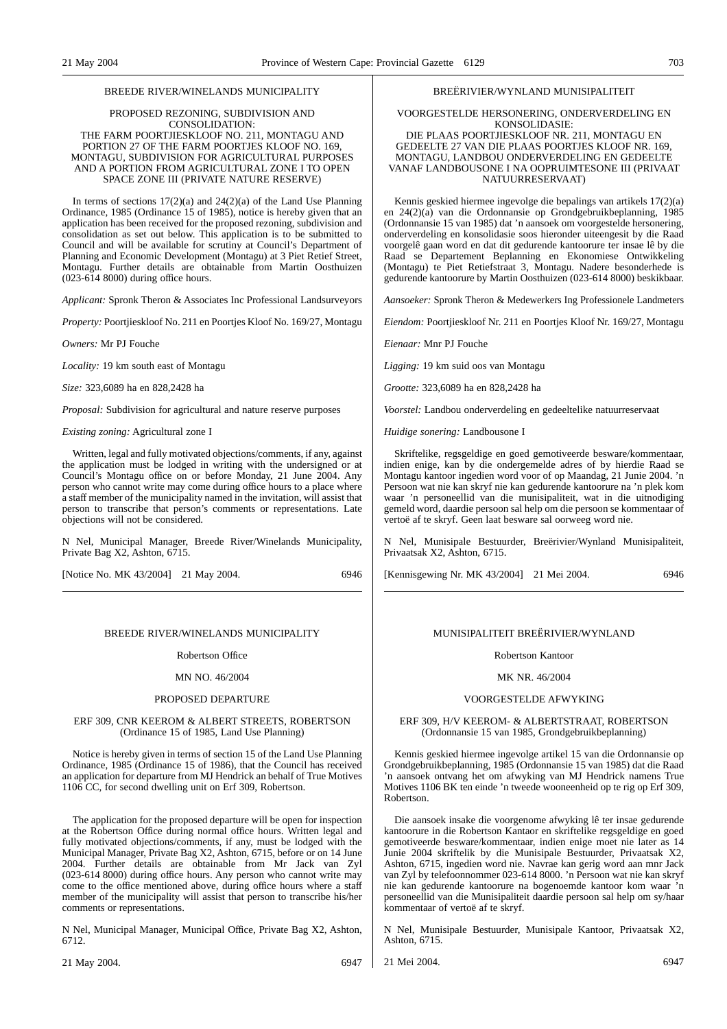#### BREEDE RIVER/WINELANDS MUNICIPALITY

#### PROPOSED REZONING, SUBDIVISION AND CONSOLIDATION: THE FARM POORTJIESKLOOF NO. 211, MONTAGU AND PORTION 27 OF THE FARM POORTJES KLOOF NO. 169, MONTAGU, SUBDIVISION FOR AGRICULTURAL PURPOSES AND A PORTION FROM AGRICULTURAL ZONE I TO OPEN SPACE ZONE III (PRIVATE NATURE RESERVE)

In terms of sections  $17(2)(a)$  and  $24(2)(a)$  of the Land Use Planning Ordinance, 1985 (Ordinance 15 of 1985), notice is hereby given that an application has been received for the proposed rezoning, subdivision and consolidation as set out below. This application is to be submitted to Council and will be available for scrutiny at Council's Department of Planning and Economic Development (Montagu) at 3 Piet Retief Street, Montagu. Further details are obtainable from Martin Oosthuizen  $(023-614 8000)$  during office hours.

*Applicant:* Spronk Theron & Associates Inc Professional Landsurveyors

*Property:* Poortjieskloof No. 211 en Poortjes Kloof No. 169/27, Montagu

*Owners:* Mr PJ Fouche

*Locality:* 19 km south east of Montagu

*Size:* 323,6089 ha en 828,2428 ha

*Proposal:* Subdivision for agricultural and nature reserve purposes

*Existing zoning:* Agricultural zone I

Written, legal and fully motivated objections/comments, if any, against the application must be lodged in writing with the undersigned or at Council's Montagu office on or before Monday, 21 June 2004. Any person who cannot write may come during office hours to a place where a staff member of the municipality named in the invitation, will assist that person to transcribe that person's comments or representations. Late objections will not be considered.

N Nel, Municipal Manager, Breede River/Winelands Municipality, Private Bag X2, Ashton, 6715.

[Notice No. MK 43/2004] 21 May 2004. 6946

#### BREEDE RIVER/WINELANDS MUNICIPALITY

#### Robertson Office

#### MN NO. 46/2004

#### PROPOSED DEPARTURE

#### ERF 309, CNR KEEROM & ALBERT STREETS, ROBERTSON (Ordinance 15 of 1985, Land Use Planning)

Notice is hereby given in terms of section 15 of the Land Use Planning Ordinance, 1985 (Ordinance 15 of 1986), that the Council has received an application for departure from MJ Hendrick an behalf of True Motives 1106 CC, for second dwelling unit on Erf 309, Robertson.

The application for the proposed departure will be open for inspection at the Robertson Office during normal office hours. Written legal and fully motivated objections/comments, if any, must be lodged with the Municipal Manager, Private Bag X2, Ashton, 6715, before or on 14 June 2004. Further details are obtainable from Mr Jack van Zyl (023-614 8000) during office hours. Any person who cannot write may come to the office mentioned above, during office hours where a staff member of the municipality will assist that person to transcribe his/her comments or representations.

N Nel, Municipal Manager, Municipal Office, Private Bag X2, Ashton, 6712.

21 May 2004. 6947

#### BREËRIVIER/WYNLAND MUNISIPALITEIT

#### VOORGESTELDE HERSONERING, ONDERVERDELING EN KONSOLIDASIE:

#### DIE PLAAS POORTJIESKLOOF NR. 211, MONTAGU EN GEDEELTE 27 VAN DIE PLAAS POORTJES KLOOF NR. 169, MONTAGU, LANDBOU ONDERVERDELING EN GEDEELTE VANAF LANDBOUSONE I NA OOPRUIMTESONE III (PRIVAAT NATUURRESERVAAT)

Kennis geskied hiermee ingevolge die bepalings van artikels 17(2)(a) en 24(2)(a) van die Ordonnansie op Grondgebruikbeplanning, 1985 (Ordonnansie 15 van 1985) dat 'n aansoek om voorgestelde hersonering, onderverdeling en konsolidasie soos hieronder uiteengesit by die Raad voorgelê gaan word en dat dit gedurende kantoorure ter insae lê by die Raad se Departement Beplanning en Ekonomiese Ontwikkeling (Montagu) te Piet Retiefstraat 3, Montagu. Nadere besonderhede is gedurende kantoorure by Martin Oosthuizen (023-614 8000) beskikbaar.

*Aansoeker:* Spronk Theron & Medewerkers Ing Professionele Landmeters

*Eiendom:* Poortjieskloof Nr. 211 en Poortjes Kloof Nr. 169/27, Montagu

*Eienaar:* Mnr PJ Fouche

*Ligging:* 19 km suid oos van Montagu

*Grootte:* 323,6089 ha en 828,2428 ha

*Voorstel:* Landbou onderverdeling en gedeeltelike natuurreservaat

*Huidige sonering:* Landbousone I

Skriftelike, regsgeldige en goed gemotiveerde besware/kommentaar, indien enige, kan by die ondergemelde adres of by hierdie Raad se Montagu kantoor ingedien word voor of op Maandag, 21 Junie 2004. 'n Persoon wat nie kan skryf nie kan gedurende kantoorure na 'n plek kom waar 'n personeellid van die munisipaliteit, wat in die uitnodiging gemeld word, daardie persoon sal help om die persoon se kommentaar of vertoë af te skryf. Geen laat besware sal oorweeg word nie.

N Nel, Munisipale Bestuurder, Breërivier/Wynland Munisipaliteit, Privaatsak X2, Ashton, 6715.

[Kennisgewing Nr. MK 43/2004] 21 Mei 2004. 6946

## MUNISIPALITEIT BREËRIVIER/WYNLAND

#### Robertson Kantoor

#### MK NR. 46/2004

#### VOORGESTELDE AFWYKING

ERF 309, H/V KEEROM- & ALBERTSTRAAT, ROBERTSON (Ordonnansie 15 van 1985, Grondgebruikbeplanning)

Kennis geskied hiermee ingevolge artikel 15 van die Ordonnansie op Grondgebruikbeplanning, 1985 (Ordonnansie 15 van 1985) dat die Raad 'n aansoek ontvang het om afwyking van MJ Hendrick namens True Motives 1106 BK ten einde 'n tweede wooneenheid op te rig op Erf 309, Robertson.

Die aansoek insake die voorgenome afwyking lê ter insae gedurende kantoorure in die Robertson Kantaor en skriftelike regsgeldige en goed gemotiveerde besware/kommentaar, indien enige moet nie later as 14 Junie 2004 skriftelik by die Munisipale Bestuurder, Privaatsak X2, Ashton, 6715, ingedien word nie. Navrae kan gerig word aan mnr Jack van Zyl by telefoonnommer 023-614 8000. 'n Persoon wat nie kan skryf nie kan gedurende kantoorure na bogenoemde kantoor kom waar 'n personeellid van die Munisipaliteit daardie persoon sal help om sy/haar kommentaar of vertoë af te skryf.

N Nel, Munisipale Bestuurder, Munisipale Kantoor, Privaatsak X2, Ashton, 6715.

21 Mei 2004. 6947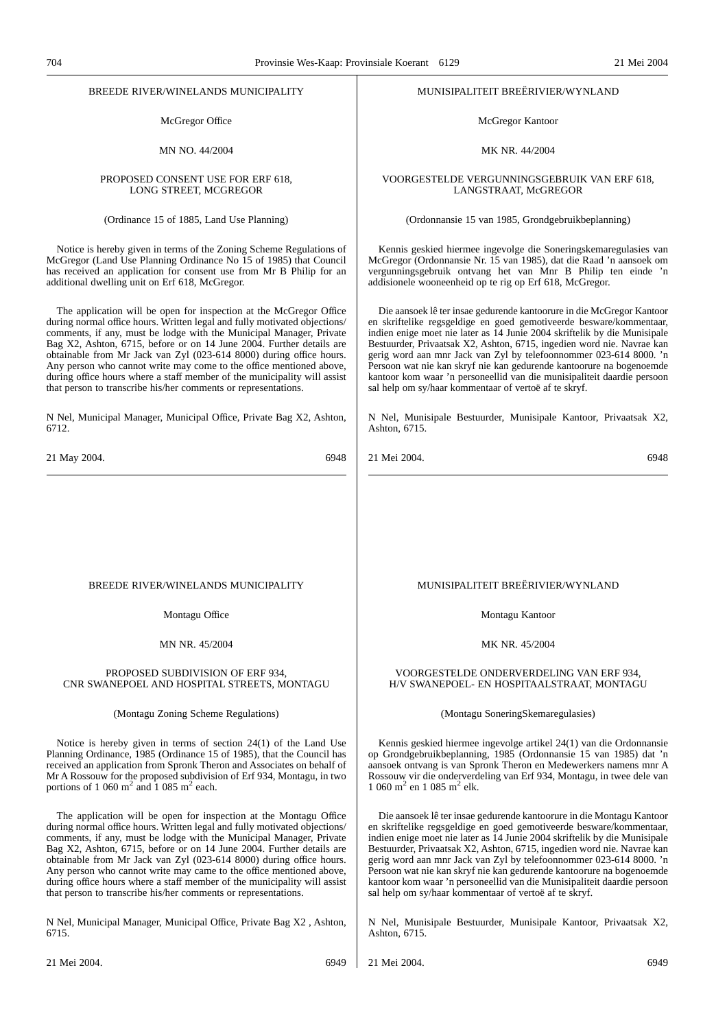#### BREEDE RIVER/WINELANDS MUNICIPALITY

McGregor Office

MN NO. 44/2004

#### PROPOSED CONSENT USE FOR ERF 618, LONG STREET, MCGREGOR

(Ordinance 15 of 1885, Land Use Planning)

Notice is hereby given in terms of the Zoning Scheme Regulations of McGregor (Land Use Planning Ordinance No 15 of 1985) that Council has received an application for consent use from Mr B Philip for an additional dwelling unit on Erf 618, McGregor.

The application will be open for inspection at the McGregor Office during normal office hours. Written legal and fully motivated objections/ comments, if any, must be lodge with the Municipal Manager, Private Bag X2, Ashton, 6715, before or on 14 June 2004. Further details are obtainable from Mr Jack van Zyl (023-614 8000) during office hours. Any person who cannot write may come to the office mentioned above, during office hours where a staff member of the municipality will assist that person to transcribe his/her comments or representations.

N Nel, Municipal Manager, Municipal Office, Private Bag X2, Ashton, 6712.

21 May 2004. 6948

#### MUNISIPALITEIT BREËRIVIER/WYNLAND

McGregor Kantoor

#### MK NR. 44/2004

VOORGESTELDE VERGUNNINGSGEBRUIK VAN ERF 618, LANGSTRAAT, McGREGOR

(Ordonnansie 15 van 1985, Grondgebruikbeplanning)

Kennis geskied hiermee ingevolge die Soneringskemaregulasies van McGregor (Ordonnansie Nr. 15 van 1985), dat die Raad 'n aansoek om vergunningsgebruik ontvang het van Mnr B Philip ten einde 'n addisionele wooneenheid op te rig op Erf 618, McGregor.

Die aansoek lê ter insae gedurende kantoorure in die McGregor Kantoor en skriftelike regsgeldige en goed gemotiveerde besware/kommentaar, indien enige moet nie later as 14 Junie 2004 skriftelik by die Munisipale Bestuurder, Privaatsak X2, Ashton, 6715, ingedien word nie. Navrae kan gerig word aan mnr Jack van Zyl by telefoonnommer 023-614 8000. 'n Persoon wat nie kan skryf nie kan gedurende kantoorure na bogenoemde kantoor kom waar 'n personeellid van die munisipaliteit daardie persoon sal help om sy/haar kommentaar of vertoë af te skryf.

N Nel, Munisipale Bestuurder, Munisipale Kantoor, Privaatsak X2, Ashton, 6715.

21 Mei 2004. 6948

#### BREEDE RIVER/WINELANDS MUNICIPALITY

Montagu Office

#### MN NR. 45/2004

#### PROPOSED SUBDIVISION OF ERF 934, CNR SWANEPOEL AND HOSPITAL STREETS, MONTAGU

#### (Montagu Zoning Scheme Regulations)

Notice is hereby given in terms of section 24(1) of the Land Use Planning Ordinance, 1985 (Ordinance 15 of 1985), that the Council has received an application from Spronk Theron and Associates on behalf of Mr A Rossouw for the proposed subdivision of Erf 934, Montagu, in two portions of 1 060 m<sup>2</sup> and 1 085 m<sup>2</sup> each.

The application will be open for inspection at the Montagu Office during normal office hours. Written legal and fully motivated objections/ comments, if any, must be lodge with the Municipal Manager, Private Bag X2, Ashton, 6715, before or on 14 June 2004. Further details are obtainable from Mr Jack van Zyl (023-614 8000) during office hours. Any person who cannot write may came to the office mentioned above, during office hours where a staff member of the municipality will assist that person to transcribe his/her comments or representations.

N Nel, Municipal Manager, Municipal Office, Private Bag X2 , Ashton, 6715.

#### MUNISIPALITEIT BREËRIVIER/WYNLAND

Montagu Kantoor

MK NR. 45/2004

#### VOORGESTELDE ONDERVERDELING VAN ERF 934, H/V SWANEPOEL- EN HOSPITAALSTRAAT, MONTAGU

(Montagu SoneringSkemaregulasies)

Kennis geskied hiermee ingevolge artikel 24(1) van die Ordonnansie op Grondgebruikbeplanning, 1985 (Ordonnansie 15 van 1985) dat 'n aansoek ontvang is van Spronk Theron en Medewerkers namens mnr A Rossouw vir die onderverdeling van Erf 934, Montagu, in twee dele van 1 060 m<sup>2</sup> en 1 085 m<sup>2</sup> elk.

Die aansoek lê ter insae gedurende kantoorure in die Montagu Kantoor en skriftelike regsgeldige en goed gemotiveerde besware/kommentaar, indien enige moet nie later as 14 Junie 2004 skriftelik by die Munisipale Bestuurder, Privaatsak X2, Ashton, 6715, ingedien word nie. Navrae kan gerig word aan mnr Jack van Zyl by telefoonnommer 023-614 8000. 'n Persoon wat nie kan skryf nie kan gedurende kantoorure na bogenoemde kantoor kom waar 'n personeellid van die Munisipaliteit daardie persoon sal help om sy/haar kommentaar of vertoë af te skryf.

N Nel, Munisipale Bestuurder, Munisipale Kantoor, Privaatsak X2, Ashton, 6715.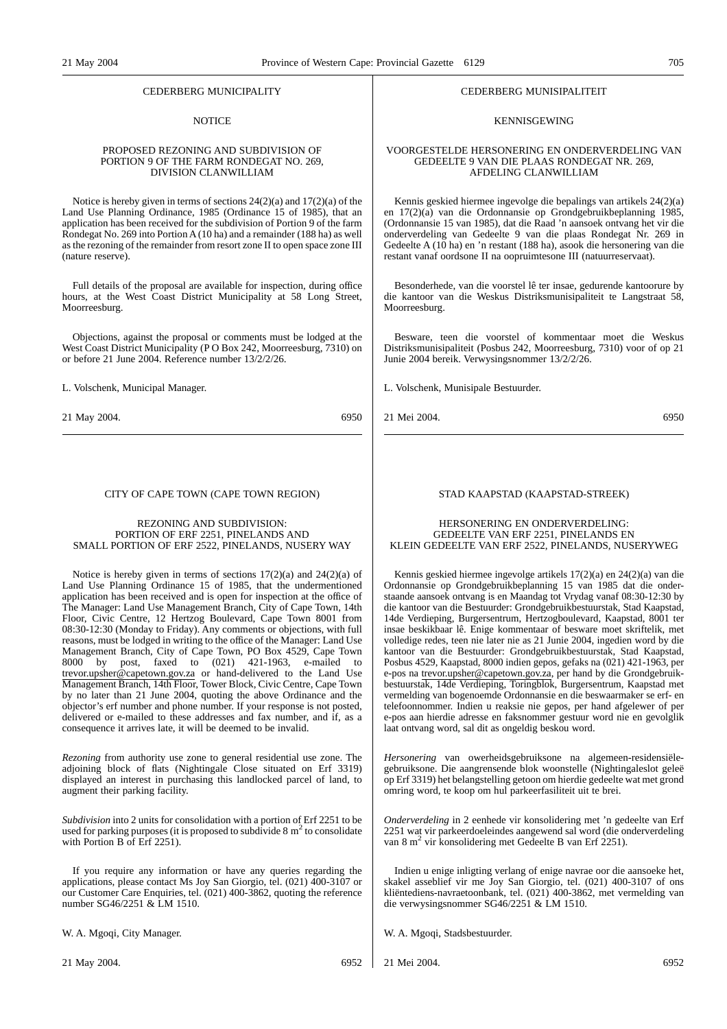#### CEDERBERG MUNICIPALITY

#### **NOTICE**

#### PROPOSED REZONING AND SUBDIVISION OF PORTION 9 OF THE FARM RONDEGAT NO. 269, DIVISION CLANWILLIAM

Notice is hereby given in terms of sections 24(2)(a) and 17(2)(a) of the Land Use Planning Ordinance, 1985 (Ordinance 15 of 1985), that an application has been received for the subdivision of Portion 9 of the farm Rondegat No. 269 into Portion A (10 ha) and a remainder (188 ha) as well as the rezoning of the remainder from resort zone II to open space zone III (nature reserve).

Full details of the proposal are available for inspection, during office hours, at the West Coast District Municipality at 58 Long Street, Moorreesburg.

Objections, against the proposal or comments must be lodged at the West Coast District Municipality (P O Box 242, Moorreesburg, 7310) on or before 21 June 2004. Reference number 13/2/2/26.

L. Volschenk, Municipal Manager.

21 May 2004. 6950

#### CITY OF CAPE TOWN (CAPE TOWN REGION)

#### REZONING AND SUBDIVISION: PORTION OF ERF 2251, PINELANDS AND SMALL PORTION OF ERF 2522, PINELANDS, NUSERY WAY

Notice is hereby given in terms of sections  $17(2)(a)$  and  $24(2)(a)$  of Land Use Planning Ordinance 15 of 1985, that the undermentioned application has been received and is open for inspection at the office of The Manager: Land Use Management Branch, City of Cape Town, 14th Floor, Civic Centre, 12 Hertzog Boulevard, Cape Town 8001 from 08:30-12:30 (Monday to Friday). Any comments or objections, with full reasons, must be lodged in writing to the office of the Manager: Land Use Management Branch, City of Cape Town, PO Box 4529, Cape Town 8000 by post, faxed to (021) 421-1963, e-mailed to trevor.upsher@capetown.gov.za or hand-delivered to the Land Use Management Branch, 14th Floor, Tower Block, Civic Centre, Cape Town by no later than 21 June 2004, quoting the above Ordinance and the objector's erf number and phone number. If your response is not posted, delivered or e-mailed to these addresses and fax number, and if, as a consequence it arrives late, it will be deemed to be invalid.

*Rezoning* from authority use zone to general residential use zone. The adjoining block of flats (Nightingale Close situated on Erf 3319) displayed an interest in purchasing this landlocked parcel of land, to augment their parking facility.

*Subdivision* into 2 units for consolidation with a portion of Erf 2251 to be used for parking purposes (it is proposed to subdivide  $8 \text{ m}^2$  to consolidate with Portion B of Erf 2251).

If you require any information or have any queries regarding the applications, please contact Ms Joy San Giorgio, tel. (021) 400-3107 or our Customer Care Enquiries, tel. (021) 400-3862, quoting the reference number SG46/2251 & LM 1510.

W. A. Mgoqi, City Manager.

#### CEDERBERG MUNISIPALITEIT

#### KENNISGEWING

#### VOORGESTELDE HERSONERING EN ONDERVERDELING VAN GEDEELTE 9 VAN DIE PLAAS RONDEGAT NR. 269, AFDELING CLANWILLIAM

Kennis geskied hiermee ingevolge die bepalings van artikels 24(2)(a) en 17(2)(a) van die Ordonnansie op Grondgebruikbeplanning 1985, (Ordonnansie 15 van 1985), dat die Raad 'n aansoek ontvang het vir die onderverdeling van Gedeelte 9 van die plaas Rondegat Nr. 269 in Gedeelte A (10 ha) en 'n restant (188 ha), asook die hersonering van die restant vanaf oordsone II na oopruimtesone III (natuurreservaat).

Besonderhede, van die voorstel lê ter insae, gedurende kantoorure by die kantoor van die Weskus Distriksmunisipaliteit te Langstraat 58, Moorreesburg.

Besware, teen die voorstel of kommentaar moet die Weskus Distriksmunisipaliteit (Posbus 242, Moorreesburg, 7310) voor of op 21 Junie 2004 bereik. Verwysingsnommer 13/2/2/26.

L. Volschenk, Munisipale Bestuurder.

21 Mei 2004. 6950

#### STAD KAAPSTAD (KAAPSTAD-STREEK)

#### HERSONERING EN ONDERVERDELING: GEDEELTE VAN ERF 2251, PINELANDS EN KLEIN GEDEELTE VAN ERF 2522, PINELANDS, NUSERYWEG

Kennis geskied hiermee ingevolge artikels 17(2)(a) en 24(2)(a) van die Ordonnansie op Grondgebruikbeplanning 15 van 1985 dat die onderstaande aansoek ontvang is en Maandag tot Vrydag vanaf 08:30-12:30 by die kantoor van die Bestuurder: Grondgebruikbestuurstak, Stad Kaapstad, 14de Verdieping, Burgersentrum, Hertzogboulevard, Kaapstad, 8001 ter insae beskikbaar lê. Enige kommentaar of besware moet skriftelik, met volledige redes, teen nie later nie as 21 Junie 2004, ingedien word by die kantoor van die Bestuurder: Grondgebruikbestuurstak, Stad Kaapstad, Posbus 4529, Kaapstad, 8000 indien gepos, gefaks na (021) 421-1963, per e-pos na trevor.upsher@capetown.gov.za, per hand by die Grondgebruikbestuurstak, 14de Verdieping, Toringblok, Burgersentrum, Kaapstad met vermelding van bogenoemde Ordonnansie en die beswaarmaker se erf- en telefoonnommer. Indien u reaksie nie gepos, per hand afgelewer of per e-pos aan hierdie adresse en faksnommer gestuur word nie en gevolglik laat ontvang word, sal dit as ongeldig beskou word.

*Hersonering* van owerheidsgebruiksone na algemeen-residensiëlegebruiksone. Die aangrensende blok woonstelle (Nightingaleslot geleë op Erf 3319) het belangstelling getoon om hierdie gedeelte wat met grond omring word, te koop om hul parkeerfasiliteit uit te brei.

*Onderverdeling* in 2 eenhede vir konsolidering met 'n gedeelte van Erf 2251 wat vir parkeerdoeleindes aangewend sal word (die onderverdeling van 8 m<sup>2</sup> vir konsolidering met Gedeelte B van Erf 2251).

Indien u enige inligting verlang of enige navrae oor die aansoeke het, skakel asseblief vir me Joy San Giorgio, tel. (021) 400-3107 of ons kliëntediens-navraetoonbank, tel. (021) 400-3862, met vermelding van die verwysingsnommer SG46/2251 & LM 1510.

W. A. Mgoqi, Stadsbestuurder.

21 Mei 2004. 6952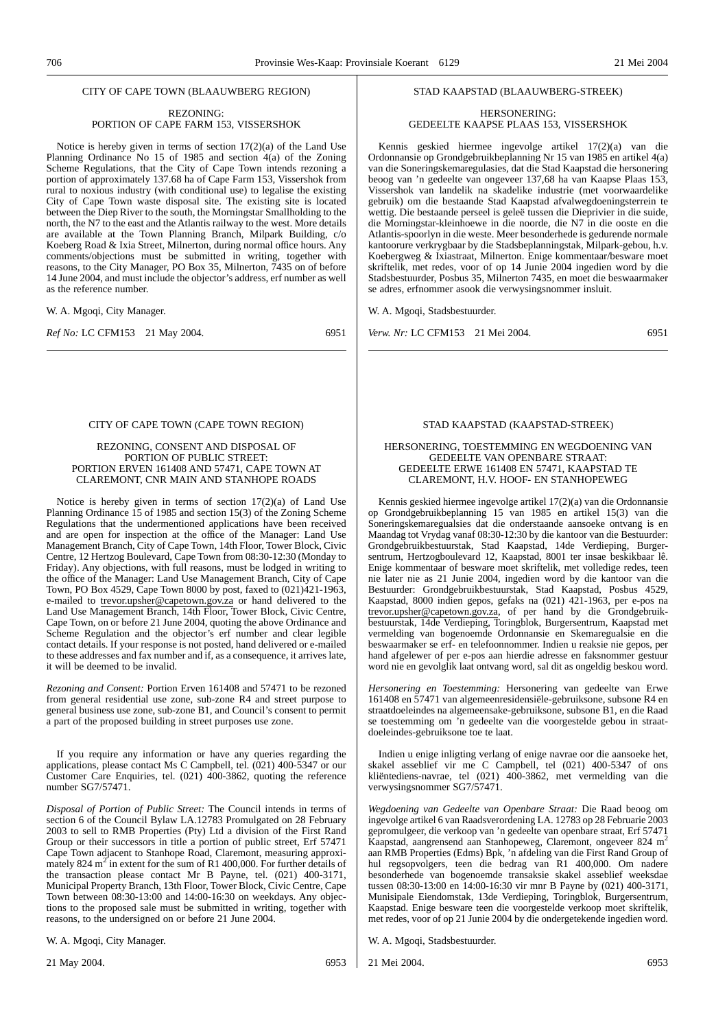#### CITY OF CAPE TOWN (BLAAUWBERG REGION)

#### REZONING: PORTION OF CAPE FARM 153, VISSERSHOK

Notice is hereby given in terms of section 17(2)(a) of the Land Use Planning Ordinance No 15 of 1985 and section  $4(a)$  of the Zoning Scheme Regulations, that the City of Cape Town intends rezoning a portion of approximately 137.68 ha of Cape Farm 153, Vissershok from rural to noxious industry (with conditional use) to legalise the existing City of Cape Town waste disposal site. The existing site is located between the Diep River to the south, the Morningstar Smallholding to the north, the N7 to the east and the Atlantis railway to the west. More details are available at the Town Planning Branch, Milpark Building, c/o Koeberg Road & Ixia Street, Milnerton, during normal office hours. Any comments/objections must be submitted in writing, together with reasons, to the City Manager, PO Box 35, Milnerton, 7435 on of before 14 June 2004, and must include the objector's address, erf number as well as the reference number.

W. A. Mgoqi, City Manager.

*Ref No:* LC CFM153 21 May 2004. 6951

#### CITY OF CAPE TOWN (CAPE TOWN REGION)

#### REZONING, CONSENT AND DISPOSAL OF PORTION OF PUBLIC STREET: PORTION ERVEN 161408 AND 57471, CAPE TOWN AT CLAREMONT, CNR MAIN AND STANHOPE ROADS

Notice is hereby given in terms of section 17(2)(a) of Land Use Planning Ordinance 15 of 1985 and section 15(3) of the Zoning Scheme Regulations that the undermentioned applications have been received and are open for inspection at the office of the Manager: Land Use Management Branch, City of Cape Town, 14th Floor, Tower Block, Civic Centre, 12 Hertzog Boulevard, Cape Town from 08:30-12:30 (Monday to Friday). Any objections, with full reasons, must be lodged in writing to the office of the Manager: Land Use Management Branch, City of Cape Town, PO Box 4529, Cape Town 8000 by post, faxed to (021)421-1963, e-mailed to trevor.upsher@capetown.gov.za or hand delivered to the Land Use Management Branch, 14th Floor, Tower Block, Civic Centre, Cape Town, on or before 21 June 2004, quoting the above Ordinance and Scheme Regulation and the objector's erf number and clear legible contact details. If your response is not posted, hand delivered or e-mailed to these addresses and fax number and if, as a consequence, it arrives late, it will be deemed to be invalid.

*Rezoning and Consent:* Portion Erven 161408 and 57471 to be rezoned from general residential use zone, sub-zone R4 and street purpose to general business use zone, sub-zone B1, and Council's consent to permit a part of the proposed building in street purposes use zone.

If you require any information or have any queries regarding the applications, please contact Ms C Campbell, tel. (021) 400-5347 or our Customer Care Enquiries, tel. (021) 400-3862, quoting the reference number SG7/57471.

*Disposal of Portion of Public Street:* The Council intends in terms of section 6 of the Council Bylaw LA.12783 Promulgated on 28 February 2003 to sell to RMB Properties (Pty) Ltd a division of the First Rand Group or their successors in title a portion of public street, Erf 57471 Cape Town adjacent to Stanhope Road, Claremont, measuring approximately 824  $m^2$  in extent for the sum of R1 400,000. For further details of the transaction please contact Mr B Payne, tel. (021) 400-3171, Municipal Property Branch, 13th Floor, Tower Block, Civic Centre, Cape Town between 08:30-13:00 and 14:00-16:30 on weekdays. Any objections to the proposed sale must be submitted in writing, together with reasons, to the undersigned on or before 21 June 2004.

W. A. Mgoqi, City Manager.

## STAD KAAPSTAD (BLAAUWBERG-STREEK)

#### HERSONERING: GEDEELTE KAAPSE PLAAS 153, VISSERSHOK

Kennis geskied hiermee ingevolge artikel 17(2)(a) van die Ordonnansie op Grondgebruikbeplanning Nr 15 van 1985 en artikel 4(a) van die Soneringskemaregulasies, dat die Stad Kaapstad die hersonering beoog van 'n gedeelte van ongeveer 137,68 ha van Kaapse Plaas 153, Vissershok van landelik na skadelike industrie (met voorwaardelike gebruik) om die bestaande Stad Kaapstad afvalwegdoeningsterrein te wettig. Die bestaande perseel is geleë tussen die Dieprivier in die suide, die Morningstar-kleinhoewe in die noorde, die N7 in die ooste en die Atlantis-spoorlyn in die weste. Meer besonderhede is gedurende normale kantoorure verkrygbaar by die Stadsbeplanningstak, Milpark-gebou, h.v. Koebergweg & Ixiastraat, Milnerton. Enige kommentaar/besware moet skriftelik, met redes, voor of op 14 Junie 2004 ingedien word by die Stadsbestuurder, Posbus 35, Milnerton 7435, en moet die beswaarmaker se adres, erfnommer asook die verwysingsnommer insluit.

W. A. Mgoqi, Stadsbestuurder.

*Verw. Nr:* LC CFM153 21 Mei 2004. 6951

#### STAD KAAPSTAD (KAAPSTAD-STREEK)

#### HERSONERING, TOESTEMMING EN WEGDOENING VAN GEDEELTE VAN OPENBARE STRAAT: GEDEELTE ERWE 161408 EN 57471, KAAPSTAD TE CLAREMONT, H.V. HOOF- EN STANHOPEWEG

Kennis geskied hiermee ingevolge artikel 17(2)(a) van die Ordonnansie op Grondgebruikbeplanning 15 van 1985 en artikel 15(3) van die Soneringskemaregualsies dat die onderstaande aansoeke ontvang is en Maandag tot Vrydag vanaf 08:30-12:30 by die kantoor van die Bestuurder: Grondgebruikbestuurstak, Stad Kaapstad, 14de Verdieping, Burgersentrum, Hertzogboulevard 12, Kaapstad, 8001 ter insae beskikbaar lê. Enige kommentaar of besware moet skriftelik, met volledige redes, teen nie later nie as 21 Junie 2004, ingedien word by die kantoor van die Bestuurder: Grondgebruikbestuurstak, Stad Kaapstad, Posbus 4529, Kaapstad, 8000 indien gepos, gefaks na (021) 421-1963, per e-pos na trevor.upsher@capetown.gov.za, of per hand by die Grondgebruikbestuurstak, 14de Verdieping, Toringblok, Burgersentrum, Kaapstad met vermelding van bogenoemde Ordonnansie en Skemaregualsie en die beswaarmaker se erf- en telefoonnommer. Indien u reaksie nie gepos, per hand afgelewer of per e-pos aan hierdie adresse en faksnommer gestuur word nie en gevolglik laat ontvang word, sal dit as ongeldig beskou word.

*Hersonering en Toestemming:* Hersonering van gedeelte van Erwe 161408 en 57471 van algemeenresidensiële-gebruiksone, subsone R4 en straatdoeleindes na algemeensake-gebruiksone, subsone B1, en die Raad se toestemming om 'n gedeelte van die voorgestelde gebou in straatdoeleindes-gebruiksone toe te laat.

Indien u enige inligting verlang of enige navrae oor die aansoeke het, skakel asseblief vir me C Campbell, tel (021) 400-5347 of ons kliëntediens-navrae, tel (021) 400-3862, met vermelding van die verwysingsnommer SG7/57471.

*Wegdoening van Gedeelte van Openbare Straat:* Die Raad beoog om ingevolge artikel 6 van Raadsverordening LA. 12783 op 28 Februarie 2003 gepromulgeer, die verkoop van 'n gedeelte van openbare straat, Erf 57471 Kaapstad, aangrensend aan Stanhopeweg, Claremont, ongeveer 824 m<sup>2</sup> aan RMB Properties (Edms) Bpk, 'n afdeling van die First Rand Group of hul regsopvolgers, teen die bedrag van R1 400,000. Om nadere besonderhede van bogenoemde transaksie skakel asseblief weeksdae tussen 08:30-13:00 en 14:00-16:30 vir mnr B Payne by (021) 400-3171, Munisipale Eiendomstak, 13de Verdieping, Toringblok, Burgersentrum, Kaapstad. Enige besware teen die voorgestelde verkoop moet skriftelik, met redes, voor of op 21 Junie 2004 by die ondergetekende ingedien word.

W. A. Mgoqi, Stadsbestuurder.

21 May 2004. 6953

21 Mei 2004. 6953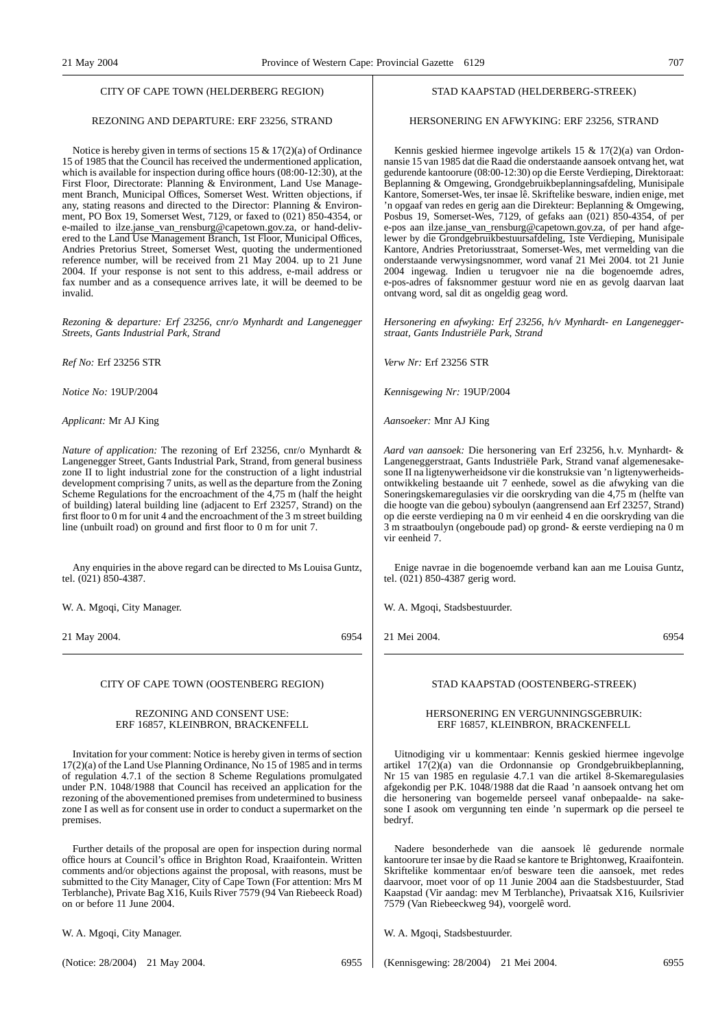#### CITY OF CAPE TOWN (HELDERBERG REGION)

### REZONING AND DEPARTURE: ERF 23256, STRAND

Notice is hereby given in terms of sections 15 & 17(2)(a) of Ordinance 15 of 1985 that the Council has received the undermentioned application, which is available for inspection during office hours (08:00-12:30), at the First Floor, Directorate: Planning & Environment, Land Use Management Branch, Municipal Offices, Somerset West. Written objections, if any, stating reasons and directed to the Director: Planning & Environment, PO Box 19, Somerset West, 7129, or faxed to (021) 850-4354, or e-mailed to ilze.janse\_van\_rensburg@capetown.gov.za, or hand-delivered to the Land Use Management Branch, 1st Floor, Municipal Offices, Andries Pretorius Street, Somerset West, quoting the undermentioned reference number, will be received from 21 May 2004. up to 21 June 2004. If your response is not sent to this address, e-mail address or fax number and as a consequence arrives late, it will be deemed to be invalid.

*Rezoning & departure: Erf 23256, cnr/o Mynhardt and Langenegger Streets, Gants Industrial Park, Strand*

*Ref No:* Erf 23256 STR

*Notice No:* 19UP/2004

*Applicant:* Mr AJ King

*Nature of application:* The rezoning of Erf 23256, cnr/o Mynhardt & Langenegger Street, Gants Industrial Park, Strand, from general business zone II to light industrial zone for the construction of a light industrial development comprising 7 units, as well as the departure from the Zoning Scheme Regulations for the encroachment of the 4,75 m (half the height of building) lateral building line (adjacent to Erf 23257, Strand) on the first floor to 0 m for unit 4 and the encroachment of the 3 m street building line (unbuilt road) on ground and first floor to 0 m for unit 7.

Any enquiries in the above regard can be directed to Ms Louisa Guntz, tel. (021) 850-4387.

W. A. Mgoqi, City Manager.

21 May 2004. 6954

CITY OF CAPE TOWN (OOSTENBERG REGION)

#### REZONING AND CONSENT USE: ERF 16857, KLEINBRON, BRACKENFELL

Invitation for your comment: Notice is hereby given in terms of section 17(2)(a) of the Land Use Planning Ordinance, No 15 of 1985 and in terms of regulation 4.7.1 of the section 8 Scheme Regulations promulgated under P.N. 1048/1988 that Council has received an application for the rezoning of the abovementioned premises from undetermined to business zone I as well as for consent use in order to conduct a supermarket on the premises.

Further details of the proposal are open for inspection during normal office hours at Council's office in Brighton Road, Kraaifontein. Written comments and/or objections against the proposal, with reasons, must be submitted to the City Manager, City of Cape Town (For attention: Mrs M Terblanche), Private Bag X16, Kuils River 7579 (94 Van Riebeeck Road) on or before 11 June 2004.

W. A. Mgoqi, City Manager.

(Notice: 28/2004) 21 May 2004. 6955

#### STAD KAAPSTAD (HELDERBERG-STREEK)

#### HERSONERING EN AFWYKING: ERF 23256, STRAND

Kennis geskied hiermee ingevolge artikels 15 & 17(2)(a) van Ordonnansie 15 van 1985 dat die Raad die onderstaande aansoek ontvang het, wat gedurende kantoorure (08:00-12:30) op die Eerste Verdieping, Direktoraat: Beplanning & Omgewing, Grondgebruikbeplanningsafdeling, Munisipale Kantore, Somerset-Wes, ter insae lê. Skriftelike besware, indien enige, met 'n opgaaf van redes en gerig aan die Direkteur: Beplanning & Omgewing, Posbus 19, Somerset-Wes, 7129, of gefaks aan (021) 850-4354, of per e-pos aan ilze.janse\_van\_rensburg@capetown.gov.za, of per hand afgelewer by die Grondgebruikbestuursafdeling, 1ste Verdieping, Munisipale Kantore, Andries Pretoriusstraat, Somerset-Wes, met vermelding van die onderstaande verwysingsnommer, word vanaf 21 Mei 2004. tot 21 Junie 2004 ingewag. Indien u terugvoer nie na die bogenoemde adres, e-pos-adres of faksnommer gestuur word nie en as gevolg daarvan laat ontvang word, sal dit as ongeldig geag word.

*Hersonering en afwyking: Erf 23256, h/v Mynhardt- en Langeneggerstraat, Gants Industriële Park, Strand*

*Verw Nr:* Erf 23256 STR

*Kennisgewing Nr:* 19UP/2004

*Aansoeker:* Mnr AJ King

*Aard van aansoek:* Die hersonering van Erf 23256, h.v. Mynhardt- & Langeneggerstraat, Gants Industriële Park, Strand vanaf algemenesakesone II na ligtenywerheidsone vir die konstruksie van 'n ligtenywerheidsontwikkeling bestaande uit 7 eenhede, sowel as die afwyking van die Soneringskemaregulasies vir die oorskryding van die 4,75 m (helfte van die hoogte van die gebou) syboulyn (aangrensend aan Erf 23257, Strand) op die eerste verdieping na 0 m vir eenheid 4 en die oorskryding van die 3 m straatboulyn (ongeboude pad) op grond- & eerste verdieping na 0 m vir eenheid 7.

Enige navrae in die bogenoemde verband kan aan me Louisa Guntz, tel. (021) 850-4387 gerig word.

W. A. Mgoqi, Stadsbestuurder.

21 Mei 2004. 6954

#### STAD KAAPSTAD (OOSTENBERG-STREEK)

#### HERSONERING EN VERGUNNINGSGEBRUIK: ERF 16857, KLEINBRON, BRACKENFELL

Uitnodiging vir u kommentaar: Kennis geskied hiermee ingevolge artikel 17(2)(a) van die Ordonnansie op Grondgebruikbeplanning, Nr 15 van 1985 en regulasie 4.7.1 van die artikel 8-Skemaregulasies afgekondig per P.K. 1048/1988 dat die Raad 'n aansoek ontvang het om die hersonering van bogemelde perseel vanaf onbepaalde- na sakesone I asook om vergunning ten einde 'n supermark op die perseel te bedryf.

Nadere besonderhede van die aansoek lê gedurende normale kantoorure ter insae by die Raad se kantore te Brightonweg, Kraaifontein. Skriftelike kommentaar en/of besware teen die aansoek, met redes daarvoor, moet voor of op 11 Junie 2004 aan die Stadsbestuurder, Stad Kaapstad (Vir aandag: mev M Terblanche), Privaatsak X16, Kuilsrivier 7579 (Van Riebeeckweg 94), voorgelê word.

W. A. Mgoqi, Stadsbestuurder.

(Kennisgewing: 28/2004) 21 Mei 2004. 6955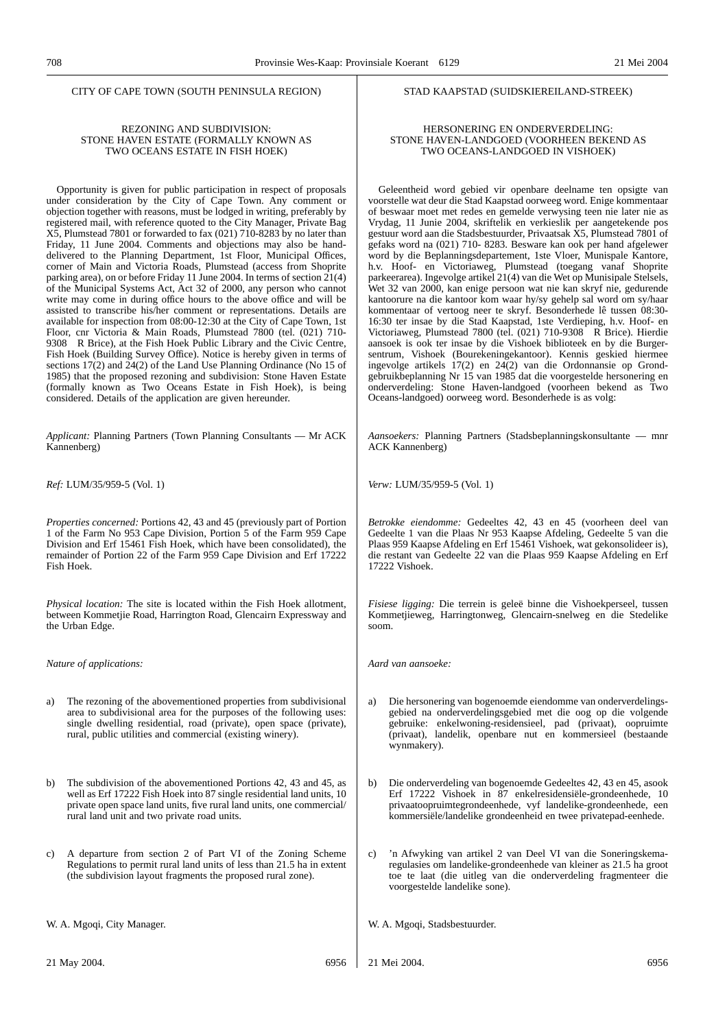#### CITY OF CAPE TOWN (SOUTH PENINSULA REGION)

#### REZONING AND SUBDIVISION: STONE HAVEN ESTATE (FORMALLY KNOWN AS TWO OCEANS ESTATE IN FISH HOEK)

Opportunity is given for public participation in respect of proposals under consideration by the City of Cape Town. Any comment or objection together with reasons, must be lodged in writing, preferably by registered mail, with reference quoted to the City Manager, Private Bag X5, Plumstead 7801 or forwarded to fax (021) 710-8283 by no later than Friday, 11 June 2004. Comments and objections may also be handdelivered to the Planning Department, 1st Floor, Municipal Offices, corner of Main and Victoria Roads, Plumstead (access from Shoprite parking area), on or before Friday 11 June 2004. In terms of section 21(4) of the Municipal Systems Act, Act 32 of 2000, any person who cannot write may come in during office hours to the above office and will be assisted to transcribe his/her comment or representations. Details are available for inspection from 08:00-12:30 at the City of Cape Town, 1st Floor, cnr Victoria & Main Roads, Plumstead 7800 (tel. (021) 710- 9308 R Brice), at the Fish Hoek Public Library and the Civic Centre, Fish Hoek (Building Survey Office). Notice is hereby given in terms of sections 17(2) and 24(2) of the Land Use Planning Ordinance (No 15 of 1985) that the proposed rezoning and subdivision: Stone Haven Estate (formally known as Two Oceans Estate in Fish Hoek), is being considered. Details of the application are given hereunder.

*Applicant:* Planning Partners (Town Planning Consultants — Mr ACK Kannenberg)

*Ref:* LUM/35/959-5 (Vol. 1)

*Properties concerned:* Portions 42, 43 and 45 (previously part of Portion 1 of the Farm No 953 Cape Division, Portion 5 of the Farm 959 Cape Division and Erf 15461 Fish Hoek, which have been consolidated), the remainder of Portion 22 of the Farm 959 Cape Division and Erf 17222 Fish Hoek.

*Physical location:* The site is located within the Fish Hoek allotment, between Kommetjie Road, Harrington Road, Glencairn Expressway and the Urban Edge.

*Nature of applications:*

- a) The rezoning of the abovementioned properties from subdivisional area to subdivisional area for the purposes of the following uses: single dwelling residential, road (private), open space (private), rural, public utilities and commercial (existing winery).
- b) The subdivision of the abovementioned Portions 42, 43 and 45, as well as Erf 17222 Fish Hoek into 87 single residential land units, 10 private open space land units, five rural land units, one commercial/ rural land unit and two private road units.
- c) A departure from section 2 of Part VI of the Zoning Scheme Regulations to permit rural land units of less than 21.5 ha in extent (the subdivision layout fragments the proposed rural zone).

W. A. Mgoqi, City Manager.

#### STAD KAAPSTAD (SUIDSKIEREILAND-STREEK)

#### HERSONERING EN ONDERVERDELING: STONE HAVEN-LANDGOED (VOORHEEN BEKEND AS TWO OCEANS-LANDGOED IN VISHOEK)

Geleentheid word gebied vir openbare deelname ten opsigte van voorstelle wat deur die Stad Kaapstad oorweeg word. Enige kommentaar of beswaar moet met redes en gemelde verwysing teen nie later nie as Vrydag, 11 Junie 2004, skriftelik en verkieslik per aangetekende pos gestuur word aan die Stadsbestuurder, Privaatsak X5, Plumstead 7801 of gefaks word na (021) 710- 8283. Besware kan ook per hand afgelewer word by die Beplanningsdepartement, 1ste Vloer, Munispale Kantore, h.v. Hoof- en Victoriaweg, Plumstead (toegang vanaf Shoprite parkeerarea). Ingevolge artikel 21(4) van die Wet op Munisipale Stelsels, Wet 32 van 2000, kan enige persoon wat nie kan skryf nie, gedurende kantoorure na die kantoor kom waar hy/sy gehelp sal word om sy/haar kommentaar of vertoog neer te skryf. Besonderhede lê tussen 08:30- 16:30 ter insae by die Stad Kaapstad, 1ste Verdieping, h.v. Hoof- en Victoriaweg, Plumstead 7800 (tel. (021) 710-9308 R Brice). Hierdie aansoek is ook ter insae by die Vishoek biblioteek en by die Burgersentrum, Vishoek (Bourekeningekantoor). Kennis geskied hiermee ingevolge artikels 17(2) en 24(2) van die Ordonnansie op Grondgebruikbeplanning Nr 15 van 1985 dat die voorgestelde hersonering en onderverdeling: Stone Haven-landgoed (voorheen bekend as Two Oceans-landgoed) oorweeg word. Besonderhede is as volg:

*Aansoekers:* Planning Partners (Stadsbeplanningskonsultante — mnr ACK Kannenberg)

*Verw:* LUM/35/959-5 (Vol. 1)

*Betrokke eiendomme:* Gedeeltes 42, 43 en 45 (voorheen deel van Gedeelte 1 van die Plaas Nr 953 Kaapse Afdeling, Gedeelte 5 van die Plaas 959 Kaapse Afdeling en Erf 15461 Vishoek, wat gekonsolideer is), die restant van Gedeelte 22 van die Plaas 959 Kaapse Afdeling en Erf 17222 Vishoek.

*Fisiese ligging:* Die terrein is geleë binne die Vishoekperseel, tussen Kommetjieweg, Harringtonweg, Glencairn-snelweg en die Stedelike soom.

*Aard van aansoeke:*

- a) Die hersonering van bogenoemde eiendomme van onderverdelingsgebied na onderverdelingsgebied met die oog op die volgende gebruike: enkelwoning-residensieel, pad (privaat), oopruimte (privaat), landelik, openbare nut en kommersieel (bestaande wynmakery).
- b) Die onderverdeling van bogenoemde Gedeeltes 42, 43 en 45, asook Erf 17222 Vishoek in 87 enkelresidensiële-grondeenhede, 10 privaatoopruimtegrondeenhede, vyf landelike-grondeenhede, een kommersiële/landelike grondeenheid en twee privatepad-eenhede.
- c) 'n Afwyking van artikel 2 van Deel VI van die Soneringskemaregulasies om landelike-grondeenhede van kleiner as 21.5 ha groot toe te laat (die uitleg van die onderverdeling fragmenteer die voorgestelde landelike sone).

W. A. Mgoqi, Stadsbestuurder.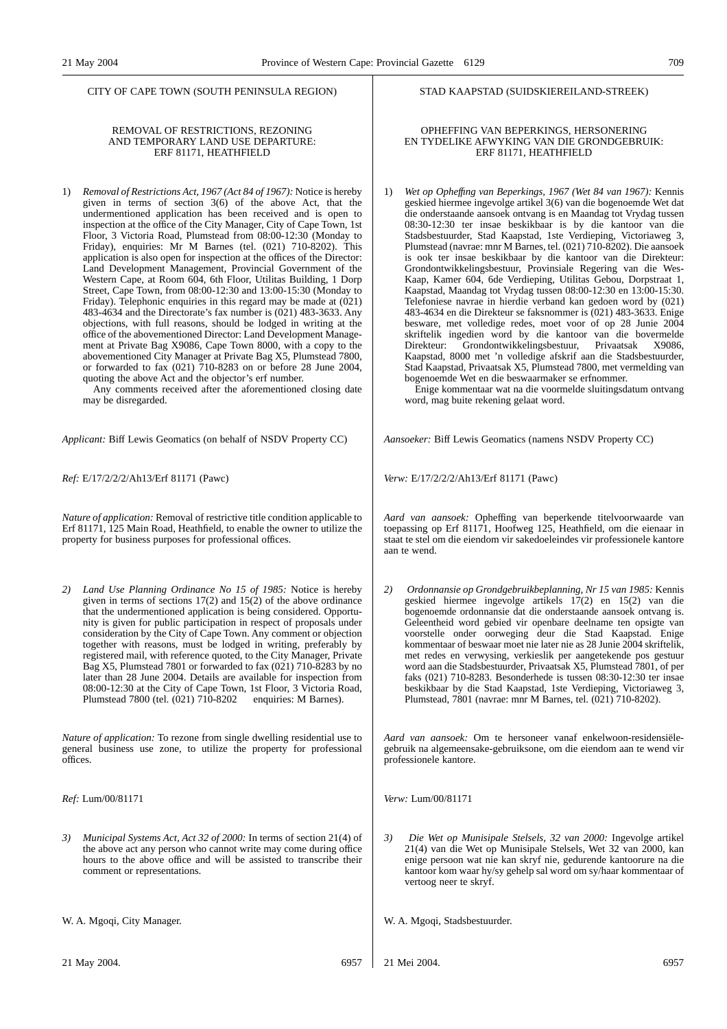CITY OF CAPE TOWN (SOUTH PENINSULA REGION)

#### REMOVAL OF RESTRICTIONS, REZONING AND TEMPORARY LAND USE DEPARTURE: ERF 81171, HEATHFIELD

1) *Removal of Restrictions Act, 1967 (Act 84 of 1967):* Notice is hereby given in terms of section 3(6) of the above Act, that the undermentioned application has been received and is open to inspection at the office of the City Manager, City of Cape Town, 1st Floor, 3 Victoria Road, Plumstead from 08:00-12:30 (Monday to Friday), enquiries: Mr M Barnes (tel. (021) 710-8202). This application is also open for inspection at the offices of the Director: Land Development Management, Provincial Government of the Western Cape, at Room 604, 6th Floor, Utilitas Building, 1 Dorp Street, Cape Town, from 08:00-12:30 and 13:00-15:30 (Monday to Friday). Telephonic enquiries in this regard may be made at  $(021)$ 483-4634 and the Directorate's fax number is (021) 483-3633. Any objections, with full reasons, should be lodged in writing at the office of the abovementioned Director: Land Development Management at Private Bag X9086, Cape Town 8000, with a copy to the abovementioned City Manager at Private Bag X5, Plumstead 7800, or forwarded to fax (021) 710-8283 on or before 28 June 2004, quoting the above Act and the objector's erf number.

Any comments received after the aforementioned closing date may be disregarded.

*Applicant:* Biff Lewis Geomatics (on behalf of NSDV Property CC)

*Ref:* E/17/2/2/2/Ah13/Erf 81171 (Pawc)

*Nature of application:* Removal of restrictive title condition applicable to Erf 81171, 125 Main Road, Heathfield, to enable the owner to utilize the property for business purposes for professional offices.

*2) Land Use Planning Ordinance No 15 of 1985:* Notice is hereby given in terms of sections  $17(2)$  and  $15(2)$  of the above ordinance that the undermentioned application is being considered. Opportunity is given for public participation in respect of proposals under consideration by the City of Cape Town. Any comment or objection together with reasons, must be lodged in writing, preferably by registered mail, with reference quoted, to the City Manager, Private Bag X5, Plumstead 7801 or forwarded to fax  $(021)$  710-8283 by no later than 28 June 2004. Details are available for inspection from 08:00-12:30 at the City of Cape Town, 1st Floor, 3 Victoria Road, Plumstead 7800 (tel. (021) 710-8202 enquiries: M Barnes). Plumstead 7800 (tel. (021) 710-8202

*Nature of application:* To rezone from single dwelling residential use to general business use zone, to utilize the property for professional offices.

*Ref:* Lum/00/81171

*3) Municipal Systems Act, Act 32 of 2000:* In terms of section 21(4) of the above act any person who cannot write may come during office hours to the above office and will be assisted to transcribe their comment or representations.

W. A. Mgoqi, City Manager.

#### STAD KAAPSTAD (SUIDSKIEREILAND-STREEK)

#### OPHEFFING VAN BEPERKINGS, HERSONERING EN TYDELIKE AFWYKING VAN DIE GRONDGEBRUIK: ERF 81171, HEATHFIELD

1) *Wet op Opheffıng van Beperkings, 1967 (Wet 84 van 1967):* Kennis geskied hiermee ingevolge artikel 3(6) van die bogenoemde Wet dat die onderstaande aansoek ontvang is en Maandag tot Vrydag tussen 08:30-12:30 ter insae beskikbaar is by die kantoor van die Stadsbestuurder, Stad Kaapstad, 1ste Verdieping, Victoriaweg 3, Plumstead (navrae: mnr M Barnes, tel. (021) 710-8202). Die aansoek is ook ter insae beskikbaar by die kantoor van die Direkteur: Grondontwikkelingsbestuur, Provinsiale Regering van die Wes-Kaap, Kamer 604, 6de Verdieping, Utilitas Gebou, Dorpstraat 1, Kaapstad, Maandag tot Vrydag tussen 08:00-12:30 en 13:00-15:30. Telefoniese navrae in hierdie verband kan gedoen word by (021) 483-4634 en die Direkteur se faksnommer is (021) 483-3633. Enige besware, met volledige redes, moet voor of op 28 Junie 2004 skriftelik ingedien word by die kantoor van die bovermelde Direkteur: Grondontwikkelingsbestuur, Privaatsak X9086, Kaapstad, 8000 met 'n volledige afskrif aan die Stadsbestuurder, Stad Kaapstad, Privaatsak X5, Plumstead 7800, met vermelding van bogenoemde Wet en die beswaarmaker se erfnommer.

Enige kommentaar wat na die voormelde sluitingsdatum ontvang word, mag buite rekening gelaat word.

*Aansoeker:* Biff Lewis Geomatics (namens NSDV Property CC)

*Verw:* E/17/2/2/2/Ah13/Erf 81171 (Pawc)

*Aard van aansoek:* Opheffing van beperkende titelvoorwaarde van toepassing op Erf 81171, Hoofweg 125, Heathfield, om die eienaar in staat te stel om die eiendom vir sakedoeleindes vir professionele kantore aan te wend.

*2) Ordonnansie op Grondgebruikbeplanning, Nr 15 van 1985:* Kennis geskied hiermee ingevolge artikels 17(2) en 15(2) van die bogenoemde ordonnansie dat die onderstaande aansoek ontvang is. Geleentheid word gebied vir openbare deelname ten opsigte van voorstelle onder oorweging deur die Stad Kaapstad. Enige kommentaar of beswaar moet nie later nie as 28 Junie 2004 skriftelik, met redes en verwysing, verkieslik per aangetekende pos gestuur word aan die Stadsbestuurder, Privaatsak X5, Plumstead 7801, of per faks (021) 710-8283. Besonderhede is tussen 08:30-12:30 ter insae beskikbaar by die Stad Kaapstad, 1ste Verdieping, Victoriaweg 3, Plumstead, 7801 (navrae: mnr M Barnes, tel. (021) 710-8202).

*Aard van aansoek:* Om te hersoneer vanaf enkelwoon-residensiëlegebruik na algemeensake-gebruiksone, om die eiendom aan te wend vir professionele kantore.

*Verw:* Lum/00/81171

*3) Die Wet op Munisipale Stelsels, 32 van 2000:* Ingevolge artikel 21(4) van die Wet op Munisipale Stelsels, Wet 32 van 2000, kan enige persoon wat nie kan skryf nie, gedurende kantoorure na die kantoor kom waar hy/sy gehelp sal word om sy/haar kommentaar of vertoog neer te skryf.

W. A. Mgoqi, Stadsbestuurder.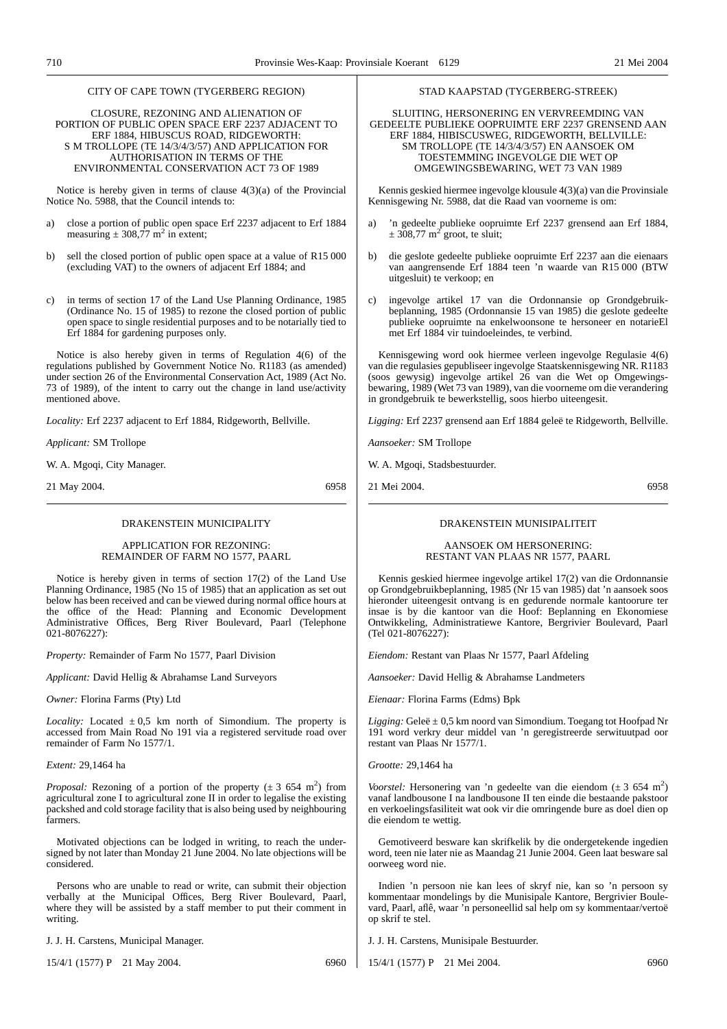#### CITY OF CAPE TOWN (TYGERBERG REGION)

CLOSURE, REZONING AND ALIENATION OF PORTION OF PUBLIC OPEN SPACE ERF 2237 ADJACENT TO ERF 1884, HIBUSCUS ROAD, RIDGEWORTH: S M TROLLOPE (TE 14/3/4/3/57) AND APPLICATION FOR AUTHORISATION IN TERMS OF THE ENVIRONMENTAL CONSERVATION ACT 73 OF 1989

Notice is hereby given in terms of clause 4(3)(a) of the Provincial Notice No. 5988, that the Council intends to:

- a) close a portion of public open space Erf 2237 adjacent to Erf 1884 measuring  $\pm 308,77$  m<sup>2</sup> in extent;
- b) sell the closed portion of public open space at a value of R15 000 (excluding VAT) to the owners of adjacent Erf 1884; and
- c) in terms of section 17 of the Land Use Planning Ordinance, 1985 (Ordinance No. 15 of 1985) to rezone the closed portion of public open space to single residential purposes and to be notarially tied to Erf 1884 for gardening purposes only.

Notice is also hereby given in terms of Regulation 4(6) of the regulations published by Government Notice No. R1183 (as amended) under section 26 of the Environmental Conservation Act, 1989 (Act No. 73 of 1989), of the intent to carry out the change in land use/activity mentioned above.

*Locality:* Erf 2237 adjacent to Erf 1884, Ridgeworth, Bellville.

*Applicant:* SM Trollope

W. A. Mgoqi, City Manager.

21 May 2004. 6958

#### DRAKENSTEIN MUNICIPALITY

APPLICATION FOR REZONING: REMAINDER OF FARM NO 1577, PAARL

Notice is hereby given in terms of section 17(2) of the Land Use Planning Ordinance, 1985 (No 15 of 1985) that an application as set out below has been received and can be viewed during normal office hours at the office of the Head: Planning and Economic Development Administrative Offices, Berg River Boulevard, Paarl (Telephone 021-8076227):

*Property:* Remainder of Farm No 1577, Paarl Division

*Applicant:* David Hellig & Abrahamse Land Surveyors

*Owner:* Florina Farms (Pty) Ltd

*Locality:* Located  $\pm 0.5$  km north of Simondium. The property is accessed from Main Road No 191 via a registered servitude road over remainder of Farm No 1577/1.

*Extent:* 29,1464 ha

*Proposal:* Rezoning of a portion of the property  $(\pm 3, 654, m^2)$  from agricultural zone I to agricultural zone II in order to legalise the existing packshed and cold storage facility that is also being used by neighbouring farmers.

Motivated objections can be lodged in writing, to reach the undersigned by not later than Monday 21 June 2004. No late objections will be considered.

Persons who are unable to read or write, can submit their objection verbally at the Municipal Offices, Berg River Boulevard, Paarl, where they will be assisted by a staff member to put their comment in writing.

J. J. H. Carstens, Municipal Manager.

15/4/1 (1577) P 21 May 2004. 6960

#### STAD KAAPSTAD (TYGERBERG-STREEK)

SLUITING, HERSONERING EN VERVREEMDING VAN GEDEELTE PUBLIEKE OOPRUIMTE ERF 2237 GRENSEND AAN ERF 1884, HIBISCUSWEG, RIDGEWORTH, BELLVILLE: SM TROLLOPE (TE 14/3/4/3/57) EN AANSOEK OM TOESTEMMING INGEVOLGE DIE WET OP OMGEWINGSBEWARING, WET 73 VAN 1989

Kennis geskied hiermee ingevolge klousule 4(3)(a) van die Provinsiale Kennisgewing Nr. 5988, dat die Raad van voorneme is om:

- a) 'n gedeelte publieke oopruimte Erf 2237 grensend aan Erf 1884,  $\pm$  308,77 m<sup>2</sup> groot, te sluit;
- b) die geslote gedeelte publieke oopruimte Erf 2237 aan die eienaars van aangrensende Erf 1884 teen 'n waarde van R15 000 (BTW uitgesluit) te verkoop; en
- c) ingevolge artikel 17 van die Ordonnansie op Grondgebruikbeplanning, 1985 (Ordonnansie 15 van 1985) die geslote gedeelte publieke oopruimte na enkelwoonsone te hersoneer en notarieEl met Erf 1884 vir tuindoeleindes, te verbind.

Kennisgewing word ook hiermee verleen ingevolge Regulasie 4(6) van die regulasies gepubliseer ingevolge Staatskennisgewing NR. R1183 (soos gewysig) ingevolge artikel 26 van die Wet op Omgewingsbewaring, 1989 (Wet 73 van 1989), van die voorneme om die verandering in grondgebruik te bewerkstellig, soos hierbo uiteengesit.

*Ligging:* Erf 2237 grensend aan Erf 1884 geleë te Ridgeworth, Bellville.

*Aansoeker:* SM Trollope

W. A. Mgoqi, Stadsbestuurder.

21 Mei 2004. 6958

#### DRAKENSTEIN MUNISIPALITEIT

AANSOEK OM HERSONERING: RESTANT VAN PLAAS NR 1577, PAARL

Kennis geskied hiermee ingevolge artikel 17(2) van die Ordonnansie op Grondgebruikbeplanning, 1985 (Nr 15 van 1985) dat 'n aansoek soos hieronder uiteengesit ontvang is en gedurende normale kantoorure ter insae is by die kantoor van die Hoof: Beplanning en Ekonomiese Ontwikkeling, Administratiewe Kantore, Bergrivier Boulevard, Paarl (Tel 021-8076227):

*Eiendom:* Restant van Plaas Nr 1577, Paarl Afdeling

*Aansoeker:* David Hellig & Abrahamse Landmeters

*Eienaar:* Florina Farms (Edms) Bpk

*Ligging:* Geleë ± 0,5 km noord van Simondium. Toegang tot Hoofpad Nr 191 word verkry deur middel van 'n geregistreerde serwituutpad oor restant van Plaas Nr 1577/1.

*Grootte:* 29,1464 ha

*Voorstel:* Hersonering van 'n gedeelte van die eiendom (± 3 654 m<sup>2</sup>) vanaf landbousone I na landbousone II ten einde die bestaande pakstoor en verkoelingsfasiliteit wat ook vir die omringende bure as doel dien op die eiendom te wettig.

Gemotiveerd besware kan skrifkelik by die ondergetekende ingedien word, teen nie later nie as Maandag 21 Junie 2004. Geen laat besware sal oorweeg word nie.

Indien 'n persoon nie kan lees of skryf nie, kan so 'n persoon sy kommentaar mondelings by die Munisipale Kantore, Bergrivier Boulevard, Paarl, aflê, waar 'n personeellid sal help om sy kommentaar/vertoë op skrif te stel.

J. J. H. Carstens, Munisipale Bestuurder.

15/4/1 (1577) P 21 Mei 2004. 6960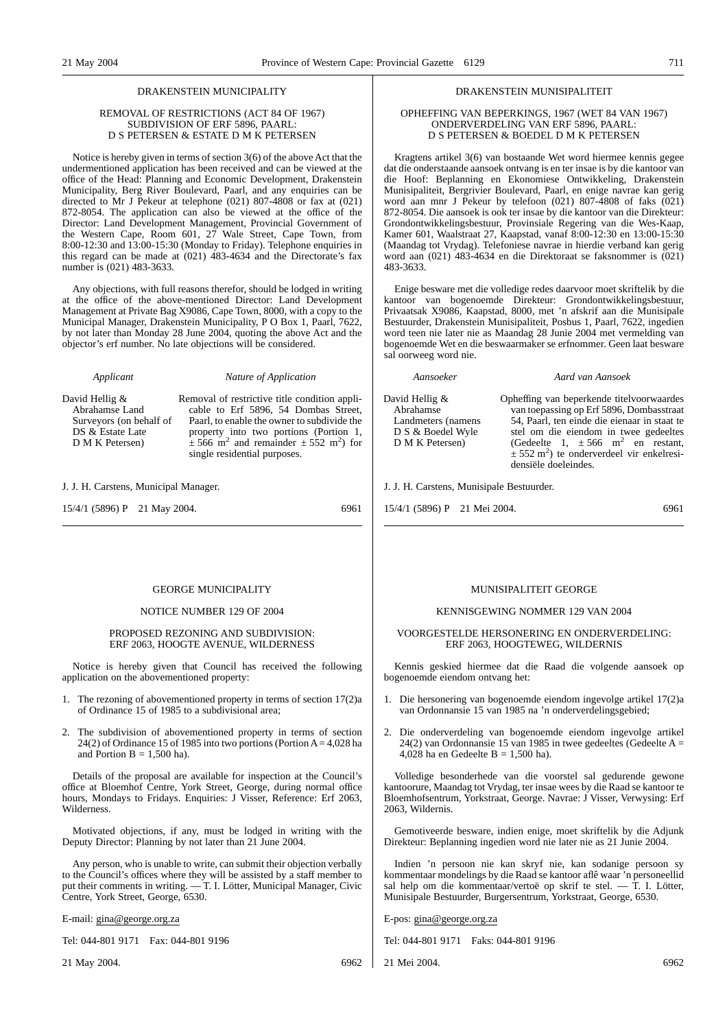#### DRAKENSTEIN MUNICIPALITY

#### REMOVAL OF RESTRICTIONS (ACT 84 OF 1967) SUBDIVISION OF ERF 5896, PAARL: D S PETERSEN & ESTATE D M K PETERSEN

Notice is hereby given in terms of section 3(6) of the above Act that the undermentioned application has been received and can be viewed at the office of the Head: Planning and Economic Development, Drakenstein Municipality, Berg River Boulevard, Paarl, and any enquiries can be directed to Mr J Pekeur at telephone (021) 807-4808 or fax at (021) 872-8054. The application can also be viewed at the office of the Director: Land Development Management, Provincial Government of the Western Cape, Room 601, 27 Wale Street, Cape Town, from 8:00-12:30 and 13:00-15:30 (Monday to Friday). Telephone enquiries in this regard can be made at (021) 483-4634 and the Directorate's fax number is (021) 483-3633.

Any objections, with full reasons therefor, should be lodged in writing at the office of the above-mentioned Director: Land Development Management at Private Bag X9086, Cape Town, 8000, with a copy to the Municipal Manager, Drakenstein Municipality, P O Box 1, Paarl, 7622, by not later than Monday 28 June 2004, quoting the above Act and the objector's erf number. No late objections will be considered.

*Applicant Nature of Application*

David Hellig & Abrahamse Land Surveyors (on behalf of DS & Estate Late D M K Petersen)

Removal of restrictive title condition applicable to Erf 5896, 54 Dombas Street, Paarl, to enable the owner to subdivide the property into two portions (Portion 1,  $\pm 566$  m<sup>2</sup> and remainder  $\pm 552$  m<sup>2</sup>) for single residential purposes.

J. J. H. Carstens, Municipal Manager.

15/4/1 (5896) P 21 May 2004. 6961

#### GEORGE MUNICIPALITY

#### NOTICE NUMBER 129 OF 2004

#### PROPOSED REZONING AND SUBDIVISION: ERF 2063, HOOGTE AVENUE, WILDERNESS

Notice is hereby given that Council has received the following application on the abovementioned property:

- 1. The rezoning of abovementioned property in terms of section 17(2)a of Ordinance 15 of 1985 to a subdivisional area;
- 2. The subdivision of abovementioned property in terms of section 24(2) of Ordinance 15 of 1985 into two portions (Portion  $A = 4,028$  ha and Portion  $B = 1,500$  ha).

Details of the proposal are available for inspection at the Council's office at Bloemhof Centre, York Street, George, during normal office hours, Mondays to Fridays. Enquiries: J Visser, Reference: Erf 2063, Wilderness.

Motivated objections, if any, must be lodged in writing with the Deputy Director: Planning by not later than 21 June 2004.

Any person, who is unable to write, can submit their objection verbally to the Council's offices where they will be assisted by a staff member to put their comments in writing. — T. I. Lötter, Municipal Manager, Civic Centre, York Street, George, 6530.

E-mail: gina@george.org.za

Tel: 044-801 9171 Fax: 044-801 9196

21 May 2004. 6962

#### DRAKENSTEIN MUNISIPALITEIT

#### OPHEFFING VAN BEPERKINGS, 1967 (WET 84 VAN 1967) ONDERVERDELING VAN ERF 5896, PAARL: D S PETERSEN & BOEDEL D M K PETERSEN

Kragtens artikel 3(6) van bostaande Wet word hiermee kennis gegee dat die onderstaande aansoek ontvang is en ter insae is by die kantoor van die Hoof: Beplanning en Ekonomiese Ontwikkeling, Drakenstein Munisipaliteit, Bergrivier Boulevard, Paarl, en enige navrae kan gerig word aan mnr J Pekeur by telefoon (021) 807-4808 of faks (021) 872-8054. Die aansoek is ook ter insae by die kantoor van die Direkteur: Grondontwikkelingsbestuur, Provinsiale Regering van die Wes-Kaap, Kamer 601, Waalstraat 27, Kaapstad, vanaf 8:00-12:30 en 13:00-15:30 (Maandag tot Vrydag). Telefoniese navrae in hierdie verband kan gerig word aan (021) 483-4634 en die Direktoraat se faksnommer is (021) 483-3633.

Enige besware met die volledige redes daarvoor moet skriftelik by die kantoor van bogenoemde Direkteur: Grondontwikkelingsbestuur, Privaatsak X9086, Kaapstad, 8000, met 'n afskrif aan die Munisipale Bestuurder, Drakenstein Munisipaliteit, Posbus 1, Paarl, 7622, ingedien word teen nie later nie as Maandag 28 Junie 2004 met vermelding van bogenoemde Wet en die beswaarmaker se erfnommer. Geen laat besware sal oorweeg word nie.

*Aansoeker Aard van Aansoek* Landmeters (namens D M K Petersen) Opheffing van beperkende titelvoorwaardes van toepassing op Erf 5896, Dombasstraat 54, Paarl, ten einde die eienaar in staat te stel om die eiendom in twee gedeeltes (Gedeelte 1,  $\pm 566$  m<sup>2</sup> en restant,  $\pm$  552 m<sup>2</sup>) te onderverdeel vir enkelresidensiële doeleindes.

J. J. H. Carstens, Munisipale Bestuurder.

15/4/1 (5896) P 21 Mei 2004. 6961

#### MUNISIPALITEIT GEORGE

#### KENNISGEWING NOMMER 129 VAN 2004

#### VOORGESTELDE HERSONERING EN ONDERVERDELING: ERF 2063, HOOGTEWEG, WILDERNIS

Kennis geskied hiermee dat die Raad die volgende aansoek op bogenoemde eiendom ontvang het:

- 1. Die hersonering van bogenoemde eiendom ingevolge artikel 17(2)a van Ordonnansie 15 van 1985 na 'n onderverdelingsgebied;
- 2. Die onderverdeling van bogenoemde eiendom ingevolge artikel 24(2) van Ordonnansie 15 van 1985 in twee gedeeltes (Gedeelte A = 4,028 ha en Gedeelte B = 1,500 ha).

Volledige besonderhede van die voorstel sal gedurende gewone kantoorure, Maandag tot Vrydag, ter insae wees by die Raad se kantoor te Bloemhofsentrum, Yorkstraat, George. Navrae: J Visser, Verwysing: Erf 2063, Wildernis.

Gemotiveerde besware, indien enige, moet skriftelik by die Adjunk Direkteur: Beplanning ingedien word nie later nie as 21 Junie 2004.

Indien 'n persoon nie kan skryf nie, kan sodanige persoon sy kommentaar mondelings by die Raad se kantoor aflê waar 'n personeellid sal help om die kommentaar/vertoë op skrif te stel. — T. I. Lötter, Munisipale Bestuurder, Burgersentrum, Yorkstraat, George, 6530.

E-pos: gina@george.org.za

Tel: 044-801 9171 Faks: 044-801 9196

21 Mei 2004. 6962

## David Hellig & Abrahamse D S & Boedel Wyle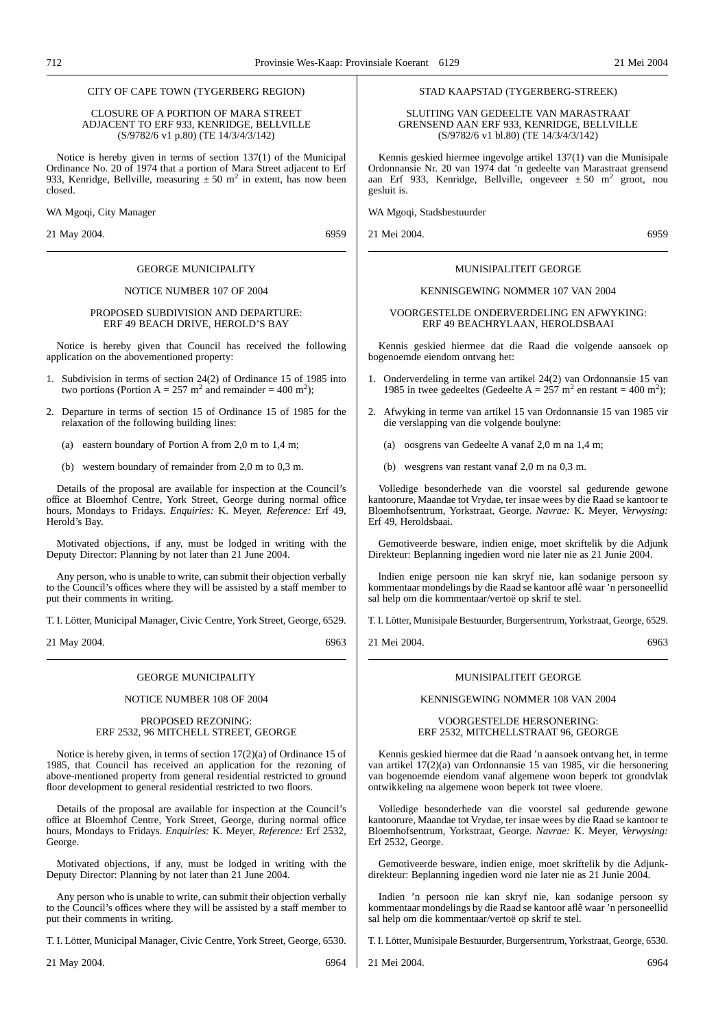#### CITY OF CAPE TOWN (TYGERBERG REGION)

#### CLOSURE OF A PORTION OF MARA STREET ADJACENT TO ERF 933, KENRIDGE, BELLVILLE (S/9782/6 v1 p.80) (TE 14/3/4/3/142)

Notice is hereby given in terms of section 137(1) of the Municipal Ordinance No. 20 of 1974 that a portion of Mara Street adjacent to Erf 933, Kenridge, Bellville, measuring  $\pm 50$  m<sup>2</sup> in extent, has now been closed.

WA Mgoqi, City Manager

21 May 2004. 6959

#### GEORGE MUNICIPALITY

#### NOTICE NUMBER 107 OF 2004

#### PROPOSED SUBDIVISION AND DEPARTURE: ERF 49 BEACH DRIVE, HEROLD'S BAY

Notice is hereby given that Council has received the following application on the abovementioned property:

- 1. Subdivision in terms of section 24(2) of Ordinance 15 of 1985 into two portions (Portion A = 257 m<sup>2</sup> and remainder = 400 m<sup>2</sup>);
- 2. Departure in terms of section 15 of Ordinance 15 of 1985 for the relaxation of the following building lines:
	- (a) eastern boundary of Portion A from 2,0 m to 1,4 m;
	- (b) western boundary of remainder from 2,0 m to 0,3 m.

Details of the proposal are available for inspection at the Council's office at Bloemhof Centre, York Street, George during normal office hours, Mondays to Fridays. *Enquiries:* K. Meyer, *Reference:* Erf 49, Herold's Bay.

Motivated objections, if any, must be lodged in writing with the Deputy Director: Planning by not later than 21 June 2004.

Any person, who is unable to write, can submit their objection verbally to the Council's offices where they will be assisted by a staff member to put their comments in writing.

T. I. Lötter, Municipal Manager, Civic Centre, York Street, George, 6529.

21 May 2004. 6963

#### GEORGE MUNICIPALITY

#### NOTICE NUMBER 108 OF 2004

#### PROPOSED REZONING: ERF 2532, 96 MITCHELL STREET, GEORGE

Notice is hereby given, in terms of section 17(2)(a) of Ordinance 15 of 1985, that Council has received an application for the rezoning of above-mentioned property from general residential restricted to ground floor development to general residential restricted to two floors.

Details of the proposal are available for inspection at the Council's office at Bloemhof Centre, York Street, George, during normal office hours, Mondays to Fridays. *Enquiries:* K. Meyer, *Reference:* Erf 2532, George.

Motivated objections, if any, must be lodged in writing with the Deputy Director: Planning by not later than 21 June 2004.

Any person who is unable to write, can submit their objection verbally to the Council's offices where they will be assisted by a staff member to put their comments in writing.

T. I. Lötter, Municipal Manager, Civic Centre, York Street, George, 6530.

21 May 2004. 6964

#### STAD KAAPSTAD (TYGERBERG-STREEK)

SLUITING VAN GEDEELTE VAN MARASTRAAT GRENSEND AAN ERF 933, KENRIDGE, BELLVILLE (S/9782/6 v1 bl.80) (TE 14/3/4/3/142)

Kennis geskied hiermee ingevolge artikel 137(1) van die Munisipale Ordonnansie Nr. 20 van 1974 dat 'n gedeelte van Marastraat grensend aan Erf 933, Kenridge, Bellville, ongeveer  $\pm 50$  m<sup>2</sup> groot, nou gesluit is.

WA Mgoqi, Stadsbestuurder

21 Mei 2004. 6959

#### MUNISIPALITEIT GEORGE

#### KENNISGEWING NOMMER 107 VAN 2004

VOORGESTELDE ONDERVERDELING EN AFWYKING: ERF 49 BEACHRYLAAN, HEROLDSBAAI

Kennis geskied hiermee dat die Raad die volgende aansoek op bogenoemde eiendom ontvang het:

- 1. Onderverdeling in terme van artikel 24(2) van Ordonnansie 15 van 1985 in twee gedeeltes (Gedeelte A =  $257 \text{ m}^2$  en restant = 400 m<sup>2</sup>);
- 2. Afwyking in terme van artikel 15 van Ordonnansie 15 van 1985 vir die verslapping van die volgende boulyne:
	- (a) oosgrens van Gedeelte A vanaf 2,0 m na 1,4 m;
	- (b) wesgrens van restant vanaf 2,0 m na 0,3 m.

Volledige besonderhede van die voorstel sal gedurende gewone kantoorure, Maandae tot Vrydae, ter insae wees by die Raad se kantoor te Bloemhofsentrum, Yorkstraat, George. *Navrae:* K. Meyer, *Verwysing:* Erf 49, Heroldsbaai.

Gemotiveerde besware, indien enige, moet skriftelik by die Adjunk Direkteur: Beplanning ingedien word nie later nie as 21 Junie 2004.

lndien enige persoon nie kan skryf nie, kan sodanige persoon sy kommentaar mondelings by die Raad se kantoor aflê waar 'n personeellid sal help om die kommentaar/vertoë op skrif te stel.

T. I. Lötter, Munisipale Bestuurder, Burgersentrum, Yorkstraat, George, 6529.

21 Mei 2004. 6963

#### MUNISIPALITEIT GEORGE

#### KENNISGEWING NOMMER 108 VAN 2004

VOORGESTELDE HERSONERING: ERF 2532, MITCHELLSTRAAT 96, GEORGE

Kennis geskied hiermee dat die Raad 'n aansoek ontvang het, in terme van artikel 17(2)(a) van Ordonnansie 15 van 1985, vir die hersonering van bogenoemde eiendom vanaf algemene woon beperk tot grondvlak ontwikkeling na algemene woon beperk tot twee vloere.

Volledige besonderhede van die voorstel sal gedurende gewone kantoorure, Maandae tot Vrydae, ter insae wees by die Raad se kantoor te Bloemhofsentrum, Yorkstraat, George. *Navrae:* K. Meyer, *Verwysing:* Erf 2532, George.

Gemotiveerde besware, indien enige, moet skriftelik by die Adjunkdirekteur: Beplanning ingedien word nie later nie as 21 Junie 2004.

Indien 'n persoon nie kan skryf nie, kan sodanige persoon sy kommentaar mondelings by die Raad se kantoor aflê waar 'n personeellid sal help om die kommentaar/vertoë op skrif te stel.

T. I. Lötter, Munisipale Bestuurder, Burgersentrum, Yorkstraat, George, 6530.

21 Mei 2004. 6964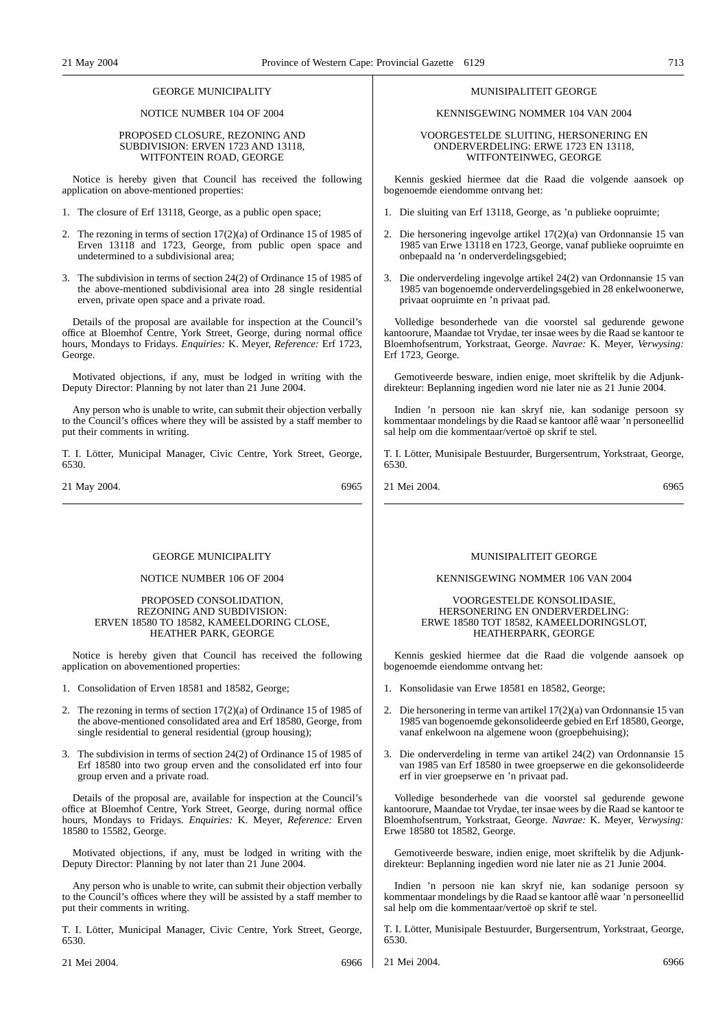#### GEORGE MUNICIPALITY

NOTICE NUMBER 104 OF 2004

#### PROPOSED CLOSURE, REZONING AND SUBDIVISION: ERVEN 1723 AND 13118, WITFONTEIN ROAD, GEORGE

Notice is hereby given that Council has received the following application on above-mentioned properties:

- 1. The closure of Erf 13118, George, as a public open space;
- 2. The rezoning in terms of section 17(2)(a) of Ordinance 15 of 1985 of Erven 13118 and 1723, George, from public open space and undetermined to a subdivisional area;
- 3. The subdivision in terms of section 24(2) of Ordinance 15 of 1985 of the above-mentioned subdivisional area into 28 single residential erven, private open space and a private road.

Details of the proposal are available for inspection at the Council's office at Bloemhof Centre, York Street, George, during normal office hours, Mondays to Fridays. *Enquiries:* K. Meyer, *Reference:* Erf 1723, George.

Motivated objections, if any, must be lodged in writing with the Deputy Director: Planning by not later than 21 June 2004.

Any person who is unable to write, can submit their objection verbally to the Council's offices where they will be assisted by a staff member to put their comments in writing.

T. I. Lötter, Municipal Manager, Civic Centre, York Street, George, 6530.

21 May 2004. 6965

#### GEORGE MUNICIPALITY

#### NOTICE NUMBER 106 OF 2004

#### PROPOSED CONSOLIDATION, REZONING AND SUBDIVISION: ERVEN 18580 TO 18582, KAMEELDORING CLOSE, HEATHER PARK, GEORGE

Notice is hereby given that Council has received the following application on abovementioned properties:

- 1. Consolidation of Erven 18581 and 18582, George;
- 2. The rezoning in terms of section 17(2)(a) of Ordinance 15 of 1985 of the above-mentioned consolidated area and Erf 18580, George, from single residential to general residential (group housing);
- 3. The subdivision in terms of section 24(2) of Ordinance 15 of 1985 of Erf 18580 into two group erven and the consolidated erf into four group erven and a private road.

Details of the proposal are, available for inspection at the Council's office at Bloemhof Centre, York Street, George, during normal office hours, Mondays to Fridays. *Enquiries:* K. Meyer, *Reference:* Erven 18580 to 15582, George.

Motivated objections, if any, must be lodged in writing with the Deputy Director: Planning by not later than 21 June 2004.

Any person who is unable to write, can submit their objection verbally to the Council's offices where they will be assisted by a staff member to put their comments in writing.

T. I. Lötter, Municipal Manager, Civic Centre, York Street, George, 6530.

21 Mei 2004. 6966

#### MUNISIPALITEIT GEORGE

#### KENNISGEWING NOMMER 104 VAN 2004

#### VOORGESTELDE SLUITING, HERSONERING EN ONDERVERDELING: ERWE 1723 EN 13118, WITFONTEINWEG, GEORGE

Kennis geskied hiermee dat die Raad die volgende aansoek op bogenoemde eiendomme ontvang het:

- 1. Die sluiting van Erf 13118, George, as 'n publieke oopruimte;
- 2. Die hersonering ingevolge artikel 17(2)(a) van Ordonnansie 15 van 1985 van Erwe 13118 en 1723, George, vanaf publieke oopruimte en onbepaald na 'n onderverdelingsgebied;
- 3. Die onderverdeling ingevolge artikel 24(2) van Ordonnansie 15 van 1985 van bogenoemde onderverdelingsgebied in 28 enkelwoonerwe, privaat oopruimte en 'n privaat pad.

Volledige besonderhede van die voorstel sal gedurende gewone kantoorure, Maandae tot Vrydae, ter insae wees by die Raad se kantoor te Bloemhofsentrum, Yorkstraat, George. *Navrae:* K. Meyer, *Verwysing:* Erf 1723, George.

Gemotiveerde besware, indien enige, moet skriftelik by die Adjunkdirekteur: Beplanning ingedien word nie later nie as 21 Junie 2004.

Indien 'n persoon nie kan skryf nie, kan sodanige persoon sy kommentaar mondelings by die Raad se kantoor aflê waar 'n personeellid sal help om die kommentaar/vertoë op skrif te stel.

T. I. Lötter, Munisipale Bestuurder, Burgersentrum, Yorkstraat, George, 6530.

21 Mei 2004. 6965

#### MUNISIPALITEIT GEORGE

#### KENNISGEWING NOMMER 106 VAN 2004

#### VOORGESTELDE KONSOLIDASIE, HERSONERING EN ONDERVERDELING: ERWE 18580 TOT 18582, KAMEELDORINGSLOT, HEATHERPARK, GEORGE

Kennis geskied hiermee dat die Raad die volgende aansoek op bogenoemde eiendomme ontvang het:

- 1. Konsolidasie van Erwe 18581 en 18582, George;
- 2. Die hersonering in terme van artikel 17(2)(a) van Ordonnansie 15 van 1985 van bogenoemde gekonsolideerde gebied en Erf 18580, George, vanaf enkelwoon na algemene woon (groepbehuising);
- 3. Die onderverdeling in terme van artikel 24(2) van Ordonnansie 15 van 1985 van Erf 18580 in twee groepserwe en die gekonsolideerde erf in vier groepserwe en 'n privaat pad.

Volledige besonderhede van die voorstel sal gedurende gewone kantoorure, Maandae tot Vrydae, ter insae wees by die Raad se kantoor te Bloemhofsentrum, Yorkstraat, George. *Navrae:* K. Meyer, *Verwysing:* Erwe 18580 tot 18582, George.

Gemotiveerde besware, indien enige, moet skriftelik by die Adjunkdirekteur: Beplanning ingedien word nie later nie as 21 Junie 2004.

Indien 'n persoon nie kan skryf nie, kan sodanige persoon sy kommentaar mondelings by die Raad se kantoor aflê waar 'n personeellid sal help om die kommentaar/vertoë op skrif te stel.

T. I. Lötter, Munisipale Bestuurder, Burgersentrum, Yorkstraat, George, 6530.

21 Mei 2004. 6966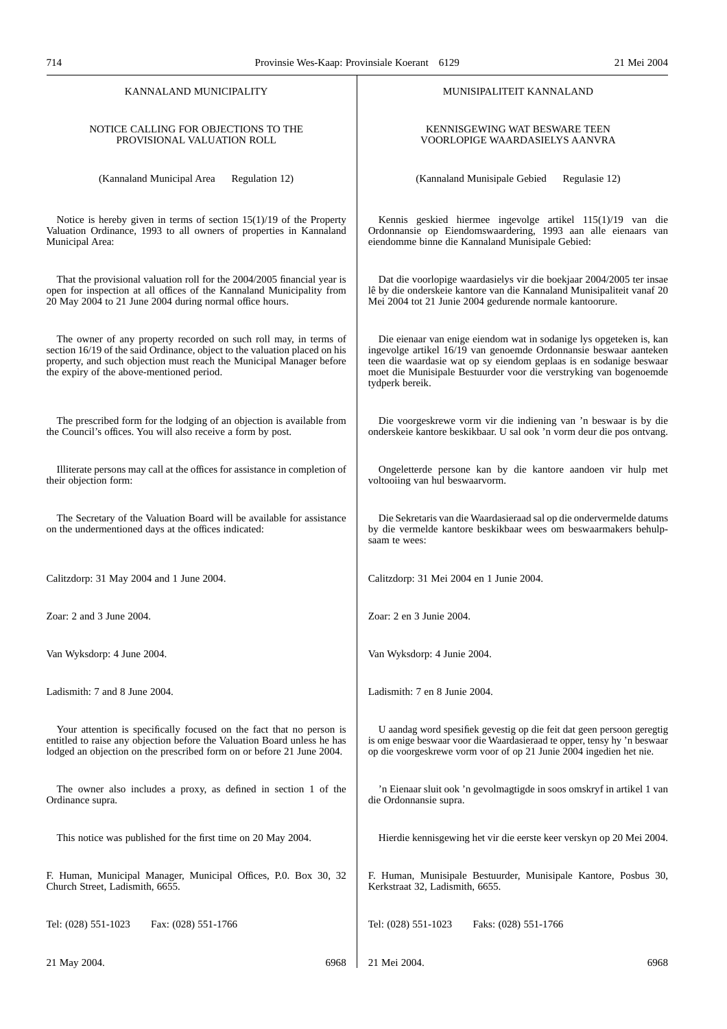| KANNALAND MUNICIPALITY                                                                                                                                                                                                                                              | MUNISIPALITEIT KANNALAND                                                                                                                                                                                                                                                                                 |  |  |
|---------------------------------------------------------------------------------------------------------------------------------------------------------------------------------------------------------------------------------------------------------------------|----------------------------------------------------------------------------------------------------------------------------------------------------------------------------------------------------------------------------------------------------------------------------------------------------------|--|--|
| NOTICE CALLING FOR OBJECTIONS TO THE                                                                                                                                                                                                                                | KENNISGEWING WAT BESWARE TEEN                                                                                                                                                                                                                                                                            |  |  |
| PROVISIONAL VALUATION ROLL                                                                                                                                                                                                                                          | VOORLOPIGE WAARDASIELYS AANVRA                                                                                                                                                                                                                                                                           |  |  |
| (Kannaland Municipal Area                                                                                                                                                                                                                                           | (Kannaland Munisipale Gebied                                                                                                                                                                                                                                                                             |  |  |
| Regulation 12)                                                                                                                                                                                                                                                      | Regulasie 12)                                                                                                                                                                                                                                                                                            |  |  |
| Notice is hereby given in terms of section $15(1)/19$ of the Property                                                                                                                                                                                               | Kennis geskied hiermee ingevolge artikel 115(1)/19 van die                                                                                                                                                                                                                                               |  |  |
| Valuation Ordinance, 1993 to all owners of properties in Kannaland                                                                                                                                                                                                  | Ordonnansie op Eiendomswaardering, 1993 aan alle eienaars van                                                                                                                                                                                                                                            |  |  |
| Municipal Area:                                                                                                                                                                                                                                                     | eiendomme binne die Kannaland Munisipale Gebied:                                                                                                                                                                                                                                                         |  |  |
| That the provisional valuation roll for the 2004/2005 financial year is                                                                                                                                                                                             | Dat die voorlopige waardasielys vir die boekjaar 2004/2005 ter insae                                                                                                                                                                                                                                     |  |  |
| open for inspection at all offices of the Kannaland Municipality from                                                                                                                                                                                               | lê by die onderskeie kantore van die Kannaland Munisipaliteit vanaf 20                                                                                                                                                                                                                                   |  |  |
| 20 May 2004 to 21 June 2004 during normal office hours.                                                                                                                                                                                                             | Mei 2004 tot 21 Junie 2004 gedurende normale kantoorure.                                                                                                                                                                                                                                                 |  |  |
| The owner of any property recorded on such roll may, in terms of<br>section 16/19 of the said Ordinance, object to the valuation placed on his<br>property, and such objection must reach the Municipal Manager before<br>the expiry of the above-mentioned period. | Die eienaar van enige eiendom wat in sodanige lys opgeteken is, kan<br>ingevolge artikel 16/19 van genoemde Ordonnansie beswaar aanteken<br>teen die waardasie wat op sy eiendom geplaas is en sodanige beswaar<br>moet die Munisipale Bestuurder voor die verstryking van bogenoemde<br>tydperk bereik. |  |  |
| The prescribed form for the lodging of an objection is available from                                                                                                                                                                                               | Die voorgeskrewe vorm vir die indiening van 'n beswaar is by die                                                                                                                                                                                                                                         |  |  |
| the Council's offices. You will also receive a form by post.                                                                                                                                                                                                        | onderskeie kantore beskikbaar. U sal ook 'n vorm deur die pos ontvang.                                                                                                                                                                                                                                   |  |  |
| Illiterate persons may call at the offices for assistance in completion of                                                                                                                                                                                          | Ongeletterde persone kan by die kantore aandoen vir hulp met                                                                                                                                                                                                                                             |  |  |
| their objection form:                                                                                                                                                                                                                                               | voltooiing van hul beswaarvorm.                                                                                                                                                                                                                                                                          |  |  |
| The Secretary of the Valuation Board will be available for assistance<br>on the undermentioned days at the offices indicated:                                                                                                                                       | Die Sekretaris van die Waardasieraad sal op die ondervermelde datums<br>by die vermelde kantore beskikbaar wees om beswaarmakers behulp-<br>saam te wees:                                                                                                                                                |  |  |
| Calitzdorp: 31 May 2004 and 1 June 2004.                                                                                                                                                                                                                            | Calitzdorp: 31 Mei 2004 en 1 Junie 2004.                                                                                                                                                                                                                                                                 |  |  |
| Zoar: $2$ and $3$ June $2004$ .                                                                                                                                                                                                                                     | Zoar: 2 en 3 Junie 2004.                                                                                                                                                                                                                                                                                 |  |  |
| Van Wyksdorp: 4 June 2004.                                                                                                                                                                                                                                          | Van Wyksdorp: 4 Junie 2004.                                                                                                                                                                                                                                                                              |  |  |
| Ladismith: 7 and 8 June 2004.                                                                                                                                                                                                                                       | Ladismith: 7 en 8 Junie 2004.                                                                                                                                                                                                                                                                            |  |  |
| Your attention is specifically focused on the fact that no person is                                                                                                                                                                                                | U aandag word spesifiek gevestig op die feit dat geen persoon geregtig                                                                                                                                                                                                                                   |  |  |
| entitled to raise any objection before the Valuation Board unless he has                                                                                                                                                                                            | is om enige beswaar voor die Waardasieraad te opper, tensy hy 'n beswaar                                                                                                                                                                                                                                 |  |  |
| lodged an objection on the prescribed form on or before 21 June 2004.                                                                                                                                                                                               | op die voorgeskrewe vorm voor of op 21 Junie 2004 ingedien het nie.                                                                                                                                                                                                                                      |  |  |
| The owner also includes a proxy, as defined in section 1 of the                                                                                                                                                                                                     | 'n Eienaar sluit ook 'n gevolmagtigde in soos omskryf in artikel 1 van                                                                                                                                                                                                                                   |  |  |
| Ordinance supra.                                                                                                                                                                                                                                                    | die Ordonnansie supra.                                                                                                                                                                                                                                                                                   |  |  |
| This notice was published for the first time on 20 May 2004.                                                                                                                                                                                                        | Hierdie kennisgewing het vir die eerste keer verskyn op 20 Mei 2004.                                                                                                                                                                                                                                     |  |  |
| F. Human, Municipal Manager, Municipal Offices, P.O. Box 30, 32                                                                                                                                                                                                     | F. Human, Munisipale Bestuurder, Munisipale Kantore, Posbus 30,                                                                                                                                                                                                                                          |  |  |
| Church Street, Ladismith, 6655.                                                                                                                                                                                                                                     | Kerkstraat 32, Ladismith, 6655.                                                                                                                                                                                                                                                                          |  |  |
| Tel: (028) 551-1023                                                                                                                                                                                                                                                 | Tel: (028) 551-1023                                                                                                                                                                                                                                                                                      |  |  |
| Fax: (028) 551-1766                                                                                                                                                                                                                                                 | Faks: (028) 551-1766                                                                                                                                                                                                                                                                                     |  |  |
| 21 May 2004.                                                                                                                                                                                                                                                        | 21 Mei 2004.                                                                                                                                                                                                                                                                                             |  |  |
| 6968                                                                                                                                                                                                                                                                | 6968                                                                                                                                                                                                                                                                                                     |  |  |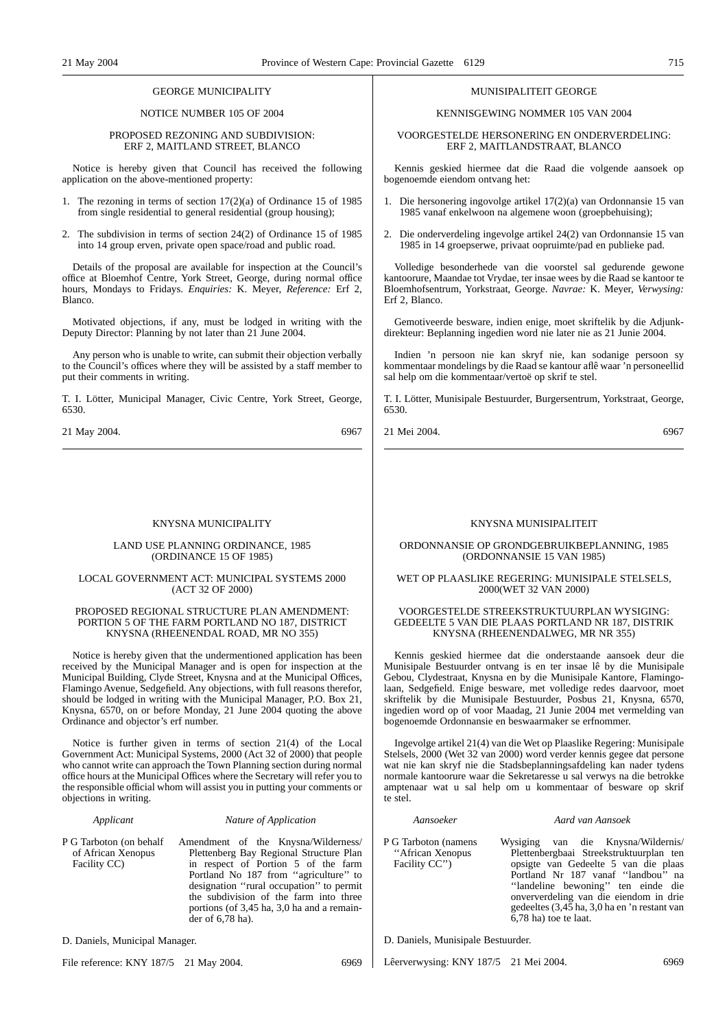#### GEORGE MUNICIPALITY

NOTICE NUMBER 105 OF 2004

#### PROPOSED REZONING AND SUBDIVISION: ERF 2, MAITLAND STREET, BLANCO

Notice is hereby given that Council has received the following application on the above-mentioned property:

- 1. The rezoning in terms of section 17(2)(a) of Ordinance 15 of 1985 from single residential to general residential (group housing);
- 2. The subdivision in terms of section 24(2) of Ordinance 15 of 1985 into 14 group erven, private open space/road and public road.

Details of the proposal are available for inspection at the Council's office at Bloemhof Centre, York Street, George, during normal office hours, Mondays to Fridays. *Enquiries:* K. Meyer, *Reference:* Erf 2, Blanco.

Motivated objections, if any, must be lodged in writing with the Deputy Director: Planning by not later than 21 June 2004.

Any person who is unable to write, can submit their objection verbally to the Council's offices where they will be assisted by a staff member to put their comments in writing.

T. I. Lötter, Municipal Manager, Civic Centre, York Street, George, 6530.

21 May 2004. 6967

#### KNYSNA MUNICIPALITY

#### LAND USE PLANNING ORDINANCE, 1985 (ORDINANCE 15 OF 1985)

#### LOCAL GOVERNMENT ACT: MUNICIPAL SYSTEMS 2000 (ACT 32 OF 2000)

#### PROPOSED REGIONAL STRUCTURE PLAN AMENDMENT: PORTION 5 OF THE FARM PORTLAND NO 187, DISTRICT KNYSNA (RHEENENDAL ROAD, MR NO 355)

Notice is hereby given that the undermentioned application has been received by the Municipal Manager and is open for inspection at the Municipal Building, Clyde Street, Knysna and at the Municipal Offices, Flamingo Avenue, Sedgefield. Any objections, with full reasons therefor, should be lodged in writing with the Municipal Manager, P.O. Box 21, Knysna, 6570, on or before Monday, 21 June 2004 quoting the above Ordinance and objector's erf number.

Notice is further given in terms of section 21(4) of the Local Government Act: Municipal Systems, 2000 (Act 32 of 2000) that people who cannot write can approach the Town Planning section during normal office hours at the Municipal Offices where the Secretary will refer you to the responsible official whom will assist you in putting your comments or objections in writing.

#### *Applicant Nature of Application*

P G Tarboton (on behalf of African Xenopus Facility CC) Amendment of the Knysna/Wilderness/ Plettenberg Bay Regional Structure Plan in respect of Portion 5 of the farm Portland No 187 from "agriculture" to designation ''rural occupation'' to permit the subdivision of the farm into three portions (of 3,45 ha, 3,0 ha and a remainder of 6,78 ha).

D. Daniels, Municipal Manager.

File reference: KNY 187/5 21 May 2004. 6969

#### MUNISIPALITEIT GEORGE

#### KENNISGEWING NOMMER 105 VAN 2004

VOORGESTELDE HERSONERlNG EN ONDERVERDELING: ERF 2, MAITLANDSTRAAT, BLANCO

Kennis geskied hiermee dat die Raad die volgende aansoek op bogenoemde eiendom ontvang het:

- 1. Die hersonering ingovolge artikel 17(2)(a) van Ordonnansie 15 van 1985 vanaf enkelwoon na algemene woon (groepbehuising);
- 2. Die onderverdeling ingevolge artikel 24(2) van Ordonnansie 15 van 1985 in 14 groepserwe, privaat oopruimte/pad en publieke pad.

Volledige besonderhede van die voorstel sal gedurende gewone kantoorure, Maandae tot Vrydae, ter insae wees by die Raad se kantoor te Bloemhofsentrum, Yorkstraat, George. *Navrae:* K. Meyer, *Verwysing:* Erf 2, Blanco.

Gemotiveerde besware, indien enige, moet skriftelik by die Adjunkdirekteur: Beplanning ingedien word nie later nie as 21 Junie 2004.

Indien 'n persoon nie kan skryf nie, kan sodanige persoon sy kommentaar mondelings by die Raad se kantour aflê waar 'n personeellid sal help om die kommentaar/vertoë op skrif te stel.

T. I. Lötter, Munisipale Bestuurder, Burgersentrum, Yorkstraat, George, 6530.

21 Mei 2004. 6967

#### KNYSNA MUNISIPALITEIT

#### ORDONNANSIE OP GRONDGEBRUIKBEPLANNING, 1985 (ORDONNANSIE 15 VAN 1985)

#### WET OP PLAASLIKE REGERING: MUNISIPALE STELSELS, 2000(WET 32 VAN 2000)

#### VOORGESTELDE STREEKSTRUKTUURPLAN WYSIGING: GEDEELTE 5 VAN DIE PLAAS PORTLAND NR 187, DISTRIK KNYSNA (RHEENENDALWEG, MR NR 355)

Kennis geskied hiermee dat die onderstaande aansoek deur die Munisipale Bestuurder ontvang is en ter insae lê by die Munisipale Gebou, Clydestraat, Knysna en by die Munisipale Kantore, Flamingolaan, Sedgefield. Enige besware, met volledige redes daarvoor, moet skriftelik by die Munisipale Bestuurder, Posbus 21, Knysna, 6570, ingedien word op of voor Maadag, 21 Junie 2004 met vermelding van bogenoemde Ordonnansie en beswaarmaker se erfnommer.

Ingevolge artikel 21(4) van die Wet op Plaaslike Regering: Munisipale Stelsels, 2000 (Wet 32 van 2000) word verder kennis gegee dat persone wat nie kan skryf nie die Stadsbeplanningsafdeling kan nader tydens normale kantoorure waar die Sekretaresse u sal verwys na die betrokke amptenaar wat u sal help om u kommentaar of besware op skrif te stel.

Facility CC'')

#### *Aansoeker Aard van Aansoek*

P G Tarboton (namens ''African Xenopus Wysiging van die Knysna/Wildernis/ Plettenbergbaai Streekstruktuurplan ten opsigte van Gedeelte 5 van die plaas Portland Nr 187 vanaf ''landbou'' na ''landeline bewoning'' ten einde die onververdeling van die eiendom in drie gedeeltes (3,45 ha, 3,0 ha en 'n restant van 6,78 ha) toe te laat.

D. Daniels, Munisipale Bestuurder.

Lêerverwysing: KNY 187/5 21 Mei 2004. 6969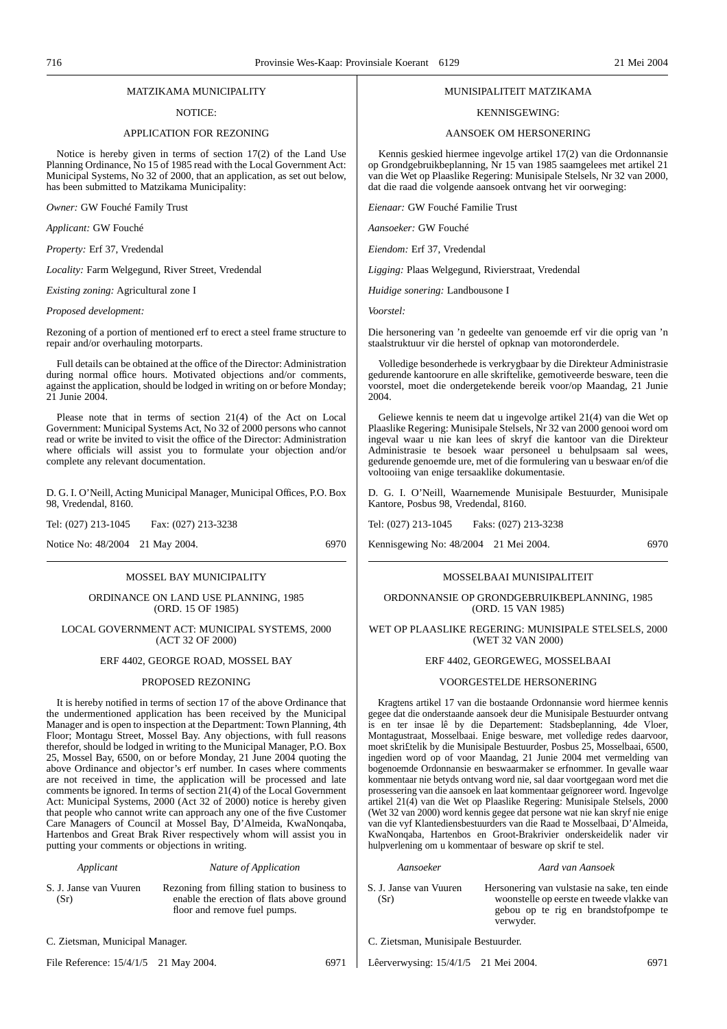#### MATZIKAMA MUNICIPALITY

NOTICE:

#### APPLICATION FOR REZONING

Notice is hereby given in terms of section 17(2) of the Land Use Planning Ordinance, No 15 of 1985 read with the Local Government Act: Municipal Systems, No 32 of 2000, that an application, as set out below, has been submitted to Matzikama Municipality:

*Owner:* GW Fouché Family Trust

*Applicant:* GW Fouché

*Property:* Erf 37, Vredendal

*Locality:* Farm Welgegund, River Street, Vredendal

*Existing zoning:* Agricultural zone I

*Proposed development:*

Rezoning of a portion of mentioned erf to erect a steel frame structure to repair and/or overhauling motorparts.

Full details can be obtained at the office of the Director: Administration during normal office hours. Motivated objections and/or comments, against the application, should be lodged in writing on or before Monday; 21 Junie 2004.

Please note that in terms of section 21(4) of the Act on Local Government: Municipal Systems Act, No 32 of 2000 persons who cannot read or write be invited to visit the office of the Director: Administration where officials will assist you to formulate your objection and/or complete any relevant documentation.

D. G. I. O'Neill, Acting Municipal Manager, Municipal Offices, P.O. Box 98, Vredendal, 8160.

Tel: (027) 213-1045 Fax: (027) 213-3238

Notice No: 48/2004 21 May 2004. 6970

#### MOSSEL BAY MUNICIPALITY

#### ORDINANCE ON LAND USE PLANNING, 1985 (ORD. 15 OF 1985)

#### LOCAL GOVERNMENT ACT: MUNICIPAL SYSTEMS, 2000 (ACT 32 OF 2000)

#### ERF 4402, GEORGE ROAD, MOSSEL BAY

#### PROPOSED REZONING

It is hereby notified in terms of section 17 of the above Ordinance that the undermentioned application has been received by the Municipal Manager and is open to inspection at the Department: Town Planning, 4th Floor; Montagu Street, Mossel Bay. Any objections, with full reasons therefor, should be lodged in writing to the Municipal Manager, P.O. Box 25, Mossel Bay, 6500, on or before Monday, 21 June 2004 quoting the above Ordinance and objector's erf number. In cases where comments are not received in time, the application will be processed and late comments be ignored. In terms of section 21(4) of the Local Government Act: Municipal Systems, 2000 (Act 32 of 2000) notice is hereby given that people who cannot write can approach any one of the five Customer Care Managers of Council at Mossel Bay, D'Almeida, KwaNonqaba, Hartenbos and Great Brak River respectively whom will assist you in putting your comments or objections in writing.

*Applicant Nature of Application*

S. J. Janse van Vuuren  $(Sr)$ Rezoning from filling station to business to enable the erection of flats above ground floor and remove fuel pumps.

C. Zietsman, Municipal Manager.

File Reference:  $15/4/1/5$  21 May 2004. 6971

#### MUNISIPALITEIT MATZIKAMA

#### KENNISGEWING:

#### AANSOEK OM HERSONERING

Kennis geskied hiermee ingevolge artikel 17(2) van die Ordonnansie op Grondgebruikbeplanning, Nr 15 van 1985 saamgelees met artikel 21 van die Wet op Plaaslike Regering: Munisipale Stelsels, Nr 32 van 2000, dat die raad die volgende aansoek ontvang het vir oorweging:

*Eienaar:* GW Fouché Familie Trust

*Aansoeker:* GW Fouché

*Eiendom:* Erf 37, Vredendal

*Ligging:* Plaas Welgegund, Rivierstraat, Vredendal

*Huidige sonering:* Landbousone I

*Voorstel:*

Die hersonering van 'n gedeelte van genoemde erf vir die oprig van 'n staalstruktuur vir die herstel of opknap van motoronderdele.

Volledige besonderhede is verkrygbaar by die Direkteur Administrasie gedurende kantoorure en alle skriftelike, gemotiveerde besware, teen die voorstel, moet die ondergetekende bereik voor/op Maandag, 21 Junie 2004.

Geliewe kennis te neem dat u ingevolge artikel 21(4) van die Wet op Plaaslike Regering: Munisipale Stelsels, Nr 32 van 2000 genooi word om ingeval waar u nie kan lees of skryf die kantoor van die Direkteur Administrasie te besoek waar personeel u behulpsaam sal wees, gedurende genoemde ure, met of die formulering van u beswaar en/of die voltooiing van enige tersaaklike dokumentasie.

D. G. I. O'Neill, Waarnemende Munisipale Bestuurder, Munisipale Kantore, Posbus 98, Vredendal, 8160.

Tel: (027) 213-1045 Faks: (027) 213-3238

Kennisgewing No: 48/2004 21 Mei 2004. 6970

#### MOSSELBAAI MUNISIPALITEIT

ORDONNANSIE OP GRONDGEBRUIKBEPLANNING, 1985 (ORD. 15 VAN 1985)

WET OP PLAASLIKE REGERING: MUNISIPALE STELSELS, 2000 (WET 32 VAN 2000)

#### ERF 4402, GEORGEWEG, MOSSELBAAI

#### VOORGESTELDE HERSONERING

Kragtens artikel 17 van die bostaande Ordonnansie word hiermee kennis gegee dat die onderstaande aansoek deur die Munisipale Bestuurder ontvang is en ter insae lê by die Departement: Stadsbeplanning, 4de Vloer, Montagustraat, Mosselbaai. Enige besware, met volledige redes daarvoor, moet skri£telik by die Munisipale Bestuurder, Posbus 25, Mosselbaai, 6500, ingedien word op of voor Maandag, 21 Junie 2004 met vermelding van bogenoemde Ordonnansie en beswaarmaker se erfnommer. In gevalle waar kommentaar nie betyds ontvang word nie, sal daar voortgegaan word met die prosessering van die aansoek en laat kommentaar geïgnoreer word. Ingevolge artikel 21(4) van die Wet op Plaaslike Regering: Munisipale Stelsels, 2000 (Wet 32 van 2000) word kennis gegee dat persone wat nie kan skryf nie enige van die vyf Klantediensbestuurders van die Raad te Mosselbaai, D'Almeida, KwaNonqaba, Hartenbos en Groot-Brakrivier onderskeidelik nader vir hulpverlening om u kommentaar of besware op skrif te stel.

*Aansoeker Aard van Aansoek*

S. J. Janse van Vuuren  $(Sr)$ Hersonering van vulstasie na sake, ten einde woonstelle op eerste en tweede vlakke van

- gebou op te rig en brandstofpompe te verwyder.
- C. Zietsman, Munisipale Bestuurder.

Lêerverwysing: 15/4/1/5 21 Mei 2004. 6971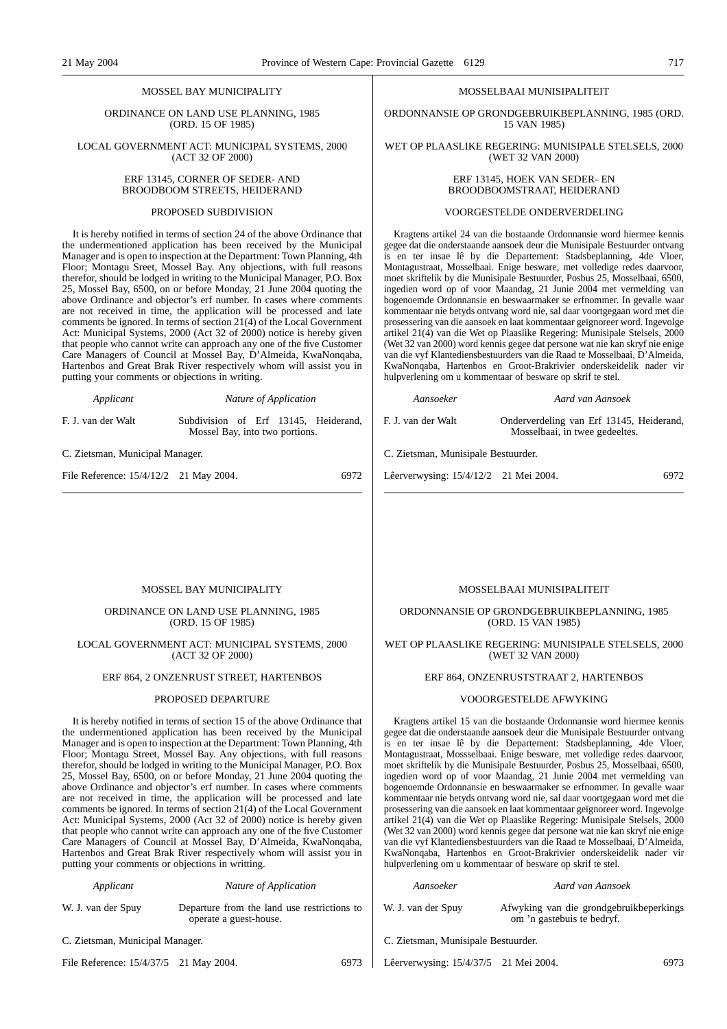#### MOSSEL BAY MUNICIPALITY

ORDINANCE ON LAND USE PLANNING, 1985 (ORD. 15 OF 1985)

LOCAL GOVERNMENT ACT: MUNICIPAL SYSTEMS, 2000 (ACT 32 OF 2000)

#### ERF 13145, CORNER OF SEDER- AND BROODBOOM STREETS, HEIDERAND

#### PROPOSED SUBDIVISION

It is hereby notified in terms of section 24 of the above Ordinance that the undermentioned application has been received by the Municipal Manager and is open to inspection at the Department: Town Planning, 4th Floor; Montagu Sreet, Mossel Bay. Any objections, with full reasons therefor, should be lodged in writing to the Municipal Manager, P.O. Box 25, Mossel Bay, 6500, on or before Monday, 21 June 2004 quoting the above Ordinance and objector's erf number. In cases where comments are not received in time, the application will be processed and late comments be ignored. In terms of section 21(4) of the Local Government Act: Municipal Systems, 2000 (Act 32 of 2000) notice is hereby given that people who cannot write can approach any one of the five Customer Care Managers of Council at Mossel Bay, D'Almeida, KwaNonqaba, Hartenbos and Great Brak River respectively whom will assist you in putting your comments or objections in writing.

| Applicant          | Nature of Application                                                  |  |
|--------------------|------------------------------------------------------------------------|--|
| F. J. van der Walt | Subdivision of Erf 13145, Heiderand,<br>Mossel Bay, into two portions. |  |

C. Zietsman, Municipal Manager.

File Reference:  $15/4/12/2$  21 May 2004. 6972

#### MOSSELBAAI MUNISIPALITEIT

ORDONNANSIE OP GRONDGEBRUIKBEPLANNING, 1985 (ORD. 15 VAN 1985)

WET OP PLAASLIKE REGERING: MUNISIPALE STELSELS, 2000 (WET 32 VAN 2000)

#### ERF 13145, HOEK VAN SEDER- EN BROODBOOMSTRAAT, HEIDERAND

#### VOORGESTELDE ONDERVERDELING

Kragtens artikel 24 van die bostaande Ordonnansie word hiermee kennis gegee dat die onderstaande aansoek deur die Munisipale Bestuurder ontvang is en ter insae lê by die Departement: Stadsbeplanning, 4de Vloer, Montagustraat, Mosselbaai. Enige besware, met volledige redes daarvoor, moet skriftelik by die Munisipale Bestuurder, Posbus 25, Mosselbaai, 6500, ingedien word op of voor Maandag, 21 Junie 2004 met vermelding van bogenoemde Ordonnansie en beswaarmaker se erfnommer. In gevalle waar kommentaar nie betyds ontvang word nie, sal daar voortgegaan word met die prosessering van die aansoek en laat kommentaar geïgnoreer word. Ingevolge artikel 21(4) van die Wet op Plaaslike Regering: Munisipale Stelsels, 2000 (Wet 32 van 2000) word kennis gegee dat persone wat nie kan skryf nie enige van die vyf Klantediensbestuurders van die Raad te Mosselbaai, D'Almeida, KwaNonqaba, Hartenbos en Groot-Brakrivier onderskeidelik nader vir hulpverlening om u kommentaar of besware op skrif te stel.

*Aansoeker Aard van Aansoek*

F. J. van der Walt Onderverdeling van Erf 13145, Heiderand, Mosselbaai, in twee gedeeltes.

C. Zietsman, Munisipale Bestuurder.

Lêerverwysing: 15/4/12/2 21 Mei 2004. 6972

## MOSSEL BAY MUNICIPALITY

#### ORDINANCE ON LAND USE PLANNING, 1985 (ORD. 15 OF 1985)

#### LOCAL GOVERNMENT ACT: MUNICIPAL SYSTEMS, 2000 (ACT 32 OF 2000)

## ERF 864, 2 ONZENRUST STREET, HARTENBOS

#### PROPOSED DEPARTURE

It is hereby notified in terms of section 15 of the above Ordinance that the undermentioned application has been received by the Municipal Manager and is open to inspection at the Department: Town Planning, 4th Floor; Montagu Street, Mossel Bay. Any objections, with full reasons therefor, should be lodged in writing to the Municipal Manager, P.O. Box 25, Mossel Bay, 6500, on or before Monday, 21 June 2004 quoting the above Ordinance and objector's erf number. In cases where comments are not received in time, the application will be processed and late comments be ignored. In terms of section 21(4) of the Local Government Act: Municipal Systems, 2000 (Act 32 of 2000) notice is hereby given that people who cannot write can approach any one of the five Customer Care Managers of Council at Mossel Bay, D'Almeida, KwaNonqaba, Hartenbos and Great Brak River respectively whom will assist you in putting your comments or objections in writting.

| Applicant            | Nature of Application                                                 |
|----------------------|-----------------------------------------------------------------------|
| W. J. van der Spuy   | Departure from the land use restrictions to<br>operate a guest-house. |
| $\sim$ $\sim$ $\sim$ |                                                                       |

C. Zietsman, Municipal Manager.

File Reference: 15/4/37/5 21 May 2004.

#### MOSSELBAAI MUNISIPALITEIT

ORDONNANSIE OP GRONDGEBRUIKBEPLANNING, 1985 (ORD. 15 VAN 1985)

WET OP PLAASLIKE REGERING: MUNISIPALE STELSELS, 2000 (WET 32 VAN 2000)

### ERF 864, ONZENRUSTSTRAAT 2, HARTENBOS

#### VOOORGESTELDE AFWYKING

Kragtens artikel 15 van die bostaande Ordonnansie word hiermee kennis gegee dat die onderstaande aansoek deur die Munisipale Bestuurder ontvang is en ter insae lê by die Departement: Stadsbeplanning, 4de Vloer, Montagustraat, Mossselbaai. Enige besware, met volledige redes daarvoor, moet skriftelik by die Munisipale Bestuurder, Posbus 25, Mosselbaai, 6500, ingedien word op of voor Maandag, 21 Junie 2004 met vermelding van bogenoemde Ordonnansie en beswaarmaker se erfnommer. In gevalle waar kommentaar nie betyds ontvang word nie, sal daar voortgegaan word met die prosessering van die aansoek en laat kommentaar geïgnoreer word. Ingevolge artikel 21(4) van die Wet op Plaaslike Regering: Munisipale Stelsels, 2000 (Wet 32 van 2000) word kennis gegee dat persone wat nie kan skryf nie enige van die vyf Klantediensbestuurders van die Raad te Mosselbaai, D'Almeida, KwaNonqaba, Hartenbos en Groot-Brakrivier onderskeidelik nader vir hulpverlening om u kommentaar of besware op skrif te stel.

|       | Aansoeker                             | Aard van Aansoek                                                      |  |  |  |
|-------|---------------------------------------|-----------------------------------------------------------------------|--|--|--|
| ns to | W. J. van der Spuy                    | Afwyking van die grondgebruikbeperkings<br>om 'n gastebuis te bedryf. |  |  |  |
|       | C. Zietsman, Munisipale Bestuurder.   |                                                                       |  |  |  |
| 6973  | Lêerverwysing: 15/4/37/5 21 Mei 2004. |                                                                       |  |  |  |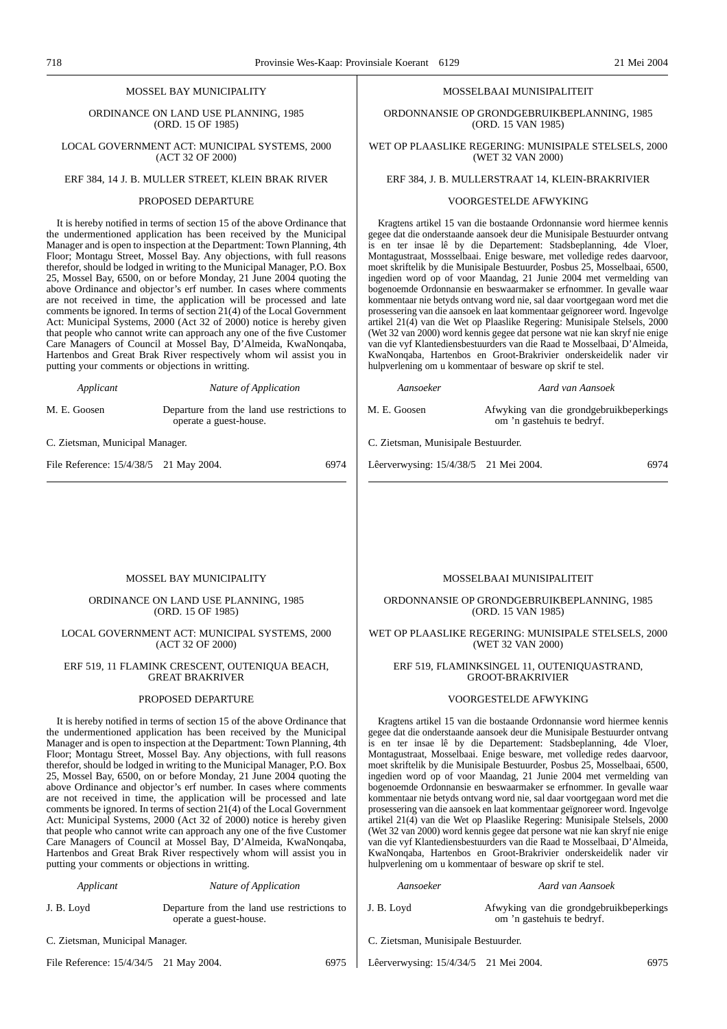ORDINANCE ON LAND USE PLANNING, 1985 (ORD. 15 OF 1985)

LOCAL GOVERNMENT ACT: MUNICIPAL SYSTEMS, 2000 (ACT 32 OF 2000)

## ERF 384, 14 J. B. MULLER STREET, KLEIN BRAK RIVER

#### PROPOSED DEPARTURE

It is hereby notified in terms of section 15 of the above Ordinance that the undermentioned application has been received by the Municipal Manager and is open to inspection at the Department: Town Planning, 4th Floor; Montagu Street, Mossel Bay. Any objections, with full reasons therefor, should be lodged in writing to the Municipal Manager, P.O. Box 25, Mossel Bay, 6500, on or before Monday, 21 June 2004 quoting the above Ordinance and objector's erf number. In cases where comments are not received in time, the application will be processed and late comments be ignored. In terms of section 21(4) of the Local Government Act: Municipal Systems, 2000 (Act 32 of 2000) notice is hereby given that people who cannot write can approach any one of the five Customer Care Managers of Council at Mossel Bay, D'Almeida, KwaNonqaba, Hartenbos and Great Brak River respectively whom wil assist you in putting your comments or objections in writting.

*Applicant Nature of Application*

M. E. Goosen Departure from the land use restrictions to operate a guest-house.

C. Zietsman, Municipal Manager.

File Reference:  $15/4/38/5$  21 May 2004. 6974

#### MOSSELBAAI MUNISIPALITEIT

ORDONNANSIE OP GRONDGEBRUIKBEPLANNING, 1985 (ORD. 15 VAN 1985)

#### WET OP PLAASLIKE REGERING: MUNISIPALE STELSELS, 2000 (WET 32 VAN 2000)

## ERF 384, J. B. MULLERSTRAAT 14, KLEIN-BRAKRIVIER

#### VOORGESTELDE AFWYKING

Kragtens artikel 15 van die bostaande Ordonnansie word hiermee kennis gegee dat die onderstaande aansoek deur die Munisipale Bestuurder ontvang is en ter insae lê by die Departement: Stadsbeplanning, 4de Vloer, Montagustraat, Mossselbaai. Enige besware, met volledige redes daarvoor, moet skriftelik by die Munisipale Bestuurder, Posbus 25, Mosselbaai, 6500, ingedien word op of voor Maandag, 21 Junie 2004 met vermelding van bogenoemde Ordonnansie en beswaarmaker se erfnommer. In gevalle waar kommentaar nie betyds ontvang word nie, sal daar voortgegaan word met die prosessering van die aansoek en laat kommentaar geïgnoreer word. Ingevolge artikel 21(4) van die Wet op Plaaslike Regering: Munisipale Stelsels, 2000 (Wet 32 van 2000) word kennis gegee dat persone wat nie kan skryf nie enige van die vyf Klantediensbestuurders van die Raad te Mosselbaai, D'Almeida, KwaNonqaba, Hartenbos en Groot-Brakrivier onderskeidelik nader vir hulpverlening om u kommentaar of besware op skrif te stel.

#### *Aansoeker Aard van Aansoek*

M. E. Goosen Afwyking van die grondgebruikbeperkings om 'n gastehuis te bedryf.

C. Zietsman, Munisipale Bestuurder.

Lêerverwysing: 15/4/38/5 21 Mei 2004. 6974

#### MOSSEL BAY MUNICIPALITY

#### ORDINANCE ON LAND USE PLANNING, 1985 (ORD. 15 OF 1985)

#### LOCAL GOVERNMENT ACT: MUNICIPAL SYSTEMS, 2000 (ACT 32 OF 2000)

#### ERF 519, 11 FLAMINK CRESCENT, OUTENIQUA BEACH, GREAT BRAKRIVER

#### PROPOSED DEPARTURE

It is hereby notified in terms of section 15 of the above Ordinance that the undermentioned application has been received by the Municipal Manager and is open to inspection at the Department: Town Planning, 4th Floor; Montagu Street, Mossel Bay. Any objections, with full reasons therefor, should be lodged in writing to the Municipal Manager, P.O. Box 25, Mossel Bay, 6500, on or before Monday, 21 June 2004 quoting the above Ordinance and objector's erf number. In cases where comments are not received in time, the application will be processed and late comments be ignored. In terms of section 21(4) of the Local Government Act: Municipal Systems, 2000 (Act 32 of 2000) notice is hereby given that people who cannot write can approach any one of the five Customer Care Managers of Council at Mossel Bay, D'Almeida, KwaNonqaba, Hartenbos and Great Brak River respectively whom will assist you in putting your comments or objections in writting.

| Applicant  | Nature of Application                                                 |
|------------|-----------------------------------------------------------------------|
| J. B. Loyd | Departure from the land use restrictions to<br>operate a guest-house. |

C. Zietsman, Municipal Manager.

File Reference:  $15/4/34/5$  21 May 2004. 6975

MOSSELBAAI MUNISIPALITEIT

ORDONNANSIE OP GRONDGEBRUIKBEPLANNING, 1985 (ORD. 15 VAN 1985)

WET OP PLAASLIKE REGERING: MUNISIPALE STELSELS, 2000 (WET 32 VAN 2000)

#### ERF 519, FLAMINKSlNGEL 11, OUTENIQUASTRAND, GROOT-BRAKRIVIER

#### VOORGESTELDE AFWYKING

Kragtens artikel 15 van die bostaande Ordonnansie word hiermee kennis gegee dat die onderstaande aansoek deur die Munisipale Bestuurder ontvang is en ter insae lê by die Departement: Stadsbeplanning, 4de Vloer, Montagustraat, Mosselbaai. Enige besware, met volledige redes daarvoor, moet skriftelik by die Munisipale Bestuurder, Posbus 25, Mosselbaai, 6500, ingedien word op of voor Maandag, 21 Junie 2004 met vermelding van bogenoemde Ordonnansie en beswaarmaker se erfnommer. In gevalle waar kommentaar nie betyds ontvang word nie, sal daar voortgegaan word met die prosessering van die aansoek en laat kommentaar geïgnoreer word. Ingevolge artikel 21(4) van die Wet op Plaaslike Regering: Munisipale Stelsels, 2000 (Wet 32 van 2000) word kennis gegee dat persone wat nie kan skryf nie enige van die vyf Klantediensbestuurders van die Raad te Mosselbaai, D'Almeida, KwaNonqaba, Hartenbos en Groot-Brakrivier onderskeidelik nader vir hulpverlening om u kommentaar of besware op skrif te stel.

|                                          | Aansoeker | Aard van Aansoek                        |
|------------------------------------------|-----------|-----------------------------------------|
| J. B. Loyd<br>om 'n gastehuis te bedryf. |           | Afwyking van die grondgebruikbeperkings |

C. Zietsman, Munisipale Bestuurder.

Lêerverwysing: 15/4/34/5 21 Mei 2004. 6975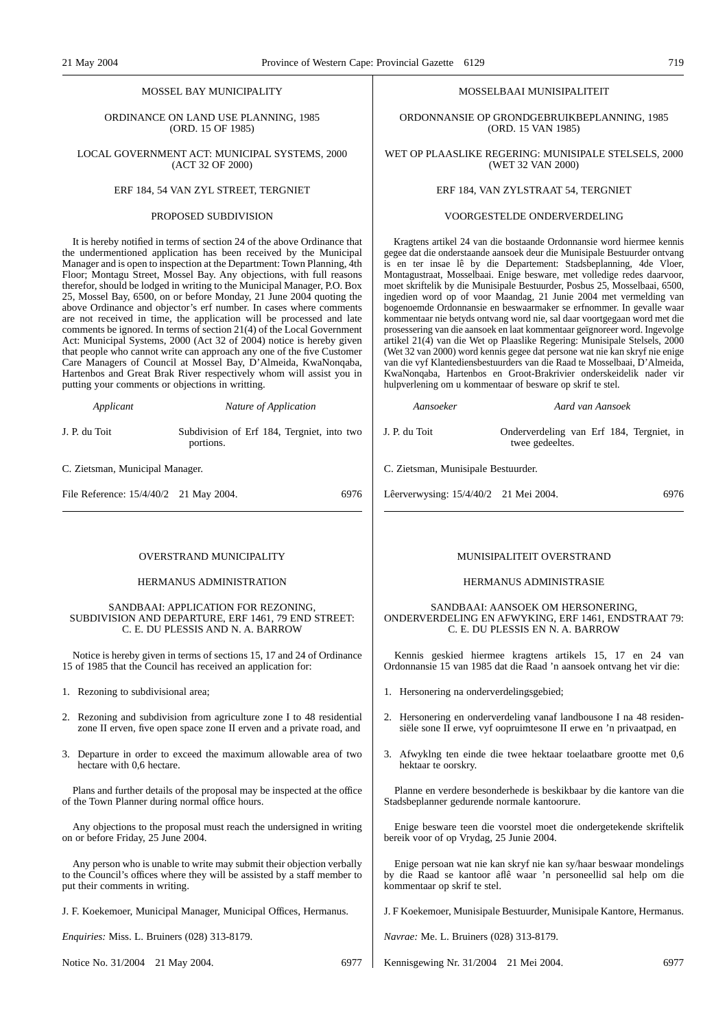#### MOSSEL BAY MUNICIPALITY

#### ORDINANCE ON LAND USE PLANNING, 1985 (ORD. 15 OF 1985)

#### LOCAL GOVERNMENT ACT: MUNICIPAL SYSTEMS, 2000 (ACT 32 OF 2000)

#### ERF 184, 54 VAN ZYL STREET, TERGNIET

#### PROPOSED SUBDIVISION

It is hereby notified in terms of section 24 of the above Ordinance that the undermentioned application has been received by the Municipal Manager and is open to inspection at the Department: Town Planning, 4th Floor; Montagu Street, Mossel Bay. Any objections, with full reasons therefor, should be lodged in writing to the Municipal Manager, P.O. Box 25, Mossel Bay, 6500, on or before Monday, 21 June 2004 quoting the above Ordinance and objector's erf number. In cases where comments are not received in time, the application will be processed and late comments be ignored. In terms of section 21(4) of the Local Government Act: Municipal Systems, 2000 (Act 32 of 2004) notice is hereby given that people who cannot write can approach any one of the five Customer Care Managers of Council at Mossel Bay, D'Almeida, KwaNonqaba, Hartenbos and Great Brak River respectively whom will assist you in putting your comments or objections in writting.

*Applicant Nature of Application*

J. P. du Toit Subdivision of Erf 184, Tergniet, into two portions.

C. Zietsman, Municipal Manager.

File Reference:  $15/4/40/2$  21 May 2004. 6976

#### OVERSTRAND MUNICIPALITY

#### HERMANUS ADMINISTRATION

#### SANDBAAI: APPLICATION FOR REZONING, SUBDIVISION AND DEPARTURE, ERF 1461, 79 END STREET: C. E. DU PLESSIS AND N. A. BARROW

Notice is hereby given in terms of sections 15, 17 and 24 of Ordinance 15 of 1985 that the Council has received an application for:

1. Rezoning to subdivisional area;

- 2. Rezoning and subdivision from agriculture zone I to 48 residential zone II erven, five open space zone II erven and a private road, and
- 3. Departure in order to exceed the maximum allowable area of two hectare with 0,6 hectare.

Plans and further details of the proposal may be inspected at the office of the Town Planner during normal office hours.

Any objections to the proposal must reach the undersigned in writing on or before Friday, 25 June 2004.

Any person who is unable to write may submit their objection verbally to the Council's offices where they will be assisted by a staff member to put their comments in writing.

J. F. Koekemoer, Municipal Manager, Municipal Offices, Hermanus.

*Enquiries:* Miss. L. Bruiners (028) 313-8179.

Notice No. 31/2004 21 May 2004. 6977

#### MOSSELBAAI MUNISIPALITEIT

ORDONNANSIE OP GRONDGEBRUIKBEPLANNING, 1985 (ORD. 15 VAN 1985)

#### WET OP PLAASLIKE REGERING: MUNISIPALE STELSELS, 2000 (WET 32 VAN 2000)

#### ERF 184, VAN ZYLSTRAAT 54, TERGNIET

#### VOORGESTELDE ONDERVERDELING

Kragtens artikel 24 van die bostaande Ordonnansie word hiermee kennis gegee dat die onderstaande aansoek deur die Munisipale Bestuurder ontvang is en ter insae lê by die Departement: Stadsbeplanning, 4de Vloer, Montagustraat, Mosselbaai. Enige besware, met volledige redes daarvoor, moet skriftelik by die Munisipale Bestuurder, Posbus 25, Mosselbaai, 6500, ingedien word op of voor Maandag, 21 Junie 2004 met vermelding van bogenoemde Ordonnansie en beswaarmaker se erfnommer. In gevalle waar kommentaar nie betyds ontvang word nie, sal daar voortgegaan word met die prosessering van die aansoek en laat kommentaar geïgnoreer word. Ingevolge artikel 21(4) van die Wet op Plaaslike Regering: Munisipale Stelsels, 2000 (Wet 32 van 2000) word kennis gegee dat persone wat nie kan skryf nie enige van die vyf Klantediensbestuurders van die Raad te Mosselbaai, D'Almeida, KwaNonqaba, Hartenbos en Groot-Brakrivier onderskeidelik nader vir hulpverlening om u kommentaar of besware op skrif te stel.

*Aansoeker Aard van Aansoek*

J. P. du Toit Onderverdeling van Erf 184, Tergniet, in twee gedeeltes.

C. Zietsman, Munisipale Bestuurder.

Lêerverwysing: 15/4/40/2 21 Mei 2004. 6976

#### MUNISIPALITEIT OVERSTRAND

#### HERMANUS ADMINISTRASIE

#### SANDBAAI: AANSOEK OM HERSONERING, ONDERVERDELING EN AFWYKING, ERF 1461, ENDSTRAAT 79: C. E. DU PLESSIS EN N. A. BARROW

Kennis geskied hiermee kragtens artikels 15, 17 en 24 van Ordonnansie 15 van 1985 dat die Raad 'n aansoek ontvang het vir die:

- 1. Hersonering na onderverdelingsgebied;
- 2. Hersonering en onderverdeling vanaf landbousone I na 48 residensiële sone II erwe, vyf oopruimtesone II erwe en 'n privaatpad, en
- 3. Afwyklng ten einde die twee hektaar toelaatbare grootte met 0,6 hektaar te oorskry.

Planne en verdere besonderhede is beskikbaar by die kantore van die Stadsbeplanner gedurende normale kantoorure.

Enige besware teen die voorstel moet die ondergetekende skriftelik bereik voor of op Vrydag, 25 Junie 2004.

Enige persoan wat nie kan skryf nie kan sy/haar beswaar mondelings by die Raad se kantoor aflê waar 'n personeellid sal help om die kommentaar op skrif te stel.

J. F Koekemoer, Munisipale Bestuurder, Munisipale Kantore, Hermanus.

*Navrae:* Me. L. Bruiners (028) 313-8179.

Kennisgewing Nr. 31/2004 21 Mei 2004. 6977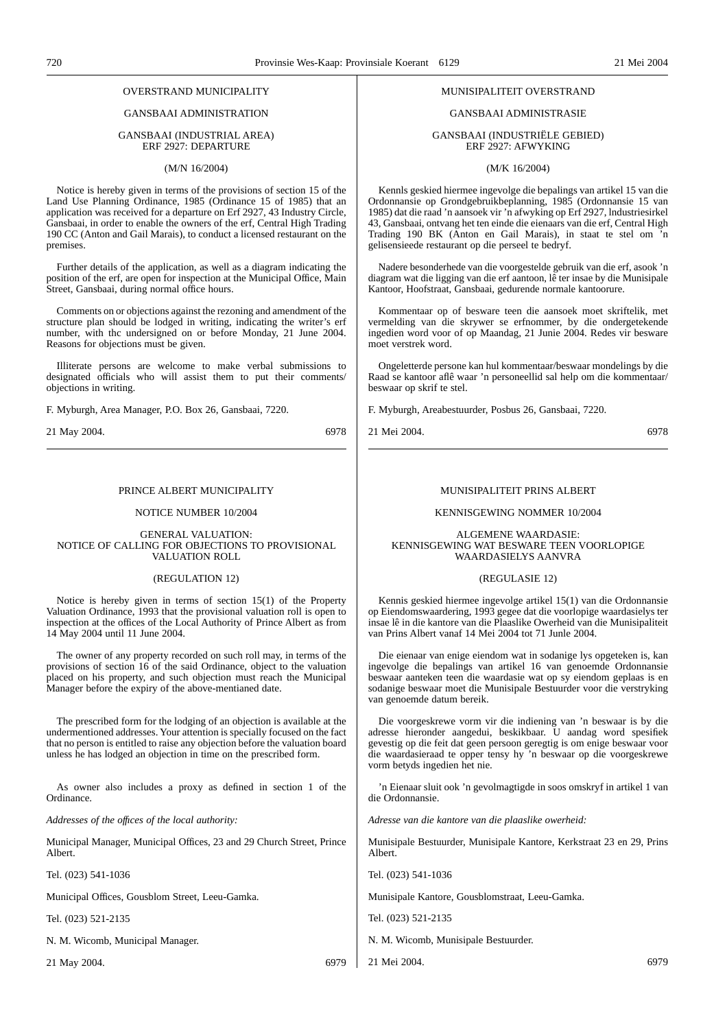## OVERSTRAND MUNICIPALITY

## GANSBAAI ADMINISTRATION

#### GANSBAAI (INDUSTRIAL AREA) ERF 2927: DEPARTURE

#### (M/N 16/2004)

Notice is hereby given in terms of the provisions of section 15 of the Land Use Planning Ordinance, 1985 (Ordinance 15 of 1985) that an application was received for a departure on Erf 2927, 43 Industry Circle, Gansbaai, in order to enable the owners of the erf, Central High Trading 190 CC (Anton and Gail Marais), to conduct a licensed restaurant on the premises.

Further details of the application, as well as a diagram indicating the position of the erf, are open for inspection at the Municipal Office, Main Street, Gansbaai, during normal office hours.

Comments on or objections against the rezoning and amendment of the structure plan should be lodged in writing, indicating the writer's erf number, with thc undersigned on or before Monday, 21 June 2004. Reasons for objections must be given.

Illiterate persons are welcome to make verbal submissions to designated officials who will assist them to put their comments/ objections in writing.

F. Myburgh, Area Manager, P.O. Box 26, Gansbaai, 7220.

21 May 2004. 6978

#### PRINCE ALBERT MUNICIPALITY

#### NOTICE NUMBER 10/2004

GENERAL VALUATION: NOTICE OF CALLING FOR OBJECTIONS TO PROVISIONAL VALUATION ROLL

#### (REGULATION 12)

Notice is hereby given in terms of section 15(1) of the Property Valuation Ordinance, 1993 that the provisional valuation roll is open to inspection at the offices of the Local Authority of Prince Albert as from 14 May 2004 until 11 June 2004.

The owner of any property recorded on such roll may, in terms of the provisions of section 16 of the said Ordinance, object to the valuation placed on his property, and such objection must reach the Municipal Manager before the expiry of the above-mentianed date.

The prescribed form for the lodging of an objection is available at the undermentioned addresses. Your attention is specially focused on the fact that no person is entitled to raise any objection before the valuation board unless he has lodged an objection in time on the prescribed form.

As owner also includes a proxy as defined in section 1 of the Ordinance.

*Addresses of the offıces of the local authority:*

Municipal Manager, Municipal Offices, 23 and 29 Church Street, Prince Albert.

Tel. (023) 541-1036

Municipal Offices, Gousblom Street, Leeu-Gamka.

Tel. (023) 521-2135

N. M. Wicomb, Municipal Manager.

21 May 2004. 6979

#### MUNISIPALITEIT OVERSTRAND

#### GANSBAAI ADMINISTRASIE

GANSBAAI (INDUSTRIËLE GEBIED) ERF 2927: AFWYKING

(M/K 16/2004)

Kennls geskied hiermee ingevolge die bepalings van artikel 15 van die Ordonnansie op Grondgebruikbeplanning, 1985 (Ordonnansie 15 van 1985) dat die raad 'n aansoek vir 'n afwyking op Erf 2927, lndustriesirkel 43, Gansbaai, ontvang het ten einde die eienaars van die erf, Central High Trading 190 BK (Anton en Gail Marais), in staat te stel om 'n gelisensieede restaurant op die perseel te bedryf.

Nadere besonderhede van die voorgestelde gebruik van die erf, asook 'n diagram wat die ligging van die erf aantoon, lê ter insae by die Munisipale Kantoor, Hoofstraat, Gansbaai, gedurende normale kantoorure.

Kommentaar op of besware teen die aansoek moet skriftelik, met vermelding van die skrywer se erfnommer, by die ondergetekende ingedien word voor of op Maandag, 21 Junie 2004. Redes vir besware moet verstrek word.

Ongeletterde persone kan hul kommentaar/beswaar mondelings by die Raad se kantoor aflê waar 'n personeellid sal help om die kommentaar/ beswaar op skrif te stel.

F. Myburgh, Areabestuurder, Posbus 26, Gansbaai, 7220.

21 Mei 2004. 6978

#### MUNISIPALITEIT PRINS ALBERT

#### KENNISGEWING NOMMER 10/2004

ALGEMENE WAARDASIE: KENNISGEWING WAT BESWARE TEEN VOORLOPIGE WAARDASIELYS AANVRA

#### (REGULASIE 12)

Kennis geskied hiermee ingevolge artikel 15(1) van die Ordonnansie op Eiendomswaardering, 1993 gegee dat die voorlopige waardasielys ter insae lê in die kantore van die Plaaslike Owerheid van die Munisipaliteit van Prins Albert vanaf 14 Mei 2004 tot 71 Junle 2004.

Die eienaar van enige eiendom wat in sodanige lys opgeteken is, kan ingevolge die bepalings van artikel 16 van genoemde Ordonnansie beswaar aanteken teen die waardasie wat op sy eiendom geplaas is en sodanige beswaar moet die Munisipale Bestuurder voor die verstryking van genoemde datum bereik.

Die voorgeskrewe vorm vir die indiening van 'n beswaar is by die adresse hieronder aangedui, beskikbaar. U aandag word spesifiek gevestig op die feit dat geen persoon geregtig is om enige beswaar voor die waardasieraad te opper tensy hy 'n beswaar op die voorgeskrewe vorm betyds ingedien het nie.

'n Eienaar sluit ook 'n gevolmagtigde in soos omskryf in artikel 1 van die Ordonnansie.

*Adresse van die kantore van die plaaslike owerheid:*

Munisipale Bestuurder, Munisipale Kantore, Kerkstraat 23 en 29, Prins Albert.

Tel. (023) 541-1036

Munisipale Kantore, Gousblomstraat, Leeu-Gamka.

Tel. (023) 521-2135

N. M. Wicomb, Munisipale Bestuurder.

21 Mei 2004. 6979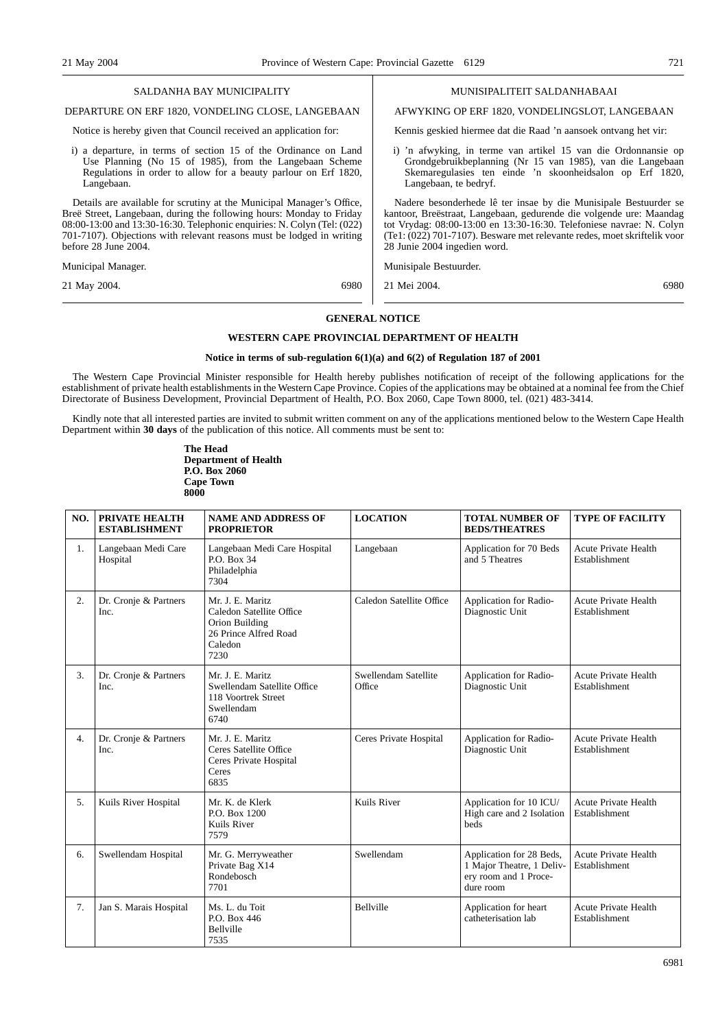| SALDANHA BAY MUNICIPALITY                                                                                                                                                                                                                                                                                                 | MUNISIPALITEIT SALDANHABAAI                                                                                                                                                                                                                                                                                                 |
|---------------------------------------------------------------------------------------------------------------------------------------------------------------------------------------------------------------------------------------------------------------------------------------------------------------------------|-----------------------------------------------------------------------------------------------------------------------------------------------------------------------------------------------------------------------------------------------------------------------------------------------------------------------------|
| DEPARTURE ON ERF 1820, VONDELING CLOSE, LANGEBAAN                                                                                                                                                                                                                                                                         | AFWYKING OP ERF 1820, VONDELINGSLOT, LANGEBAAN                                                                                                                                                                                                                                                                              |
| Notice is hereby given that Council received an application for:                                                                                                                                                                                                                                                          | Kennis geskied hiermee dat die Raad 'n aansoek ontvang het vir:                                                                                                                                                                                                                                                             |
| i) a departure, in terms of section 15 of the Ordinance on Land<br>Use Planning (No 15 of 1985), from the Langebaan Scheme<br>Regulations in order to allow for a beauty parlour on Erf 1820,<br>Langebaan.                                                                                                               | i) 'n afwyking, in terme van artikel 15 van die Ordonnansie op<br>Grondgebruikbeplanning (Nr 15 van 1985), van die Langebaan<br>Skemaregulasies ten einde 'n skoonheidsalon op Erf 1820,<br>Langebaan, te bedryf.                                                                                                           |
| Details are available for scrutiny at the Municipal Manager's Office,<br>Breë Street, Langebaan, during the following hours: Monday to Friday<br>08:00-13:00 and 13:30-16:30. Telephonic enquiries: N. Colyn (Tel: (022)<br>701-7107). Objections with relevant reasons must be lodged in writing<br>before 28 June 2004. | Nadere besonderhede lê ter insae by die Munisipale Bestuurder se<br>kantoor, Breëstraat, Langebaan, gedurende die volgende ure: Maandag<br>tot Vrydag: 08:00-13:00 en 13:30-16:30. Telefoniese navrae: N. Colyn<br>(Te1: (022) 701-7107). Besware met relevante redes, moet skriftelik voor<br>28 Junie 2004 ingedien word. |
| Municipal Manager.                                                                                                                                                                                                                                                                                                        | Munisipale Bestuurder.                                                                                                                                                                                                                                                                                                      |
| 21 May 2004.<br>6980                                                                                                                                                                                                                                                                                                      | 21 Mei 2004.<br>6980                                                                                                                                                                                                                                                                                                        |
|                                                                                                                                                                                                                                                                                                                           |                                                                                                                                                                                                                                                                                                                             |

### **GENERAL NOTICE**

#### **WESTERN CAPE PROVINCIAL DEPARTMENT OF HEALTH**

#### **Notice in terms of sub-regulation 6(1)(a) and 6(2) of Regulation 187 of 2001**

The Western Cape Provincial Minister responsible for Health hereby publishes notification of receipt of the following applications for the establishment of private health establishments in the Western Cape Province. Copies of the applications may be obtained at a nominal fee from the Chief Directorate of Business Development, Provincial Department of Health, P.O. Box 2060, Cape Town 8000, tel. (021) 483-3414.

Kindly note that all interested parties are invited to submit written comment on any of the applications mentioned below to the Western Cape Health Department within **30 days** of the publication of this notice. All comments must be sent to:

> **The Head Department of Health P.O. Box 2060 Cape Town 8000**

| NO. | PRIVATE HEALTH<br><b>ESTABLISHMENT</b> | <b>NAME AND ADDRESS OF</b><br><b>PROPRIETOR</b>                                                            | <b>LOCATION</b>                | <b>TOTAL NUMBER OF</b><br><b>BEDS/THEATRES</b>                                              | <b>TYPE OF FACILITY</b>                      |
|-----|----------------------------------------|------------------------------------------------------------------------------------------------------------|--------------------------------|---------------------------------------------------------------------------------------------|----------------------------------------------|
| 1.  | Langebaan Medi Care<br>Hospital        | Langebaan Medi Care Hospital<br>P.O. Box 34<br>Philadelphia<br>7304                                        | Langebaan                      | Application for 70 Beds<br>and 5 Theatres                                                   | <b>Acute Private Health</b><br>Establishment |
| 2.  | Dr. Cronje & Partners<br>Inc.          | Mr. J. E. Maritz<br>Caledon Satellite Office<br>Orion Building<br>26 Prince Alfred Road<br>Caledon<br>7230 | Caledon Satellite Office       | Application for Radio-<br>Diagnostic Unit                                                   | <b>Acute Private Health</b><br>Establishment |
| 3.  | Dr. Cronje & Partners<br>Inc.          | Mr. J. E. Maritz<br>Swellendam Satellite Office<br>118 Voortrek Street<br>Swellendam<br>6740               | Swellendam Satellite<br>Office | Application for Radio-<br>Diagnostic Unit                                                   | <b>Acute Private Health</b><br>Establishment |
| 4.  | Dr. Cronje & Partners<br>Inc.          | Mr. J. E. Maritz<br>Ceres Satellite Office<br>Ceres Private Hospital<br>Ceres<br>6835                      | Ceres Private Hospital         | Application for Radio-<br>Diagnostic Unit                                                   | <b>Acute Private Health</b><br>Establishment |
| 5.  | Kuils River Hospital                   | Mr. K. de Klerk<br>P.O. Box 1200<br>Kuils River<br>7579                                                    | Kuils River                    | Application for 10 ICU/<br>High care and 2 Isolation<br><b>beds</b>                         | <b>Acute Private Health</b><br>Establishment |
| 6.  | Swellendam Hospital                    | Mr. G. Merryweather<br>Private Bag X14<br>Rondebosch<br>7701                                               | Swellendam                     | Application for 28 Beds,<br>1 Major Theatre, 1 Deliv-<br>ery room and 1 Proce-<br>dure room | <b>Acute Private Health</b><br>Establishment |
| 7.  | Jan S. Marais Hospital                 | Ms. L. du Toit<br>P.O. Box 446<br>Bellville<br>7535                                                        | <b>Bellville</b>               | Application for heart<br>catheterisation lab                                                | <b>Acute Private Health</b><br>Establishment |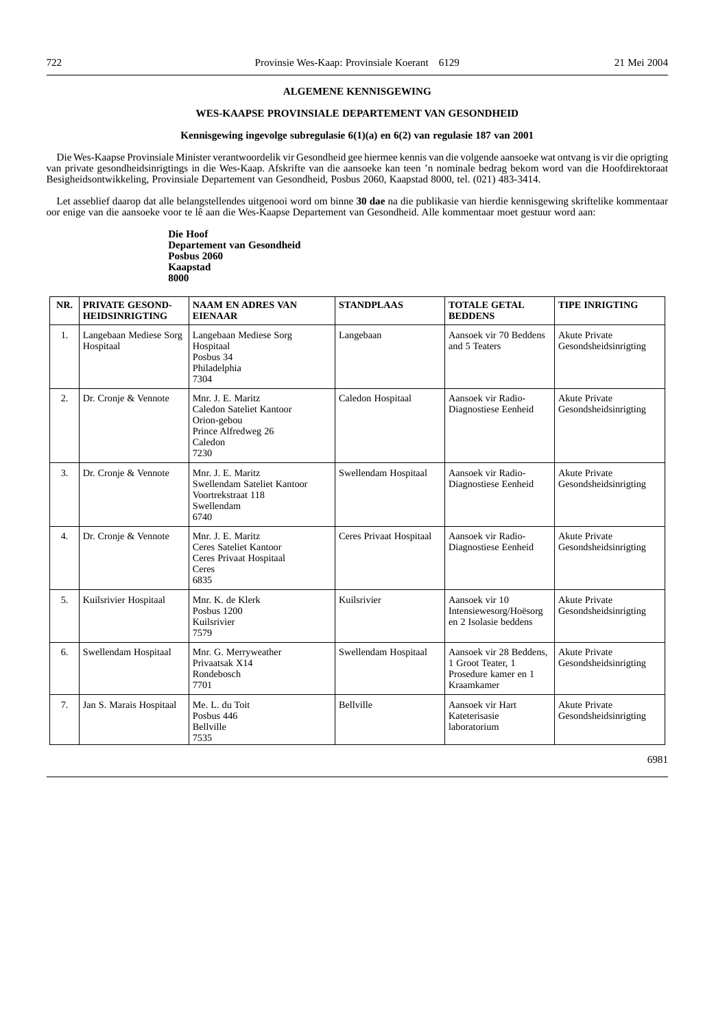#### **ALGEMENE KENNISGEWING**

## **WES-KAAPSE PROVINSIALE DEPARTEMENT VAN GESONDHEID**

#### **Kennisgewing ingevolge subregulasie 6(1)(a) en 6(2) van regulasie 187 van 2001**

Die Wes-Kaapse Provinsiale Minister verantwoordelik vir Gesondheid gee hiermee kennis van die volgende aansoeke wat ontvang is vir die oprigting van private gesondheidsinrigtings in die Wes-Kaap. Afskrifte van die aansoeke kan teen 'n nominale bedrag bekom word van die Hoofdirektoraat Besigheidsontwikkeling, Provinsiale Departement van Gesondheid, Posbus 2060, Kaapstad 8000, tel. (021) 483-3414.

Let asseblief daarop dat alle belangstellendes uitgenooi word om binne **30 dae** na die publikasie van hierdie kennisgewing skriftelike kommentaar oor enige van die aansoeke voor te lê aan die Wes-Kaapse Departement van Gesondheid. Alle kommentaar moet gestuur word aan:

> **Die Hoof Departement van Gesondheid Posbus 2060 Kaapstad 8000**

| NR.              | <b>PRIVATE GESOND-</b><br><b>HEIDSINRIGTING</b> | <b>NAAM EN ADRES VAN</b><br><b>EIENAAR</b>                                                             | <b>STANDPLAAS</b>       | <b>TOTALE GETAL</b><br><b>BEDDENS</b>                                              | <b>TIPE INRIGTING</b>                         |
|------------------|-------------------------------------------------|--------------------------------------------------------------------------------------------------------|-------------------------|------------------------------------------------------------------------------------|-----------------------------------------------|
| 1.               | Langebaan Mediese Sorg<br>Hospitaal             | Langebaan Mediese Sorg<br>Hospitaal<br>Posbus 34<br>Philadelphia<br>7304                               | Langebaan               | Aansoek vir 70 Beddens<br>and 5 Teaters                                            | <b>Akute Private</b><br>Gesondsheidsinrigting |
| $\overline{2}$ . | Dr. Cronje & Vennote                            | Mnr. J. E. Maritz<br>Caledon Sateliet Kantoor<br>Orion-gebou<br>Prince Alfredweg 26<br>Caledon<br>7230 | Caledon Hospitaal       | Aansoek vir Radio-<br>Diagnostiese Eenheid                                         | <b>Akute Private</b><br>Gesondsheidsinrigting |
| 3.               | Dr. Cronje & Vennote                            | Mnr. J. E. Maritz<br>Swellendam Sateliet Kantoor<br>Voortrekstraat 118<br>Swellendam<br>6740           | Swellendam Hospitaal    | Aansoek vir Radio-<br>Diagnostiese Eenheid                                         | <b>Akute Private</b><br>Gesondsheidsinrigting |
| 4.               | Dr. Cronje & Vennote                            | Mnr. J. E. Maritz<br><b>Ceres Sateliet Kantoor</b><br>Ceres Privaat Hospitaal<br>Ceres<br>6835         | Ceres Privaat Hospitaal | Aansoek vir Radio-<br>Diagnostiese Eenheid                                         | <b>Akute Private</b><br>Gesondsheidsinrigting |
| 5.               | Kuilsrivier Hospitaal                           | Mnr. K. de Klerk<br>Posbus 1200<br>Kuilsrivier<br>7579                                                 | Kuilsrivier             | Aansoek vir 10<br>Intensiewesorg/Hoësorg<br>en 2 Isolasie beddens                  | <b>Akute Private</b><br>Gesondsheidsinrigting |
| 6.               | Swellendam Hospitaal                            | Mnr. G. Merryweather<br>Privaatsak X14<br>Rondebosch<br>7701                                           | Swellendam Hospitaal    | Aansoek vir 28 Beddens.<br>1 Groot Teater, 1<br>Prosedure kamer en 1<br>Kraamkamer | <b>Akute Private</b><br>Gesondsheidsinrigting |
| 7.               | Jan S. Marais Hospitaal                         | Me. L. du Toit<br>Posbus 446<br>Bellville<br>7535                                                      | <b>Bellville</b>        | Aansoek vir Hart<br>Kateterisasie<br>laboratorium                                  | <b>Akute Private</b><br>Gesondsheidsinrigting |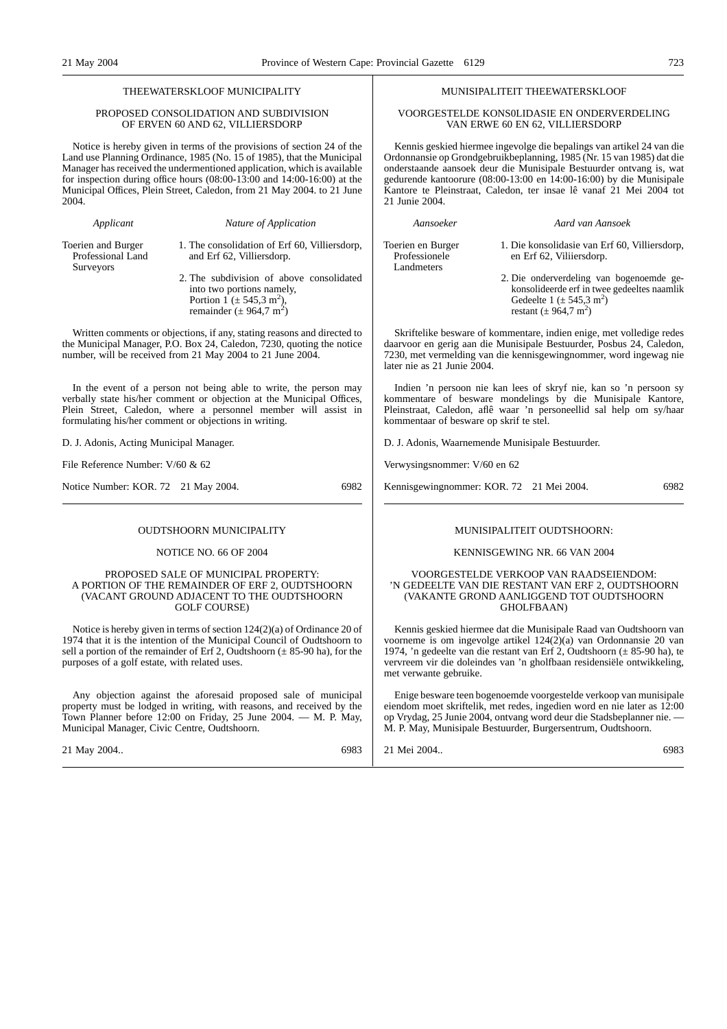#### THEEWATERSKLOOF MUNICIPALITY

#### PROPOSED CONSOLIDATION AND SUBDIVISION OF ERVEN 60 AND 62, VILLIERSDORP

Notice is hereby given in terms of the provisions of section 24 of the Land use Planning Ordinance, 1985 (No. 15 of 1985), that the Municipal Manager has received the undermentioned application, which is available for inspection during office hours (08:00-13:00 and 14:00-16:00) at the Municipal Offices, Plein Street, Caledon, from 21 May 2004. to 21 June 2004.

*Applicant Nature of Application*

Toerien and Burger Professional Land Surveyors

1. The consolidation of Erf 60, Villiersdorp, and Erf 62, Villiersdorp.

2. The subdivision of above consolidated into two portions namely, Portion  $1 \div 545.3 \text{ m}^2$ ), remainder  $(\pm 964.7 \text{ m}^2)$ 

Written comments or objections, if any, stating reasons and directed to the Municipal Manager, P.O. Box 24, Caledon, 7230, quoting the notice number, will be received from 21 May 2004 to 21 June 2004.

In the event of a person not being able to write, the person may verbally state his/her comment or objection at the Municipal Offices, Plein Street, Caledon, where a personnel member will assist in formulating his/her comment or objections in writing.

D. J. Adonis, Acting Municipal Manager.

File Reference Number: V/60 & 62

Notice Number: KOR. 72 21 May 2004. 6982

OUDTSHOORN MUNICIPALITY

#### NOTICE NO. 66 OF 2004

#### PROPOSED SALE OF MUNICIPAL PROPERTY: A PORTION OF THE REMAINDER OF ERF 2, OUDTSHOORN (VACANT GROUND ADJACENT TO THE OUDTSHOORN GOLF COURSE)

Notice is hereby given in terms of section 124(2)(a) of Ordinance 20 of 1974 that it is the intention of the Municipal Council of Oudtshoorn to sell a portion of the remainder of Erf 2, Oudtshoorn  $(\pm 85{\text -}90 \text{ ha})$ , for the purposes of a golf estate, with related uses.

Any objection against the aforesaid proposed sale of municipal property must be lodged in writing, with reasons, and received by the Town Planner before 12:00 on Friday, 25 June 2004. — M. P. May, Municipal Manager, Civic Centre, Oudtshoorn.

21 May 2004.. 6983

#### MUNISIPALITEIT THEEWATERSKLOOF

#### VOORGESTELDE KONS0LIDASIE EN ONDERVERDELING VAN ERWE 60 EN 62, VILLIERSDORP

Kennis geskied hiermee ingevolge die bepalings van artikel 24 van die Ordonnansie op Grondgebruikbeplanning, 1985 (Nr. 15 van 1985) dat die onderstaande aansoek deur die Munisipale Bestuurder ontvang is, wat gedurende kantoorure (08:00-13:00 en 14:00-16:00) by die Munisipale Kantore te Pleinstraat, Caledon, ter insae lê vanaf 21 Mei 2004 tot 21 Junie 2004.

*Aansoeker Aard van Aansoek*

Toerien en Burger Professionele Landmeters

- 1. Die konsolidasie van Erf 60, Villiersdorp, en Erf 62, Viliiersdorp.
- 2. Die onderverdeling van bogenoemde gekonsolideerde erf in twee gedeeltes naamlik Gedeelte  $1 (\pm 545.3 \text{ m}^2)$ restant  $(\pm 964, 7 \text{ m}^2)$

Skriftelike besware of kommentare, indien enige, met volledige redes daarvoor en gerig aan die Munisipale Bestuurder, Posbus 24, Caledon, 7230, met vermelding van die kennisgewingnommer, word ingewag nie later nie as 21 Junie 2004.

Indien 'n persoon nie kan lees of skryf nie, kan so 'n persoon sy kommentare of besware mondelings by die Munisipale Kantore, Pleinstraat, Caledon, aflê waar 'n personeellid sal help om sy/haar kommentaar of besware op skrif te stel.

D. J. Adonis, Waarnemende Munisipale Bestuurder.

Verwysingsnommer: V/60 en 62

Kennisgewingnommer: KOR. 72 21 Mei 2004. 6982

#### MUNISIPALITEIT OUDTSHOORN:

KENNISGEWING NR. 66 VAN 2004

#### VOORGESTELDE VERKOOP VAN RAADSEIENDOM: 'N GEDEELTE VAN DIE RESTANT VAN ERF 2, OUDTSHOORN (VAKANTE GROND AANLIGGEND TOT OUDTSHOORN GHOLFBAAN)

Kennis geskied hiermee dat die Munisipale Raad van Oudtshoorn van voorneme is om ingevolge artikel 124(2)(a) van Ordonnansie 20 van 1974, 'n gedeelte van die restant van Erf 2, Oudtshoorn (± 85-90 ha), te vervreem vir die doleindes van 'n gholfbaan residensiële ontwikkeling, met verwante gebruike.

Enige besware teen bogenoemde voorgestelde verkoop van munisipale eiendom moet skriftelik, met redes, ingedien word en nie later as 12:00 op Vrydag, 25 Junie 2004, ontvang word deur die Stadsbeplanner nie. — M. P. May, Munisipale Bestuurder, Burgersentrum, Oudtshoorn.

21 Mei 2004.. 6983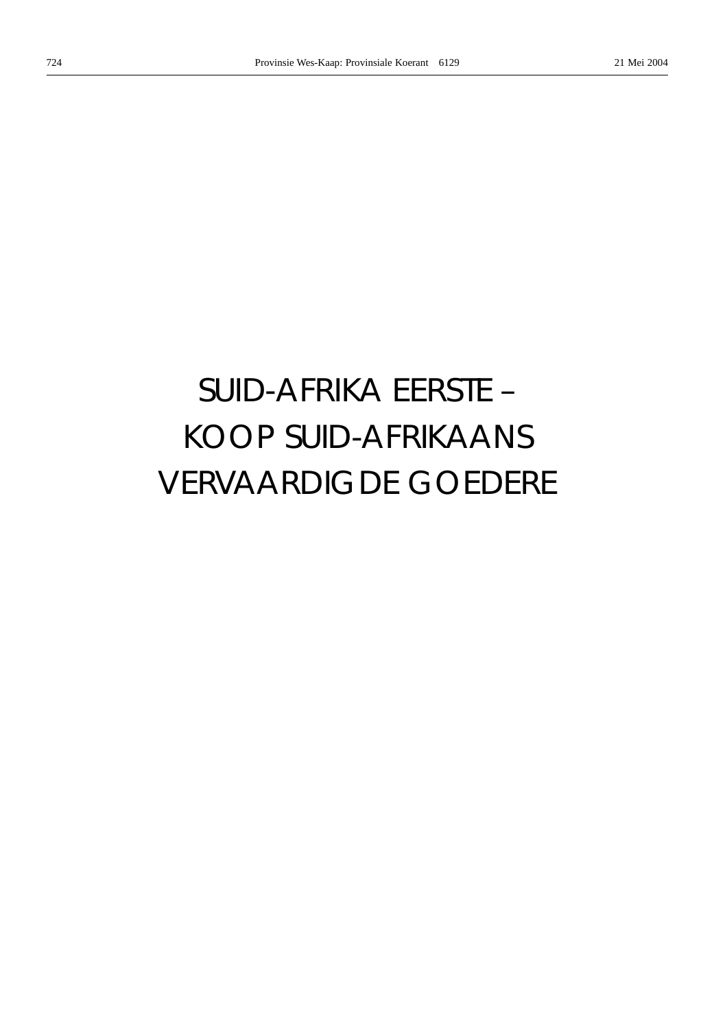# *SUID-AFRIKA EERSTE –* KOOP SUID-AFRIKAANS VERVAARDIGDE GOEDERE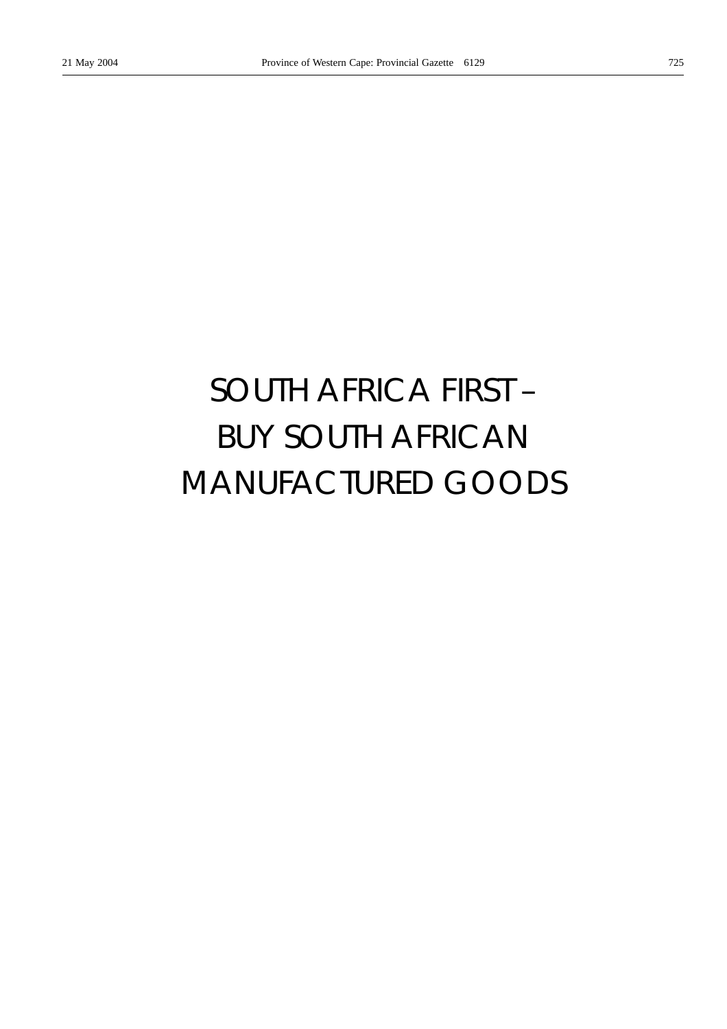# *SOUTH AFRICA FIRST –* BUY SOUTH AFRICAN MANUFACTURED GOODS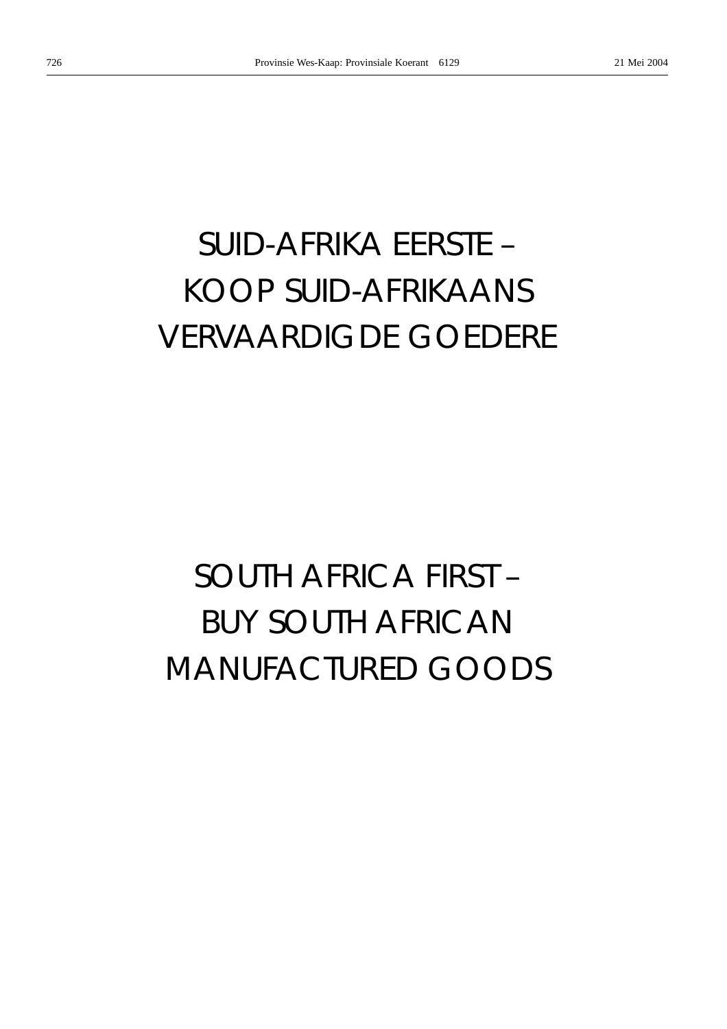# *SUID-AFRIKA EERSTE –* KOOP SUID-AFRIKAANS VERVAARDIGDE GOEDERE

# *SOUTH AFRICA FIRST –* BUY SOUTH AFRICAN MANUFACTURED GOODS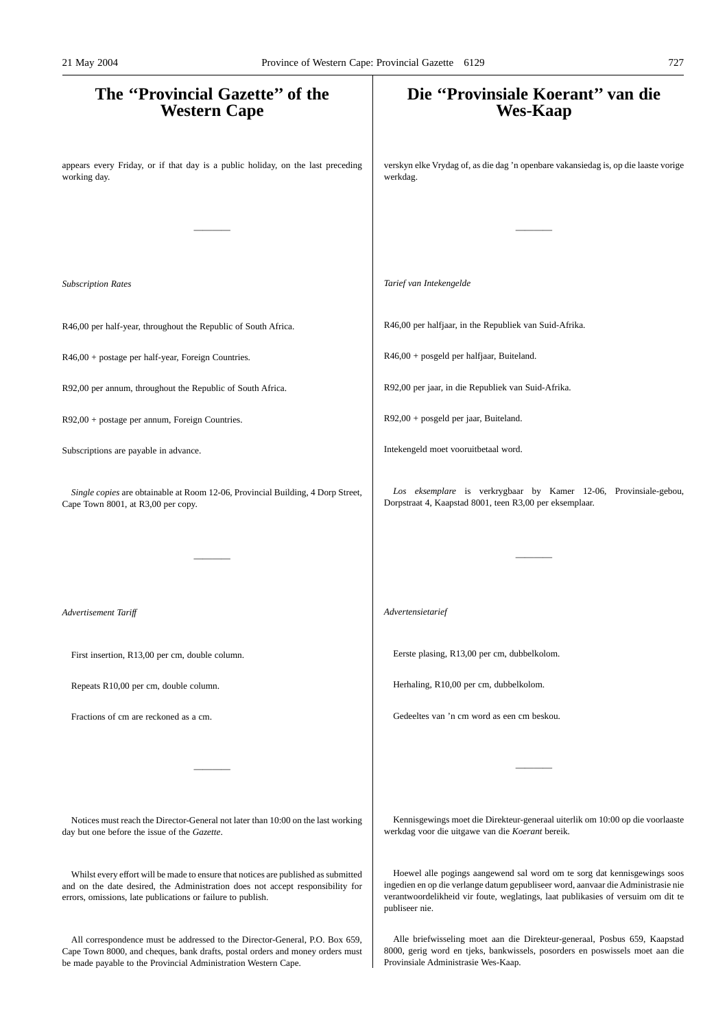# **The ''Provincial Gazette'' of the Western Cape** appears every Friday, or if that day is a public holiday, on the last preceding working day. ———— *Subscription Rates* R46,00 per half-year, throughout the Republic of South Africa. R46,00 + postage per half-year, Foreign Countries. R92,00 per annum, throughout the Republic of South Africa. R92,00 + postage per annum, Foreign Countries. Subscriptions are payable in advance. *Single copies* are obtainable at Room 12-06, Provincial Building, 4 Dorp Street, Cape Town 8001, at R3,00 per copy. ———— *Advertisement Tariff* First insertion, R13,00 per cm, double column. Repeats R10,00 per cm, double column. Fractions of cm are reckoned as a cm. ———— Notices must reach the Director-General not later than 10:00 on the last working day but one before the issue of the *Gazette*. Whilst every effort will be made to ensure that notices are published as submitted **Die ''Provinsiale Koerant'' van die Wes-Kaap** verskyn elke Vrydag of, as die dag 'n openbare vakansiedag is, op die laaste vorige werkdag. ———— *Tarief van Intekengelde* R46,00 per halfjaar, in the Republiek van Suid-Afrika. R46,00 + posgeld per halfjaar, Buiteland. R92,00 per jaar, in die Republiek van Suid-Afrika. R92,00 + posgeld per jaar, Buiteland. Intekengeld moet vooruitbetaal word. *Los eksemplare* is verkrygbaar by Kamer 12-06, Provinsiale-gebou, Dorpstraat 4, Kaapstad 8001, teen R3,00 per eksemplaar. ———— *Advertensietarief* Eerste plasing, R13,00 per cm, dubbelkolom. Herhaling, R10,00 per cm, dubbelkolom. Gedeeltes van 'n cm word as een cm beskou. ———— Kennisgewings moet die Direkteur-generaal uiterlik om 10:00 op die voorlaaste werkdag voor die uitgawe van die *Koerant* bereik. Hoewel alle pogings aangewend sal word om te sorg dat kennisgewings soos 21 May 2004 Province of Western Cape: Provincial Gazette 6129 727

publiseer nie.

and on the date desired, the Administration does not accept responsibility for errors, omissions, late publications or failure to publish.

All correspondence must be addressed to the Director-General, P.O. Box 659, Cape Town 8000, and cheques, bank drafts, postal orders and money orders must be made payable to the Provincial Administration Western Cape.

Alle briefwisseling moet aan die Direkteur-generaal, Posbus 659, Kaapstad 8000, gerig word en tjeks, bankwissels, posorders en poswissels moet aan die Provinsiale Administrasie Wes-Kaap.

ingedien en op die verlange datum gepubliseer word, aanvaar die Administrasie nie verantwoordelikheid vir foute, weglatings, laat publikasies of versuim om dit te